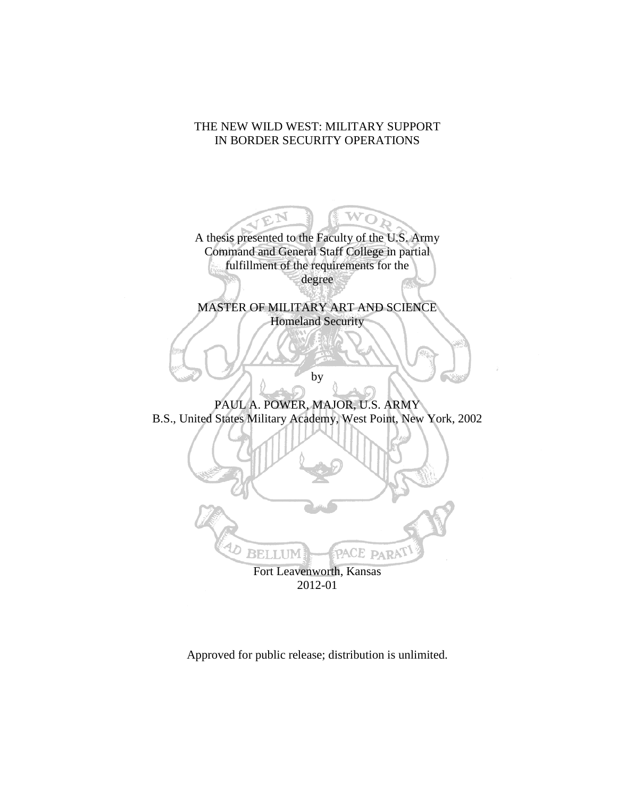# THE NEW WILD WEST: MILITARY SUPPORT IN BORDER SECURITY OPERATIONS

A thesis presented to the Faculty of the U.S. Army Command and General Staff College in partial fulfillment of the requirements for the degree

W

MASTER OF MILITARY ART AND SCIENCE Homeland Security

by

PAUL A. POWER, MAJOR, U.S. ARMY B.S., United States Military Academy, West Point, New York, 2002



2012-01

Approved for public release; distribution is unlimited.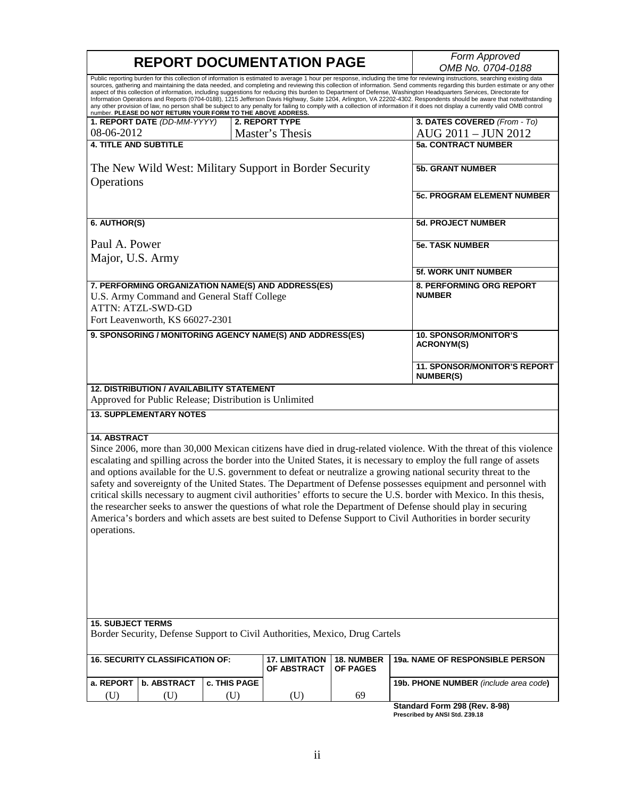| Public reporting burden for this collection of information is estimated to average 1 hour per response, including the time for reviewing instructions, searching existing data<br>sources, gathering and maintaining the data needed, and completing and reviewing this collection of information. Send comments regarding this burden estimate or any other<br>aspect of this collection of information, including suggestions for reducing this burden to Department of Defense, Washington Headquarters Services, Directorate for<br>Information Operations and Reports (0704-0188), 1215 Jefferson Davis Highway, Suite 1204, Arlington, VA 22202-4302. Respondents should be aware that notwithstanding<br>any other provision of law, no person shall be subject to any penalty for failing to comply with a collection of information if it does not display a currently valid OMB control<br>number. PLEASE DO NOT RETURN YOUR FORM TO THE ABOVE ADDRESS.<br>3. DATES COVERED (From - To)<br>1. REPORT DATE (DD-MM-YYYY)<br>2. REPORT TYPE<br>08-06-2012<br>AUG 2011 - JUN 2012<br>Master's Thesis<br><b>4. TITLE AND SUBTITLE</b><br><b>5a. CONTRACT NUMBER</b><br>The New Wild West: Military Support in Border Security<br><b>5b. GRANT NUMBER</b><br>Operations<br>5c. PROGRAM ELEMENT NUMBER<br>6. AUTHOR(S)<br><b>5d. PROJECT NUMBER</b><br>Paul A. Power<br><b>5e. TASK NUMBER</b><br>Major, U.S. Army<br>5f. WORK UNIT NUMBER<br>7. PERFORMING ORGANIZATION NAME(S) AND ADDRESS(ES)<br>8. PERFORMING ORG REPORT<br><b>NUMBER</b><br>U.S. Army Command and General Staff College<br><b>ATTN: ATZL-SWD-GD</b><br>Fort Leavenworth, KS 66027-2301<br>9. SPONSORING / MONITORING AGENCY NAME(S) AND ADDRESS(ES)<br><b>10. SPONSOR/MONITOR'S</b><br><b>ACRONYM(S)</b><br>11. SPONSOR/MONITOR'S REPORT<br><b>NUMBER(S)</b><br><b>12. DISTRIBUTION / AVAILABILITY STATEMENT</b><br>Approved for Public Release; Distribution is Unlimited<br><b>13. SUPPLEMENTARY NOTES</b><br><b>14. ABSTRACT</b><br>Since 2006, more than 30,000 Mexican citizens have died in drug-related violence. With the threat of this violence<br>escalating and spilling across the border into the United States, it is necessary to employ the full range of assets<br>and options available for the U.S. government to defeat or neutralize a growing national security threat to the<br>safety and sovereignty of the United States. The Department of Defense possesses equipment and personnel with<br>critical skills necessary to augment civil authorities' efforts to secure the U.S. border with Mexico. In this thesis,<br>the researcher seeks to answer the questions of what role the Department of Defense should play in securing<br>America's borders and which assets are best suited to Defense Support to Civil Authorities in border security<br>operations.<br><b>15. SUBJECT TERMS</b><br>Border Security, Defense Support to Civil Authorities, Mexico, Drug Cartels<br><b>16. SECURITY CLASSIFICATION OF:</b><br>18. NUMBER<br>19a. NAME OF RESPONSIBLE PERSON<br><b>17. LIMITATION</b><br>OF ABSTRACT<br>OF PAGES<br>a. REPORT<br><b>b. ABSTRACT</b><br>c. THIS PAGE<br>19b. PHONE NUMBER (include area code)<br>69<br>(U)<br>(U)<br>(U)<br>(U)<br>Standard Form 298 (Rev. 8-98) | <b>REPORT DOCUMENTATION PAGE</b> |  |  | Form Approved |                   |
|-------------------------------------------------------------------------------------------------------------------------------------------------------------------------------------------------------------------------------------------------------------------------------------------------------------------------------------------------------------------------------------------------------------------------------------------------------------------------------------------------------------------------------------------------------------------------------------------------------------------------------------------------------------------------------------------------------------------------------------------------------------------------------------------------------------------------------------------------------------------------------------------------------------------------------------------------------------------------------------------------------------------------------------------------------------------------------------------------------------------------------------------------------------------------------------------------------------------------------------------------------------------------------------------------------------------------------------------------------------------------------------------------------------------------------------------------------------------------------------------------------------------------------------------------------------------------------------------------------------------------------------------------------------------------------------------------------------------------------------------------------------------------------------------------------------------------------------------------------------------------------------------------------------------------------------------------------------------------------------------------------------------------------------------------------------------------------------------------------------------------------------------------------------------------------------------------------------------------------------------------------------------------------------------------------------------------------------------------------------------------------------------------------------------------------------------------------------------------------------------------------------------------------------------------------------------------------------------------------------------------------------------------------------------------------------------------------------------------------------------------------------------------------------------------------------------------------------------------------------------------------------------------------------------------------------------------------------------------------------------------------------------------------------------------------------------------------------------------------------------------------------------------------------------------------------------------------------------------------------------------------------------------------------------------|----------------------------------|--|--|---------------|-------------------|
|                                                                                                                                                                                                                                                                                                                                                                                                                                                                                                                                                                                                                                                                                                                                                                                                                                                                                                                                                                                                                                                                                                                                                                                                                                                                                                                                                                                                                                                                                                                                                                                                                                                                                                                                                                                                                                                                                                                                                                                                                                                                                                                                                                                                                                                                                                                                                                                                                                                                                                                                                                                                                                                                                                                                                                                                                                                                                                                                                                                                                                                                                                                                                                                                                                                                                                 |                                  |  |  |               | OMB No. 0704-0188 |
|                                                                                                                                                                                                                                                                                                                                                                                                                                                                                                                                                                                                                                                                                                                                                                                                                                                                                                                                                                                                                                                                                                                                                                                                                                                                                                                                                                                                                                                                                                                                                                                                                                                                                                                                                                                                                                                                                                                                                                                                                                                                                                                                                                                                                                                                                                                                                                                                                                                                                                                                                                                                                                                                                                                                                                                                                                                                                                                                                                                                                                                                                                                                                                                                                                                                                                 |                                  |  |  |               |                   |
|                                                                                                                                                                                                                                                                                                                                                                                                                                                                                                                                                                                                                                                                                                                                                                                                                                                                                                                                                                                                                                                                                                                                                                                                                                                                                                                                                                                                                                                                                                                                                                                                                                                                                                                                                                                                                                                                                                                                                                                                                                                                                                                                                                                                                                                                                                                                                                                                                                                                                                                                                                                                                                                                                                                                                                                                                                                                                                                                                                                                                                                                                                                                                                                                                                                                                                 |                                  |  |  |               |                   |
|                                                                                                                                                                                                                                                                                                                                                                                                                                                                                                                                                                                                                                                                                                                                                                                                                                                                                                                                                                                                                                                                                                                                                                                                                                                                                                                                                                                                                                                                                                                                                                                                                                                                                                                                                                                                                                                                                                                                                                                                                                                                                                                                                                                                                                                                                                                                                                                                                                                                                                                                                                                                                                                                                                                                                                                                                                                                                                                                                                                                                                                                                                                                                                                                                                                                                                 |                                  |  |  |               |                   |
|                                                                                                                                                                                                                                                                                                                                                                                                                                                                                                                                                                                                                                                                                                                                                                                                                                                                                                                                                                                                                                                                                                                                                                                                                                                                                                                                                                                                                                                                                                                                                                                                                                                                                                                                                                                                                                                                                                                                                                                                                                                                                                                                                                                                                                                                                                                                                                                                                                                                                                                                                                                                                                                                                                                                                                                                                                                                                                                                                                                                                                                                                                                                                                                                                                                                                                 |                                  |  |  |               |                   |
|                                                                                                                                                                                                                                                                                                                                                                                                                                                                                                                                                                                                                                                                                                                                                                                                                                                                                                                                                                                                                                                                                                                                                                                                                                                                                                                                                                                                                                                                                                                                                                                                                                                                                                                                                                                                                                                                                                                                                                                                                                                                                                                                                                                                                                                                                                                                                                                                                                                                                                                                                                                                                                                                                                                                                                                                                                                                                                                                                                                                                                                                                                                                                                                                                                                                                                 |                                  |  |  |               |                   |
|                                                                                                                                                                                                                                                                                                                                                                                                                                                                                                                                                                                                                                                                                                                                                                                                                                                                                                                                                                                                                                                                                                                                                                                                                                                                                                                                                                                                                                                                                                                                                                                                                                                                                                                                                                                                                                                                                                                                                                                                                                                                                                                                                                                                                                                                                                                                                                                                                                                                                                                                                                                                                                                                                                                                                                                                                                                                                                                                                                                                                                                                                                                                                                                                                                                                                                 |                                  |  |  |               |                   |
|                                                                                                                                                                                                                                                                                                                                                                                                                                                                                                                                                                                                                                                                                                                                                                                                                                                                                                                                                                                                                                                                                                                                                                                                                                                                                                                                                                                                                                                                                                                                                                                                                                                                                                                                                                                                                                                                                                                                                                                                                                                                                                                                                                                                                                                                                                                                                                                                                                                                                                                                                                                                                                                                                                                                                                                                                                                                                                                                                                                                                                                                                                                                                                                                                                                                                                 |                                  |  |  |               |                   |
|                                                                                                                                                                                                                                                                                                                                                                                                                                                                                                                                                                                                                                                                                                                                                                                                                                                                                                                                                                                                                                                                                                                                                                                                                                                                                                                                                                                                                                                                                                                                                                                                                                                                                                                                                                                                                                                                                                                                                                                                                                                                                                                                                                                                                                                                                                                                                                                                                                                                                                                                                                                                                                                                                                                                                                                                                                                                                                                                                                                                                                                                                                                                                                                                                                                                                                 |                                  |  |  |               |                   |
|                                                                                                                                                                                                                                                                                                                                                                                                                                                                                                                                                                                                                                                                                                                                                                                                                                                                                                                                                                                                                                                                                                                                                                                                                                                                                                                                                                                                                                                                                                                                                                                                                                                                                                                                                                                                                                                                                                                                                                                                                                                                                                                                                                                                                                                                                                                                                                                                                                                                                                                                                                                                                                                                                                                                                                                                                                                                                                                                                                                                                                                                                                                                                                                                                                                                                                 |                                  |  |  |               |                   |
|                                                                                                                                                                                                                                                                                                                                                                                                                                                                                                                                                                                                                                                                                                                                                                                                                                                                                                                                                                                                                                                                                                                                                                                                                                                                                                                                                                                                                                                                                                                                                                                                                                                                                                                                                                                                                                                                                                                                                                                                                                                                                                                                                                                                                                                                                                                                                                                                                                                                                                                                                                                                                                                                                                                                                                                                                                                                                                                                                                                                                                                                                                                                                                                                                                                                                                 |                                  |  |  |               |                   |
|                                                                                                                                                                                                                                                                                                                                                                                                                                                                                                                                                                                                                                                                                                                                                                                                                                                                                                                                                                                                                                                                                                                                                                                                                                                                                                                                                                                                                                                                                                                                                                                                                                                                                                                                                                                                                                                                                                                                                                                                                                                                                                                                                                                                                                                                                                                                                                                                                                                                                                                                                                                                                                                                                                                                                                                                                                                                                                                                                                                                                                                                                                                                                                                                                                                                                                 |                                  |  |  |               |                   |
|                                                                                                                                                                                                                                                                                                                                                                                                                                                                                                                                                                                                                                                                                                                                                                                                                                                                                                                                                                                                                                                                                                                                                                                                                                                                                                                                                                                                                                                                                                                                                                                                                                                                                                                                                                                                                                                                                                                                                                                                                                                                                                                                                                                                                                                                                                                                                                                                                                                                                                                                                                                                                                                                                                                                                                                                                                                                                                                                                                                                                                                                                                                                                                                                                                                                                                 |                                  |  |  |               |                   |
|                                                                                                                                                                                                                                                                                                                                                                                                                                                                                                                                                                                                                                                                                                                                                                                                                                                                                                                                                                                                                                                                                                                                                                                                                                                                                                                                                                                                                                                                                                                                                                                                                                                                                                                                                                                                                                                                                                                                                                                                                                                                                                                                                                                                                                                                                                                                                                                                                                                                                                                                                                                                                                                                                                                                                                                                                                                                                                                                                                                                                                                                                                                                                                                                                                                                                                 |                                  |  |  |               |                   |
|                                                                                                                                                                                                                                                                                                                                                                                                                                                                                                                                                                                                                                                                                                                                                                                                                                                                                                                                                                                                                                                                                                                                                                                                                                                                                                                                                                                                                                                                                                                                                                                                                                                                                                                                                                                                                                                                                                                                                                                                                                                                                                                                                                                                                                                                                                                                                                                                                                                                                                                                                                                                                                                                                                                                                                                                                                                                                                                                                                                                                                                                                                                                                                                                                                                                                                 |                                  |  |  |               |                   |
|                                                                                                                                                                                                                                                                                                                                                                                                                                                                                                                                                                                                                                                                                                                                                                                                                                                                                                                                                                                                                                                                                                                                                                                                                                                                                                                                                                                                                                                                                                                                                                                                                                                                                                                                                                                                                                                                                                                                                                                                                                                                                                                                                                                                                                                                                                                                                                                                                                                                                                                                                                                                                                                                                                                                                                                                                                                                                                                                                                                                                                                                                                                                                                                                                                                                                                 |                                  |  |  |               |                   |
|                                                                                                                                                                                                                                                                                                                                                                                                                                                                                                                                                                                                                                                                                                                                                                                                                                                                                                                                                                                                                                                                                                                                                                                                                                                                                                                                                                                                                                                                                                                                                                                                                                                                                                                                                                                                                                                                                                                                                                                                                                                                                                                                                                                                                                                                                                                                                                                                                                                                                                                                                                                                                                                                                                                                                                                                                                                                                                                                                                                                                                                                                                                                                                                                                                                                                                 |                                  |  |  |               |                   |
|                                                                                                                                                                                                                                                                                                                                                                                                                                                                                                                                                                                                                                                                                                                                                                                                                                                                                                                                                                                                                                                                                                                                                                                                                                                                                                                                                                                                                                                                                                                                                                                                                                                                                                                                                                                                                                                                                                                                                                                                                                                                                                                                                                                                                                                                                                                                                                                                                                                                                                                                                                                                                                                                                                                                                                                                                                                                                                                                                                                                                                                                                                                                                                                                                                                                                                 |                                  |  |  |               |                   |
|                                                                                                                                                                                                                                                                                                                                                                                                                                                                                                                                                                                                                                                                                                                                                                                                                                                                                                                                                                                                                                                                                                                                                                                                                                                                                                                                                                                                                                                                                                                                                                                                                                                                                                                                                                                                                                                                                                                                                                                                                                                                                                                                                                                                                                                                                                                                                                                                                                                                                                                                                                                                                                                                                                                                                                                                                                                                                                                                                                                                                                                                                                                                                                                                                                                                                                 |                                  |  |  |               |                   |
|                                                                                                                                                                                                                                                                                                                                                                                                                                                                                                                                                                                                                                                                                                                                                                                                                                                                                                                                                                                                                                                                                                                                                                                                                                                                                                                                                                                                                                                                                                                                                                                                                                                                                                                                                                                                                                                                                                                                                                                                                                                                                                                                                                                                                                                                                                                                                                                                                                                                                                                                                                                                                                                                                                                                                                                                                                                                                                                                                                                                                                                                                                                                                                                                                                                                                                 |                                  |  |  |               |                   |

г

**Standard Form 298 (Rev. 8-98) Prescribed by ANSI Std. Z39.18**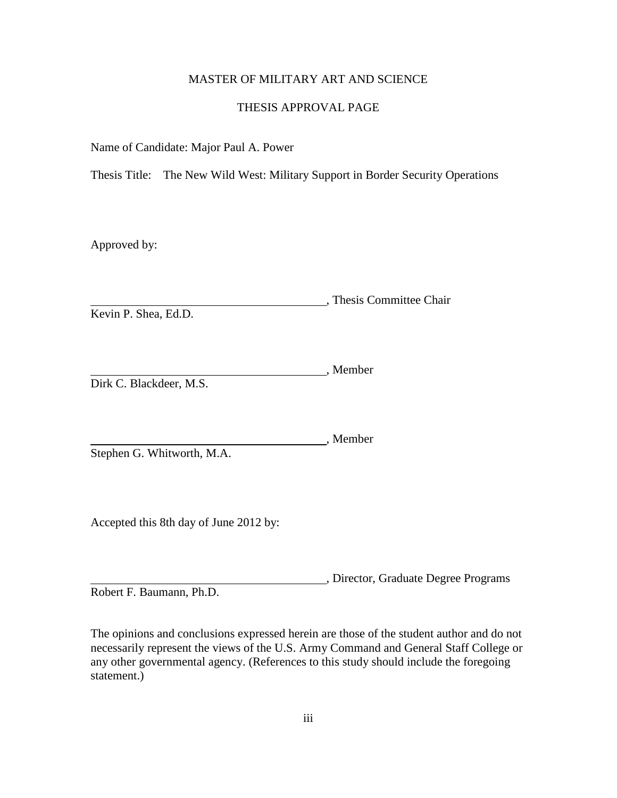## MASTER OF MILITARY ART AND SCIENCE

## THESIS APPROVAL PAGE

Name of Candidate: Major Paul A. Power

Thesis Title: The New Wild West: Military Support in Border Security Operations

Approved by:

, Thesis Committee Chair Kevin P. Shea, Ed.D.

Member Dirk C. Blackdeer, M.S.

Member Stephen G. Whitworth, M.A.

Accepted this 8th day of June 2012 by:

, Director, Graduate Degree Programs Robert F. Baumann, Ph.D.

The opinions and conclusions expressed herein are those of the student author and do not necessarily represent the views of the U.S. Army Command and General Staff College or any other governmental agency. (References to this study should include the foregoing statement.)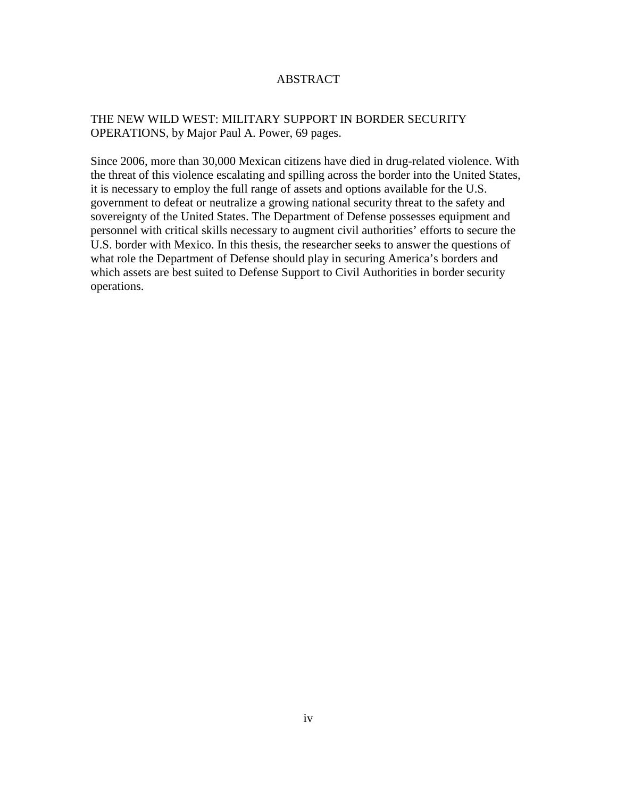## ABSTRACT

# THE NEW WILD WEST: MILITARY SUPPORT IN BORDER SECURITY OPERATIONS, by Major Paul A. Power, 69 pages.

Since 2006, more than 30,000 Mexican citizens have died in drug-related violence. With the threat of this violence escalating and spilling across the border into the United States, it is necessary to employ the full range of assets and options available for the U.S. government to defeat or neutralize a growing national security threat to the safety and sovereignty of the United States. The Department of Defense possesses equipment and personnel with critical skills necessary to augment civil authorities' efforts to secure the U.S. border with Mexico. In this thesis, the researcher seeks to answer the questions of what role the Department of Defense should play in securing America's borders and which assets are best suited to Defense Support to Civil Authorities in border security operations.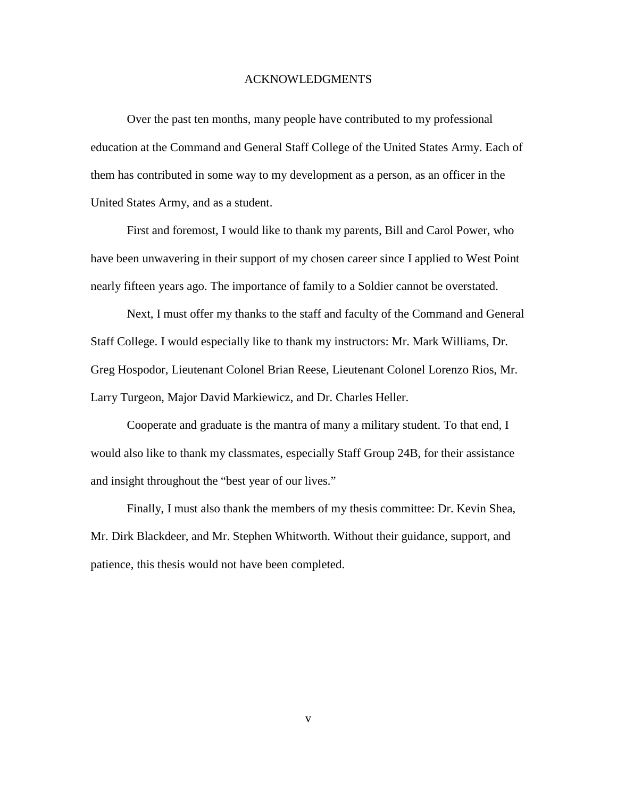#### ACKNOWLEDGMENTS

Over the past ten months, many people have contributed to my professional education at the Command and General Staff College of the United States Army. Each of them has contributed in some way to my development as a person, as an officer in the United States Army, and as a student.

First and foremost, I would like to thank my parents, Bill and Carol Power, who have been unwavering in their support of my chosen career since I applied to West Point nearly fifteen years ago. The importance of family to a Soldier cannot be overstated.

Next, I must offer my thanks to the staff and faculty of the Command and General Staff College. I would especially like to thank my instructors: Mr. Mark Williams, Dr. Greg Hospodor, Lieutenant Colonel Brian Reese, Lieutenant Colonel Lorenzo Rios, Mr. Larry Turgeon, Major David Markiewicz, and Dr. Charles Heller.

Cooperate and graduate is the mantra of many a military student. To that end, I would also like to thank my classmates, especially Staff Group 24B, for their assistance and insight throughout the "best year of our lives."

Finally, I must also thank the members of my thesis committee: Dr. Kevin Shea, Mr. Dirk Blackdeer, and Mr. Stephen Whitworth. Without their guidance, support, and patience, this thesis would not have been completed.

v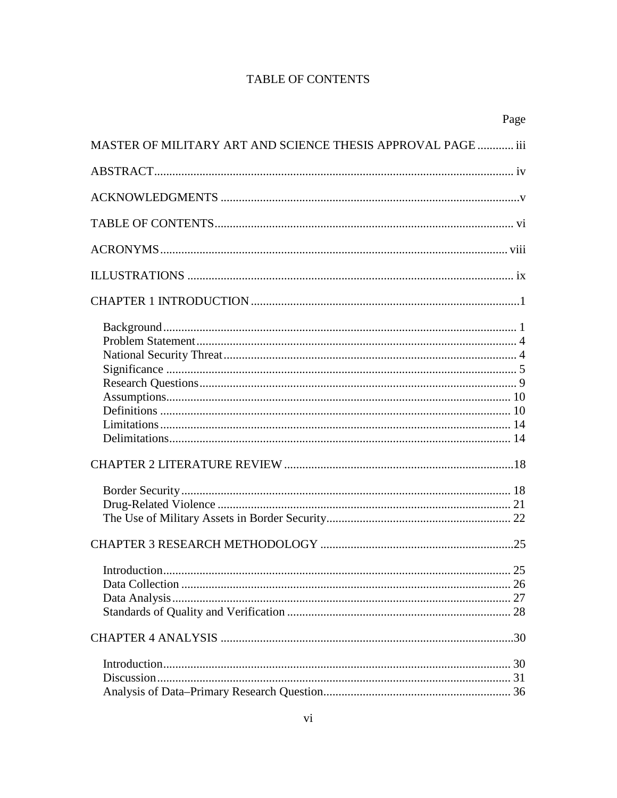# **TABLE OF CONTENTS**

|                                                              | Page |
|--------------------------------------------------------------|------|
| MASTER OF MILITARY ART AND SCIENCE THESIS APPROVAL PAGE  iii |      |
|                                                              |      |
|                                                              |      |
|                                                              |      |
|                                                              |      |
|                                                              |      |
|                                                              |      |
|                                                              |      |
|                                                              |      |
|                                                              |      |
|                                                              |      |
|                                                              |      |
|                                                              |      |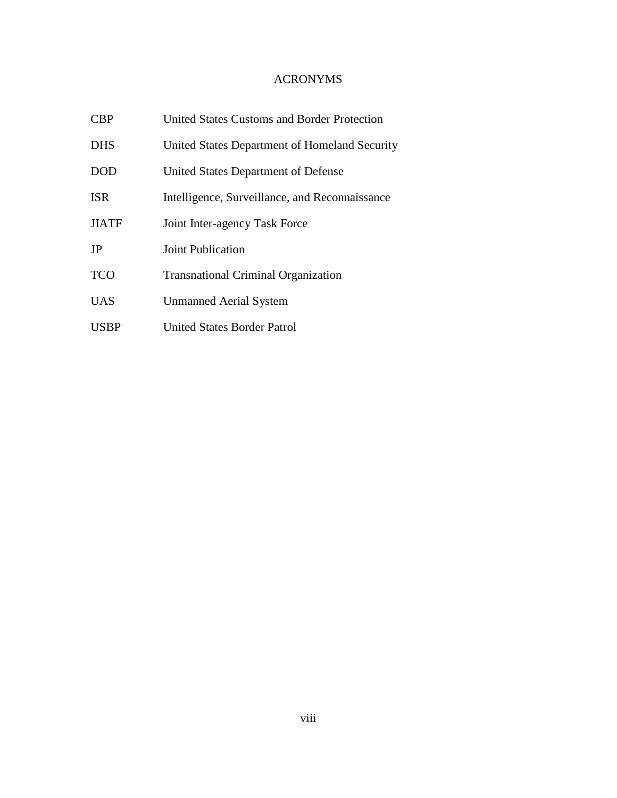# ACRONYMS

| <b>CBP</b>   | <b>United States Customs and Border Protection</b> |
|--------------|----------------------------------------------------|
| <b>DHS</b>   | United States Department of Homeland Security      |
| <b>DOD</b>   | United States Department of Defense                |
| <b>ISR</b>   | Intelligence, Surveillance, and Reconnaissance     |
| <b>JIATF</b> | Joint Inter-agency Task Force                      |
| JP           | <b>Joint Publication</b>                           |
| <b>TCO</b>   | <b>Transnational Criminal Organization</b>         |
| <b>UAS</b>   | <b>Unmanned Aerial System</b>                      |
| <b>USBP</b>  | <b>United States Border Patrol</b>                 |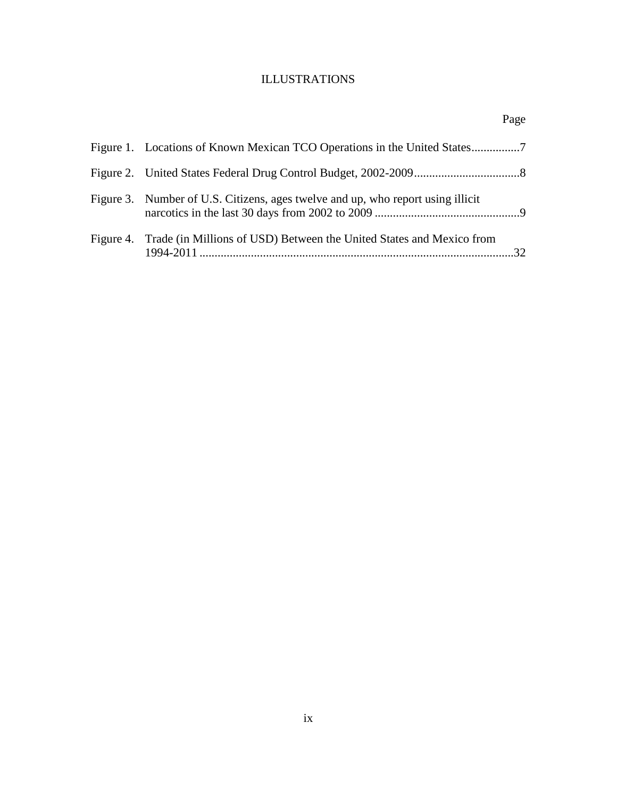# ILLUSTRATIONS

|                                                                                 | Page |
|---------------------------------------------------------------------------------|------|
|                                                                                 |      |
|                                                                                 |      |
| Figure 3. Number of U.S. Citizens, ages twelve and up, who report using illicit |      |
| Figure 4. Trade (in Millions of USD) Between the United States and Mexico from  |      |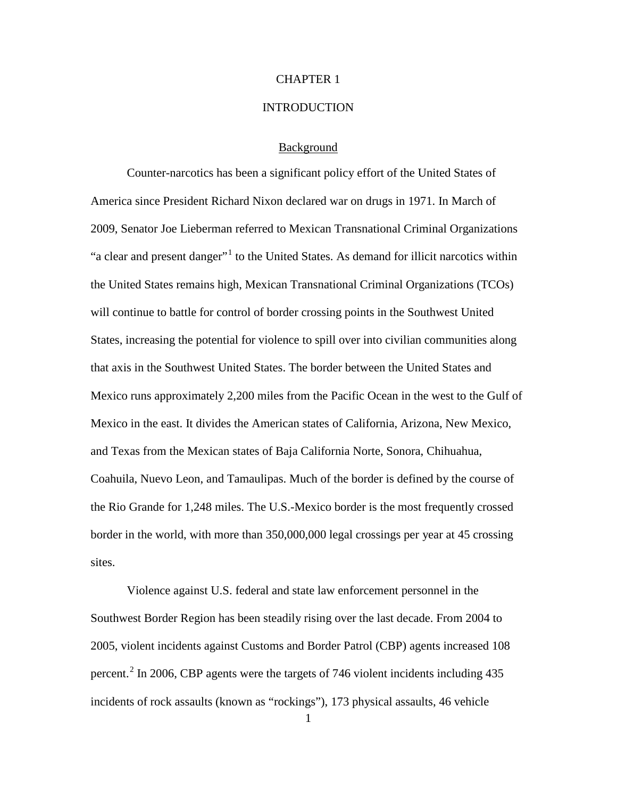## CHAPTER 1

#### **INTRODUCTION**

## Background

Counter-narcotics has been a significant policy effort of the United States of America since President Richard Nixon declared war on drugs in 1971. In March of 2009, Senator Joe Lieberman referred to Mexican Transnational Criminal Organizations "a clear and present danger"<sup>[1](#page-23-0)</sup> to the United States. As demand for illicit narcotics within the United States remains high, Mexican Transnational Criminal Organizations (TCOs) will continue to battle for control of border crossing points in the Southwest United States, increasing the potential for violence to spill over into civilian communities along that axis in the Southwest United States. The border between the United States and Mexico runs approximately 2,200 miles from the Pacific Ocean in the west to the Gulf of Mexico in the east. It divides the American states of California, Arizona, New Mexico, and Texas from the Mexican states of Baja California Norte, Sonora, Chihuahua, Coahuila, Nuevo Leon, and Tamaulipas. Much of the border is defined by the course of the Rio Grande for 1,248 miles. The U.S.-Mexico border is the most frequently crossed border in the world, with more than 350,000,000 legal crossings per year at 45 crossing sites.

Violence against U.S. federal and state law enforcement personnel in the Southwest Border Region has been steadily rising over the last decade. From 2004 to 2005, violent incidents against Customs and Border Patrol (CBP) agents increased 108 percent.<sup>[2](#page-23-1)</sup> In 2006, CBP agents were the targets of 746 violent incidents including 435 incidents of rock assaults (known as "rockings"), 173 physical assaults, 46 vehicle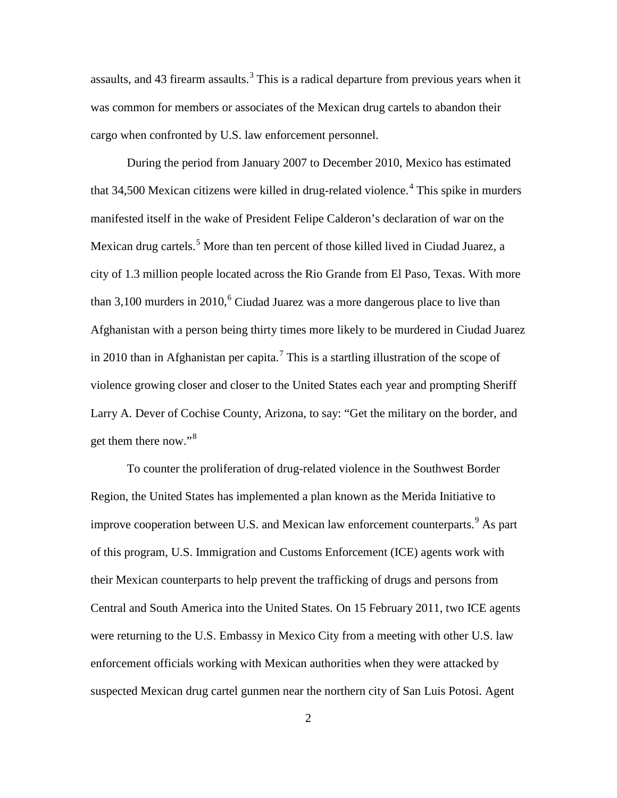assaults, and 4[3](#page-24-0) firearm assaults.<sup>3</sup> This is a radical departure from previous years when it was common for members or associates of the Mexican drug cartels to abandon their cargo when confronted by U.S. law enforcement personnel.

During the period from January 2007 to December 2010, Mexico has estimated that 34,500 Mexican citizens were killed in drug-related violence. [4](#page-24-1) This spike in murders manifested itself in the wake of President Felipe Calderon's declaration of war on the Mexican drug cartels.<sup>[5](#page-24-2)</sup> More than ten percent of those killed lived in Ciudad Juarez, a city of 1.3 million people located across the Rio Grande from El Paso, Texas. With more than 3,100 murders in 2010,<sup>[6](#page-24-3)</sup> Ciudad Juarez was a more dangerous place to live than Afghanistan with a person being thirty times more likely to be murdered in Ciudad Juarez in 2010 than in Afghanistan per capita.<sup>[7](#page-24-4)</sup> This is a startling illustration of the scope of violence growing closer and closer to the United States each year and prompting Sheriff Larry A. Dever of Cochise County, Arizona, to say: "Get the military on the border, and get them there now."[8](#page-24-5)

To counter the proliferation of drug-related violence in the Southwest Border Region, the United States has implemented a plan known as the Merida Initiative to improve cooperation between U.S. and Mexican law enforcement counterparts.<sup>[9](#page-24-6)</sup> As part of this program, U.S. Immigration and Customs Enforcement (ICE) agents work with their Mexican counterparts to help prevent the trafficking of drugs and persons from Central and South America into the United States. On 15 February 2011, two ICE agents were returning to the U.S. Embassy in Mexico City from a meeting with other U.S. law enforcement officials working with Mexican authorities when they were attacked by suspected Mexican drug cartel gunmen near the northern city of San Luis Potosi. Agent

2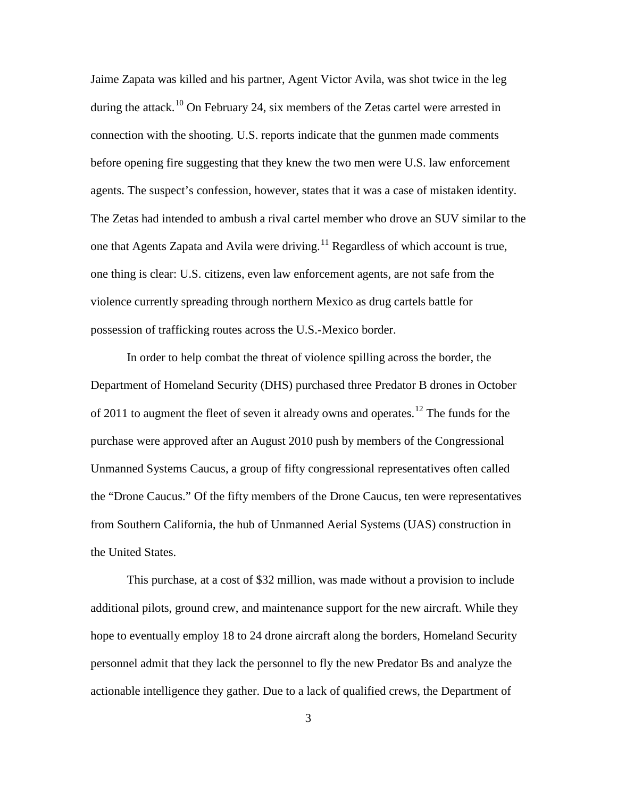Jaime Zapata was killed and his partner, Agent Victor Avila, was shot twice in the leg during the attack.<sup>[10](#page-25-0)</sup> On February 24, six members of the Zetas cartel were arrested in connection with the shooting. U.S. reports indicate that the gunmen made comments before opening fire suggesting that they knew the two men were U.S. law enforcement agents. The suspect's confession, however, states that it was a case of mistaken identity. The Zetas had intended to ambush a rival cartel member who drove an SUV similar to the one that Agents Zapata and Avila were driving.<sup>[11](#page-25-1)</sup> Regardless of which account is true, one thing is clear: U.S. citizens, even law enforcement agents, are not safe from the violence currently spreading through northern Mexico as drug cartels battle for possession of trafficking routes across the U.S.-Mexico border.

In order to help combat the threat of violence spilling across the border, the Department of Homeland Security (DHS) purchased three Predator B drones in October of 2011 to augment the fleet of seven it already owns and operates.<sup>[12](#page-25-2)</sup> The funds for the purchase were approved after an August 2010 push by members of the Congressional Unmanned Systems Caucus, a group of fifty congressional representatives often called the "Drone Caucus." Of the fifty members of the Drone Caucus, ten were representatives from Southern California, the hub of Unmanned Aerial Systems (UAS) construction in the United States.

This purchase, at a cost of \$32 million, was made without a provision to include additional pilots, ground crew, and maintenance support for the new aircraft. While they hope to eventually employ 18 to 24 drone aircraft along the borders, Homeland Security personnel admit that they lack the personnel to fly the new Predator Bs and analyze the actionable intelligence they gather. Due to a lack of qualified crews, the Department of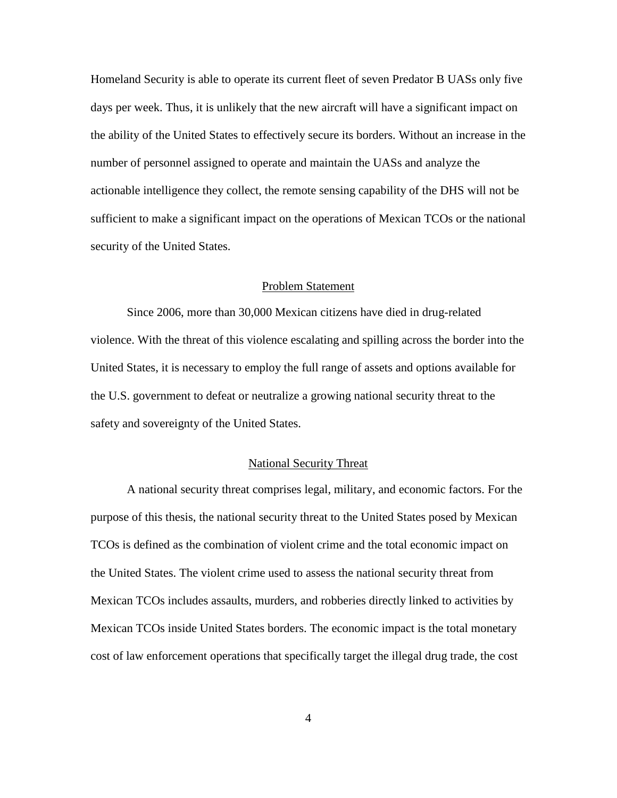Homeland Security is able to operate its current fleet of seven Predator B UASs only five days per week. Thus, it is unlikely that the new aircraft will have a significant impact on the ability of the United States to effectively secure its borders. Without an increase in the number of personnel assigned to operate and maintain the UASs and analyze the actionable intelligence they collect, the remote sensing capability of the DHS will not be sufficient to make a significant impact on the operations of Mexican TCOs or the national security of the United States.

## Problem Statement

Since 2006, more than 30,000 Mexican citizens have died in drug-related violence. With the threat of this violence escalating and spilling across the border into the United States, it is necessary to employ the full range of assets and options available for the U.S. government to defeat or neutralize a growing national security threat to the safety and sovereignty of the United States.

## National Security Threat

A national security threat comprises legal, military, and economic factors. For the purpose of this thesis, the national security threat to the United States posed by Mexican TCOs is defined as the combination of violent crime and the total economic impact on the United States. The violent crime used to assess the national security threat from Mexican TCOs includes assaults, murders, and robberies directly linked to activities by Mexican TCOs inside United States borders. The economic impact is the total monetary cost of law enforcement operations that specifically target the illegal drug trade, the cost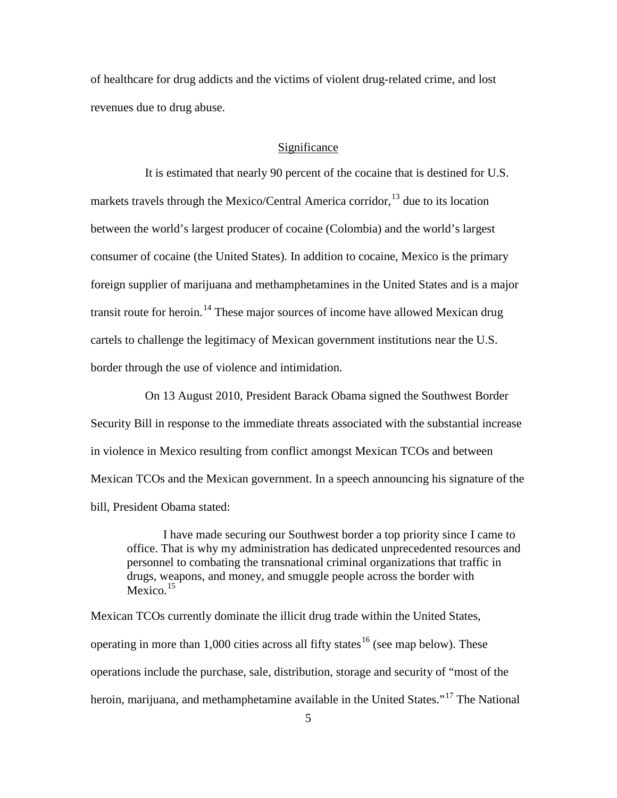of healthcare for drug addicts and the victims of violent drug-related crime, and lost revenues due to drug abuse.

## Significance

It is estimated that nearly 90 percent of the cocaine that is destined for U.S. markets travels through the Mexico/Central America corridor,<sup>[13](#page-26-0)</sup> due to its location between the world's largest producer of cocaine (Colombia) and the world's largest consumer of cocaine (the United States). In addition to cocaine, Mexico is the primary foreign supplier of marijuana and methamphetamines in the United States and is a major transit route for heroin.<sup>[14](#page-26-1)</sup> These major sources of income have allowed Mexican drug cartels to challenge the legitimacy of Mexican government institutions near the U.S. border through the use of violence and intimidation.

On 13 August 2010, President Barack Obama signed the Southwest Border Security Bill in response to the immediate threats associated with the substantial increase in violence in Mexico resulting from conflict amongst Mexican TCOs and between Mexican TCOs and the Mexican government. In a speech announcing his signature of the bill, President Obama stated:

I have made securing our Southwest border a top priority since I came to office. That is why my administration has dedicated unprecedented resources and personnel to combating the transnational criminal organizations that traffic in drugs, weapons, and money, and smuggle people across the border with Mexico. $15$ 

Mexican TCOs currently dominate the illicit drug trade within the United States, operating in more than 1,000 cities across all fifty states<sup>[16](#page-26-3)</sup> (see map below). These operations include the purchase, sale, distribution, storage and security of "most of the heroin, marijuana, and methamphetamine available in the United States."<sup>[17](#page-26-4)</sup> The National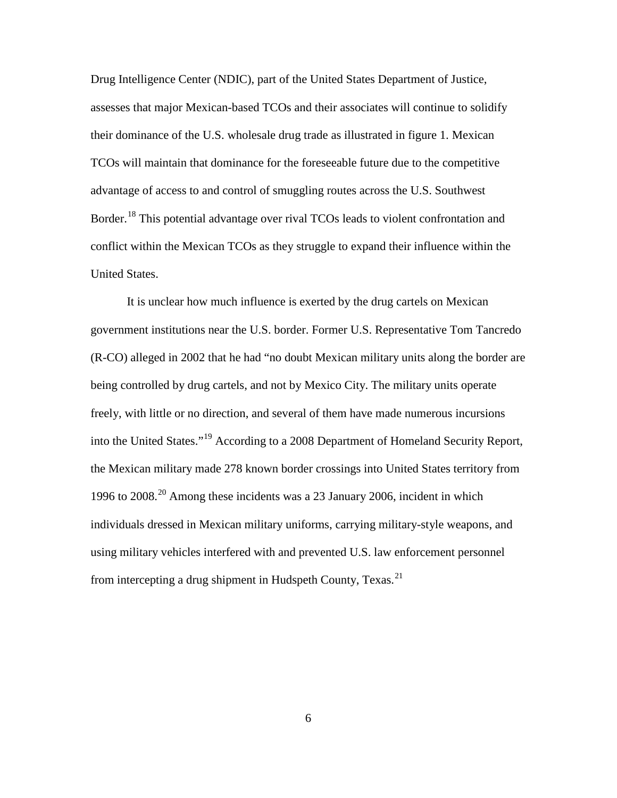Drug Intelligence Center (NDIC), part of the United States Department of Justice, assesses that major Mexican-based TCOs and their associates will continue to solidify their dominance of the U.S. wholesale drug trade as illustrated in figure 1. Mexican TCOs will maintain that dominance for the foreseeable future due to the competitive advantage of access to and control of smuggling routes across the U.S. Southwest Border.<sup>[18](#page-27-0)</sup> This potential advantage over rival TCOs leads to violent confrontation and conflict within the Mexican TCOs as they struggle to expand their influence within the United States.

It is unclear how much influence is exerted by the drug cartels on Mexican government institutions near the U.S. border. Former U.S. Representative Tom Tancredo (R-CO) alleged in 2002 that he had "no doubt Mexican military units along the border are being controlled by drug cartels, and not by Mexico City. The military units operate freely, with little or no direction, and several of them have made numerous incursions into the United States."[19](#page-27-1) According to a 2008 Department of Homeland Security Report, the Mexican military made 278 known border crossings into United States territory from 1996 to 2008. [20](#page-27-2) Among these incidents was a 23 January 2006, incident in which individuals dressed in Mexican military uniforms, carrying military-style weapons, and using military vehicles interfered with and prevented U.S. law enforcement personnel from intercepting a drug shipment in Hudspeth County, Texas.<sup>[21](#page-27-3)</sup>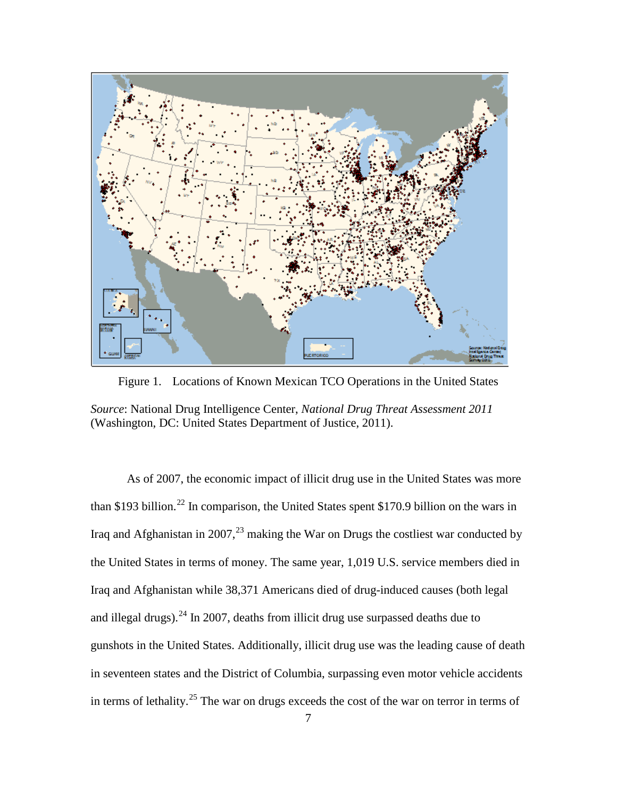

Figure 1. Locations of Known Mexican TCO Operations in the United States

*Source*: National Drug Intelligence Center, *National Drug Threat Assessment 2011* (Washington, DC: United States Department of Justice, 2011).

As of 2007, the economic impact of illicit drug use in the United States was more than \$193 billion.<sup>[22](#page-28-0)</sup> In comparison, the United States spent \$170.9 billion on the wars in Iraq and Afghanistan in 2007,<sup>[23](#page-28-1)</sup> making the War on Drugs the costliest war conducted by the United States in terms of money. The same year, 1,019 U.S. service members died in Iraq and Afghanistan while 38,371 Americans died of drug-induced causes (both legal and illegal drugs).<sup>[24](#page-28-2)</sup> In 2007, deaths from illicit drug use surpassed deaths due to gunshots in the United States. Additionally, illicit drug use was the leading cause of death in seventeen states and the District of Columbia, surpassing even motor vehicle accidents in terms of lethality.<sup>[25](#page-28-3)</sup> The war on drugs exceeds the cost of the war on terror in terms of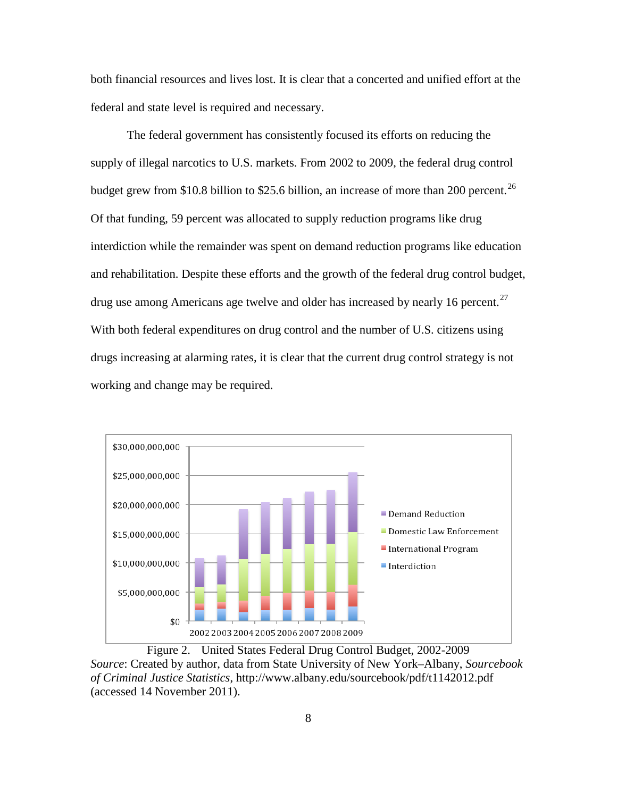both financial resources and lives lost. It is clear that a concerted and unified effort at the federal and state level is required and necessary.

The federal government has consistently focused its efforts on reducing the supply of illegal narcotics to U.S. markets. From 2002 to 2009, the federal drug control budget grew from \$10.8 billion to \$25.6 billion, an increase of more than 200 percent.<sup>[26](#page-29-0)</sup> Of that funding, 59 percent was allocated to supply reduction programs like drug interdiction while the remainder was spent on demand reduction programs like education and rehabilitation. Despite these efforts and the growth of the federal drug control budget, drug use among Americans age twelve and older has increased by nearly 16 percent.<sup>[27](#page-29-1)</sup> With both federal expenditures on drug control and the number of U.S. citizens using drugs increasing at alarming rates, it is clear that the current drug control strategy is not working and change may be required.



Figure 2. United States Federal Drug Control Budget, 2002-2009 *Source*: Created by author, data from State University of New York–Albany, *Sourcebook of Criminal Justice Statistics*, http://www.albany.edu/sourcebook/pdf/t1142012.pdf (accessed 14 November 2011).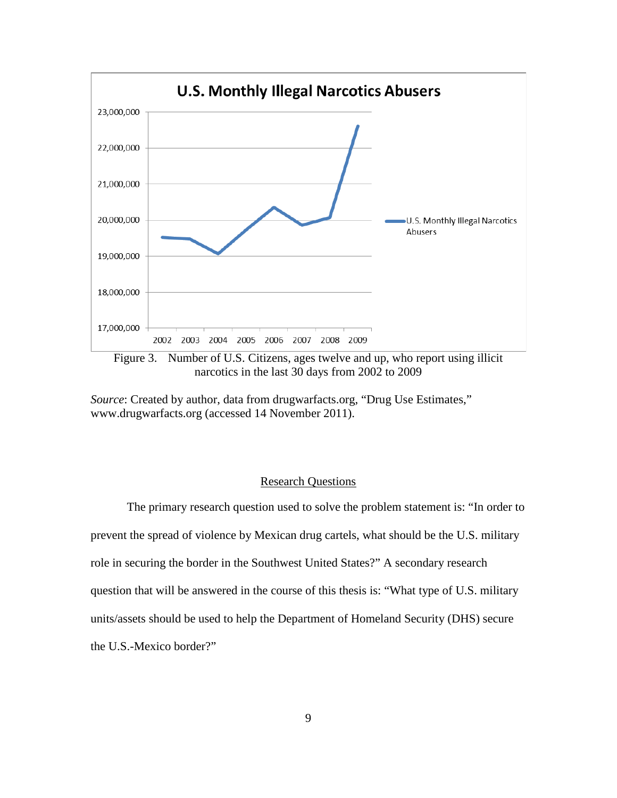

Figure 3. Number of U.S. Citizens, ages twelve and up, who report using illicit narcotics in the last 30 days from 2002 to 2009

*Source*: Created by author, data from drugwarfacts.org, "Drug Use Estimates," www.drugwarfacts.org (accessed 14 November 2011).

## Research Questions

The primary research question used to solve the problem statement is: "In order to prevent the spread of violence by Mexican drug cartels, what should be the U.S. military role in securing the border in the Southwest United States?" A secondary research question that will be answered in the course of this thesis is: "What type of U.S. military units/assets should be used to help the Department of Homeland Security (DHS) secure the U.S.-Mexico border?"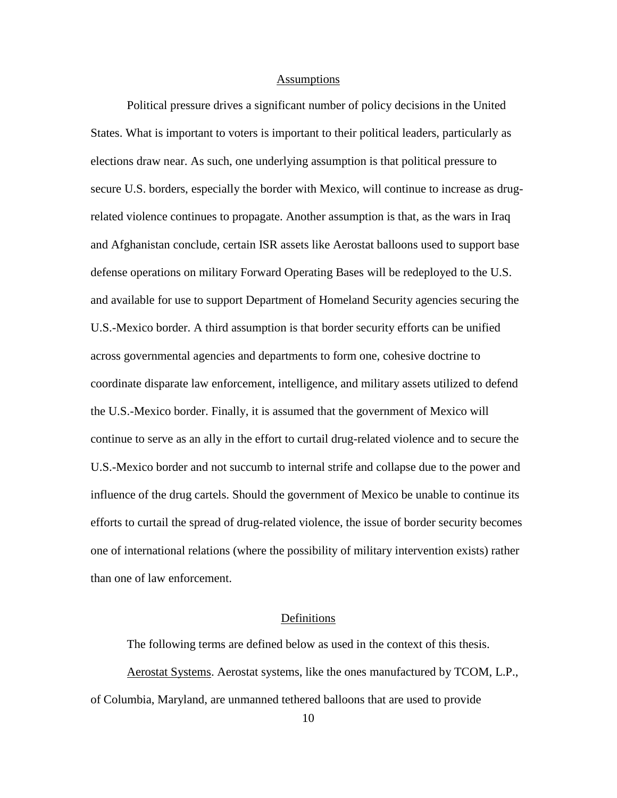#### **Assumptions**

Political pressure drives a significant number of policy decisions in the United States. What is important to voters is important to their political leaders, particularly as elections draw near. As such, one underlying assumption is that political pressure to secure U.S. borders, especially the border with Mexico, will continue to increase as drugrelated violence continues to propagate. Another assumption is that, as the wars in Iraq and Afghanistan conclude, certain ISR assets like Aerostat balloons used to support base defense operations on military Forward Operating Bases will be redeployed to the U.S. and available for use to support Department of Homeland Security agencies securing the U.S.-Mexico border. A third assumption is that border security efforts can be unified across governmental agencies and departments to form one, cohesive doctrine to coordinate disparate law enforcement, intelligence, and military assets utilized to defend the U.S.-Mexico border. Finally, it is assumed that the government of Mexico will continue to serve as an ally in the effort to curtail drug-related violence and to secure the U.S.-Mexico border and not succumb to internal strife and collapse due to the power and influence of the drug cartels. Should the government of Mexico be unable to continue its efforts to curtail the spread of drug-related violence, the issue of border security becomes one of international relations (where the possibility of military intervention exists) rather than one of law enforcement.

## Definitions

The following terms are defined below as used in the context of this thesis. Aerostat Systems. Aerostat systems, like the ones manufactured by TCOM, L.P., of Columbia, Maryland, are unmanned tethered balloons that are used to provide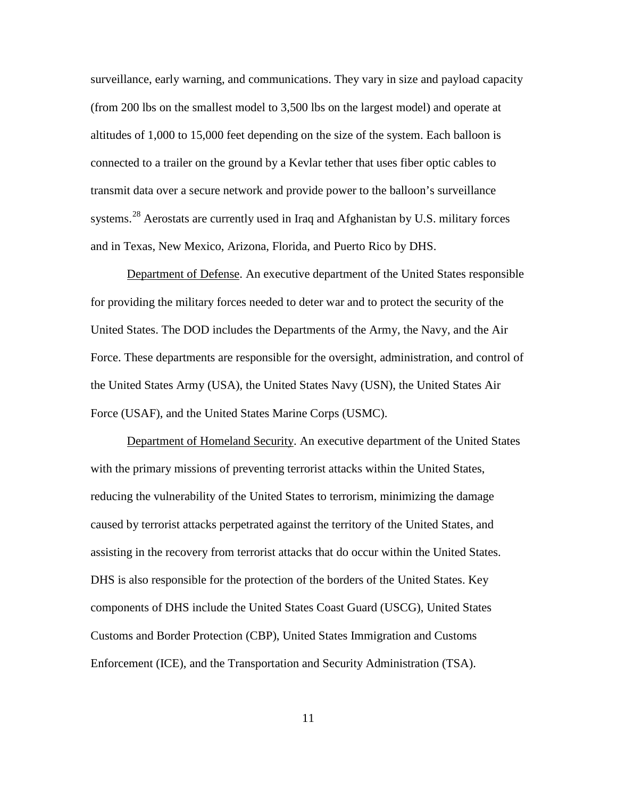surveillance, early warning, and communications. They vary in size and payload capacity (from 200 lbs on the smallest model to 3,500 lbs on the largest model) and operate at altitudes of 1,000 to 15,000 feet depending on the size of the system. Each balloon is connected to a trailer on the ground by a Kevlar tether that uses fiber optic cables to transmit data over a secure network and provide power to the balloon's surveillance systems.<sup>[28](#page-30-0)</sup> Aerostats are currently used in Iraq and Afghanistan by U.S. military forces and in Texas, New Mexico, Arizona, Florida, and Puerto Rico by DHS.

Department of Defense. An executive department of the United States responsible for providing the military forces needed to deter war and to protect the security of the United States. The DOD includes the Departments of the Army, the Navy, and the Air Force. These departments are responsible for the oversight, administration, and control of the United States Army (USA), the United States Navy (USN), the United States Air Force (USAF), and the United States Marine Corps (USMC).

Department of Homeland Security. An executive department of the United States with the primary missions of preventing terrorist attacks within the United States, reducing the vulnerability of the United States to terrorism, minimizing the damage caused by terrorist attacks perpetrated against the territory of the United States, and assisting in the recovery from terrorist attacks that do occur within the United States. DHS is also responsible for the protection of the borders of the United States. Key components of DHS include the United States Coast Guard (USCG), United States Customs and Border Protection (CBP), United States Immigration and Customs Enforcement (ICE), and the Transportation and Security Administration (TSA).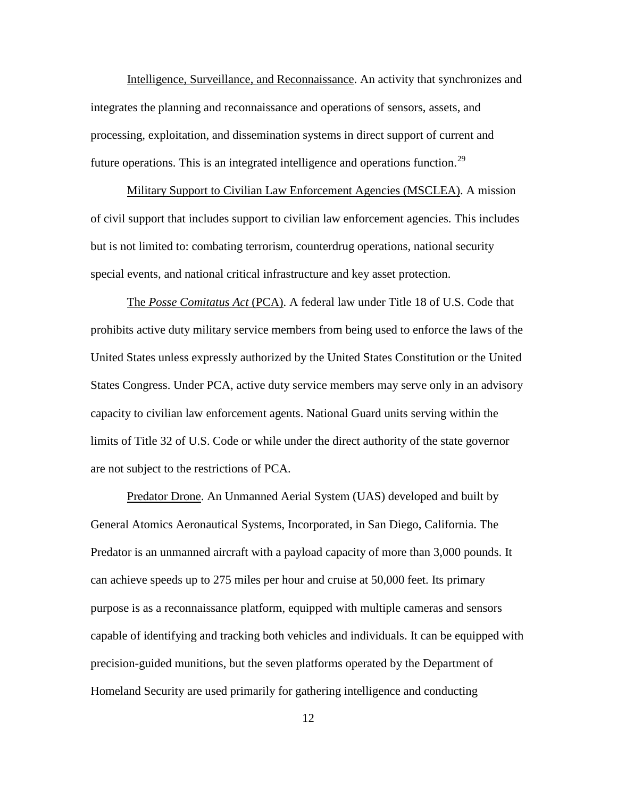Intelligence, Surveillance, and Reconnaissance. An activity that synchronizes and integrates the planning and reconnaissance and operations of sensors, assets, and processing, exploitation, and dissemination systems in direct support of current and future operations. This is an integrated intelligence and operations function.<sup>[29](#page-31-0)</sup>

Military Support to Civilian Law Enforcement Agencies (MSCLEA). A mission of civil support that includes support to civilian law enforcement agencies. This includes but is not limited to: combating terrorism, counterdrug operations, national security special events, and national critical infrastructure and key asset protection.

The *Posse Comitatus Act* (PCA). A federal law under Title 18 of U.S. Code that prohibits active duty military service members from being used to enforce the laws of the United States unless expressly authorized by the United States Constitution or the United States Congress. Under PCA, active duty service members may serve only in an advisory capacity to civilian law enforcement agents. National Guard units serving within the limits of Title 32 of U.S. Code or while under the direct authority of the state governor are not subject to the restrictions of PCA.

Predator Drone. An Unmanned Aerial System (UAS) developed and built by General Atomics Aeronautical Systems, Incorporated, in San Diego, California. The Predator is an unmanned aircraft with a payload capacity of more than 3,000 pounds. It can achieve speeds up to 275 miles per hour and cruise at 50,000 feet. Its primary purpose is as a reconnaissance platform, equipped with multiple cameras and sensors capable of identifying and tracking both vehicles and individuals. It can be equipped with precision-guided munitions, but the seven platforms operated by the Department of Homeland Security are used primarily for gathering intelligence and conducting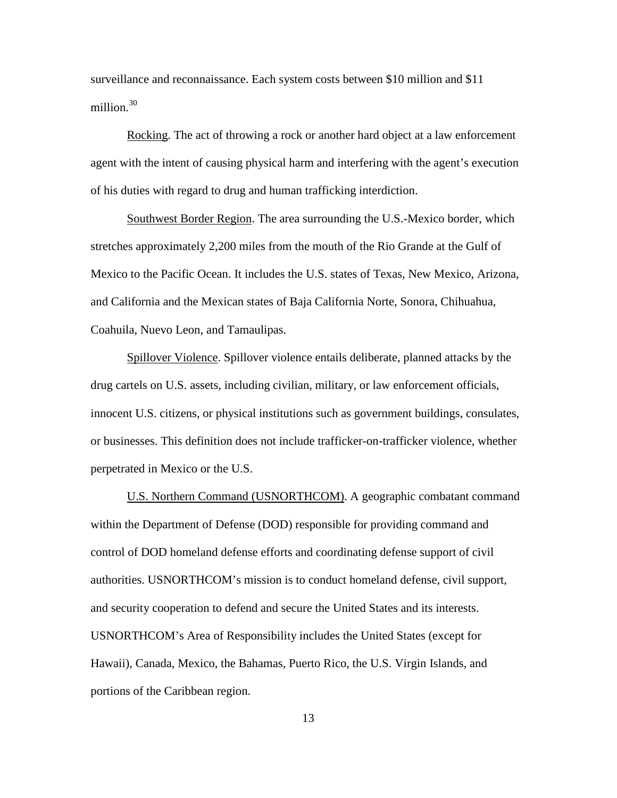surveillance and reconnaissance. Each system costs between \$10 million and \$11 million. [30](#page-32-0)

Rocking. The act of throwing a rock or another hard object at a law enforcement agent with the intent of causing physical harm and interfering with the agent's execution of his duties with regard to drug and human trafficking interdiction.

Southwest Border Region. The area surrounding the U.S.-Mexico border, which stretches approximately 2,200 miles from the mouth of the Rio Grande at the Gulf of Mexico to the Pacific Ocean. It includes the U.S. states of Texas, New Mexico, Arizona, and California and the Mexican states of Baja California Norte, Sonora, Chihuahua, Coahuila, Nuevo Leon, and Tamaulipas.

Spillover Violence. Spillover violence entails deliberate, planned attacks by the drug cartels on U.S. assets, including civilian, military, or law enforcement officials, innocent U.S. citizens, or physical institutions such as government buildings, consulates, or businesses. This definition does not include trafficker-on-trafficker violence, whether perpetrated in Mexico or the U.S.

U.S. Northern Command (USNORTHCOM). A geographic combatant command within the Department of Defense (DOD) responsible for providing command and control of DOD homeland defense efforts and coordinating defense support of civil authorities. USNORTHCOM's mission is to conduct homeland defense, civil support, and security cooperation to defend and secure the United States and its interests. USNORTHCOM's Area of Responsibility includes the United States (except for Hawaii), Canada, Mexico, the Bahamas, Puerto Rico, the U.S. Virgin Islands, and portions of the Caribbean region.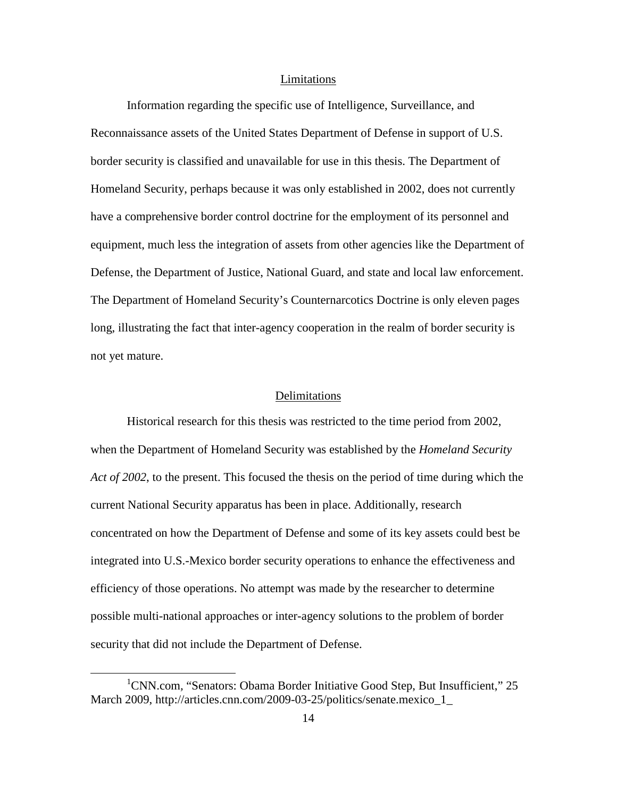#### Limitations

Information regarding the specific use of Intelligence, Surveillance, and Reconnaissance assets of the United States Department of Defense in support of U.S. border security is classified and unavailable for use in this thesis. The Department of Homeland Security, perhaps because it was only established in 2002, does not currently have a comprehensive border control doctrine for the employment of its personnel and equipment, much less the integration of assets from other agencies like the Department of Defense, the Department of Justice, National Guard, and state and local law enforcement. The Department of Homeland Security's Counternarcotics Doctrine is only eleven pages long, illustrating the fact that inter-agency cooperation in the realm of border security is not yet mature.

## Delimitations

Historical research for this thesis was restricted to the time period from 2002, when the Department of Homeland Security was established by the *Homeland Security Act of 2002*, to the present. This focused the thesis on the period of time during which the current National Security apparatus has been in place. Additionally, research concentrated on how the Department of Defense and some of its key assets could best be integrated into U.S.-Mexico border security operations to enhance the effectiveness and efficiency of those operations. No attempt was made by the researcher to determine possible multi-national approaches or inter-agency solutions to the problem of border security that did not include the Department of Defense.

<sup>&</sup>lt;u>1</u> <sup>1</sup>CNN.com, "Senators: Obama Border Initiative Good Step, But Insufficient," 25 March 2009, http://articles.cnn.com/2009-03-25/politics/senate.mexico\_1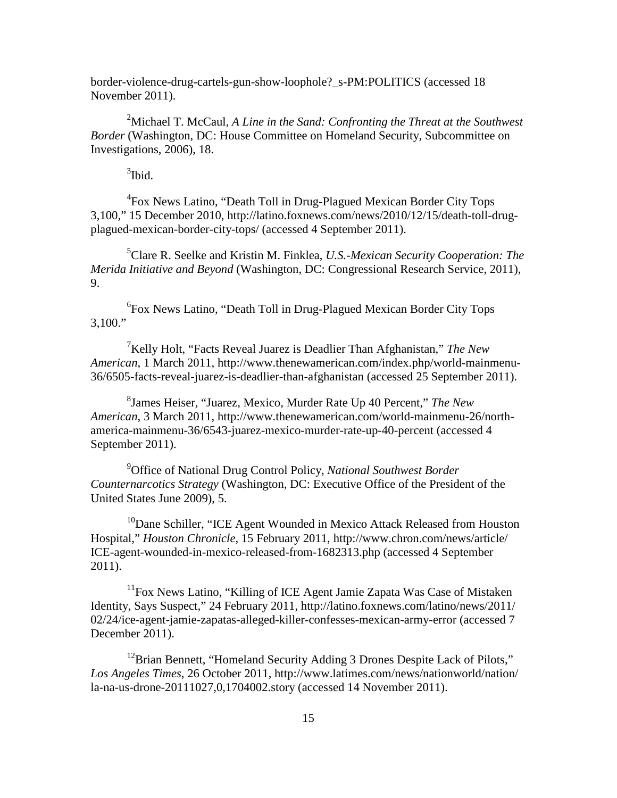border-violence-drug-cartels-gun-show-loophole?\_s-PM:POLITICS (accessed 18 November 2011).

<span id="page-23-1"></span><sup>2</sup>Michael T. McCaul, *A Line in the Sand: Confronting the Threat at the Southwest Border* (Washington, DC: House Committee on Homeland Security, Subcommittee on Investigations, 2006), 18.

 $3$ Ibid.

<sup>4</sup> Fox News Latino, "Death Toll in Drug-Plagued Mexican Border City Tops 3,100," 15 December 2010, http://latino.foxnews.com/news/2010/12/15/death-toll-drugplagued-mexican-border-city-tops/ (accessed 4 September 2011).

5 Clare R. Seelke and Kristin M. Finklea, *U.S.-Mexican Security Cooperation: The Merida Initiative and Beyond* (Washington, DC: Congressional Research Service, 2011), 9.

6 Fox News Latino, "Death Toll in Drug-Plagued Mexican Border City Tops  $3,100."$ 

7 Kelly Holt, "Facts Reveal Juarez is Deadlier Than Afghanistan," *The New American*, 1 March 2011, http://www.thenewamerican.com/index.php/world-mainmenu-36/6505-facts-reveal-juarez-is-deadlier-than-afghanistan (accessed 25 September 2011).

8 James Heiser, "Juarez, Mexico, Murder Rate Up 40 Percent," *The New American*, 3 March 2011, http://www.thenewamerican.com/world-mainmenu-26/northamerica-mainmenu-36/6543-juarez-mexico-murder-rate-up-40-percent (accessed 4 September 2011).

9 Office of National Drug Control Policy, *National Southwest Border Counternarcotics Strategy* (Washington, DC: Executive Office of the President of the United States June 2009), 5.

<sup>10</sup>Dane Schiller, "ICE Agent Wounded in Mexico Attack Released from Houston Hospital," *Houston Chronicle*, 15 February 2011, http://www.chron.com/news/article/ ICE-agent-wounded-in-mexico-released-from-1682313.php (accessed 4 September 2011).

<sup>11</sup>Fox News Latino, "Killing of ICE Agent Jamie Zapata Was Case of Mistaken Identity, Says Suspect," 24 February 2011, http://latino.foxnews.com/latino/news/2011/ 02/24/ice-agent-jamie-zapatas-alleged-killer-confesses-mexican-army-error (accessed 7 December 2011).

<span id="page-23-0"></span><sup>12</sup>Brian Bennett, "Homeland Security Adding 3 Drones Despite Lack of Pilots," *Los Angeles Times*, 26 October 2011, http://www.latimes.com/news/nationworld/nation/ la-na-us-drone-20111027,0,1704002.story (accessed 14 November 2011).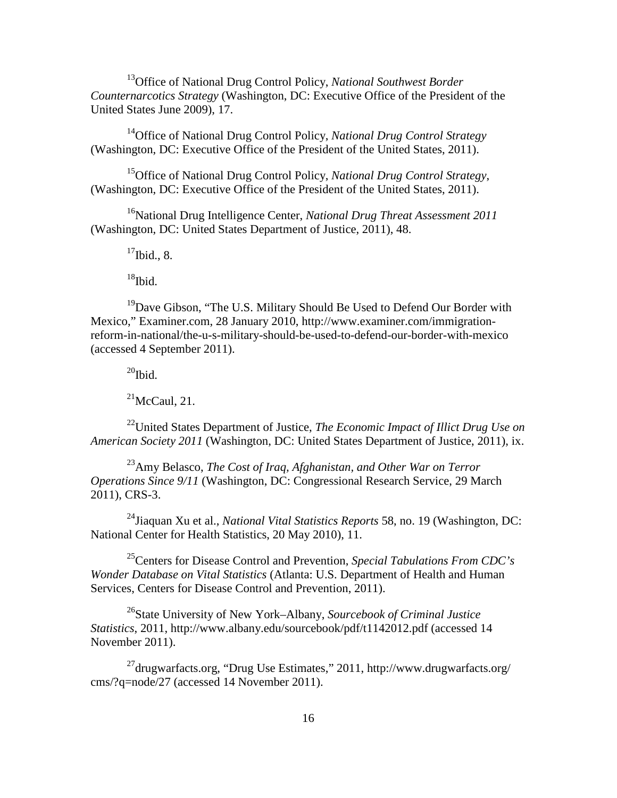13Office of National Drug Control Policy, *National Southwest Border Counternarcotics Strategy* (Washington, DC: Executive Office of the President of the United States June 2009), 17.

14Office of National Drug Control Policy, *National Drug Control Strategy* (Washington, DC: Executive Office of the President of the United States, 2011).

<span id="page-24-0"></span>15Office of National Drug Control Policy, *National Drug Control Strategy*, (Washington, DC: Executive Office of the President of the United States, 2011).

<span id="page-24-2"></span><span id="page-24-1"></span>16National Drug Intelligence Center, *National Drug Threat Assessment 2011* (Washington, DC: United States Department of Justice, 2011), 48.

 $17$ Ibid., 8.

 $18$ Ibid.

<span id="page-24-4"></span><span id="page-24-3"></span><sup>19</sup>Dave Gibson, "The U.S. Military Should Be Used to Defend Our Border with Mexico," Examiner.com, 28 January 2010, http://www.examiner.com/immigrationreform-in-national/the-u-s-military-should-be-used-to-defend-our-border-with-mexico (accessed 4 September 2011).

 $^{20}$ Ibid.

 $21$ McCaul, 21.

<span id="page-24-5"></span>22United States Department of Justice, *The Economic Impact of Illict Drug Use on American Society 2011* (Washington, DC: United States Department of Justice, 2011), ix.

<span id="page-24-6"></span>23Amy Belasco, *The Cost of Iraq, Afghanistan, and Other War on Terror Operations Since 9/11* (Washington, DC: Congressional Research Service, 29 March 2011), CRS-3.

24Jiaquan Xu et al., *National Vital Statistics Reports* 58, no. 19 (Washington, DC: National Center for Health Statistics, 20 May 2010), 11.

25Centers for Disease Control and Prevention, *Special Tabulations From CDC's Wonder Database on Vital Statistics* (Atlanta: U.S. Department of Health and Human Services, Centers for Disease Control and Prevention, 2011).

26State University of New York–Albany, *Sourcebook of Criminal Justice Statistics*, 2011, http://www.albany.edu/sourcebook/pdf/t1142012.pdf (accessed 14 November 2011).

27drugwarfacts.org, "Drug Use Estimates," 2011, http://www.drugwarfacts.org/ cms/?q=node/27 (accessed 14 November 2011).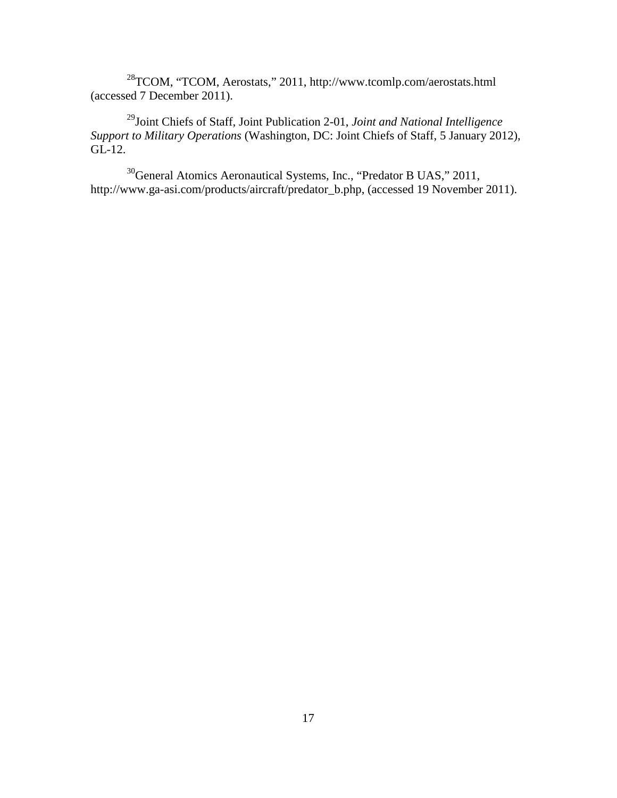28TCOM, "TCOM, Aerostats," 2011, http://www.tcomlp.com/aerostats.html (accessed 7 December 2011).

29Joint Chiefs of Staff, Joint Publication 2-01, *Joint and National Intelligence Support to Military Operations* (Washington, DC: Joint Chiefs of Staff, 5 January 2012), GL-12.

<span id="page-25-2"></span><span id="page-25-1"></span><span id="page-25-0"></span>30General Atomics Aeronautical Systems, Inc., "Predator B UAS," 2011, http://www.ga-asi.com/products/aircraft/predator\_b.php, (accessed 19 November 2011).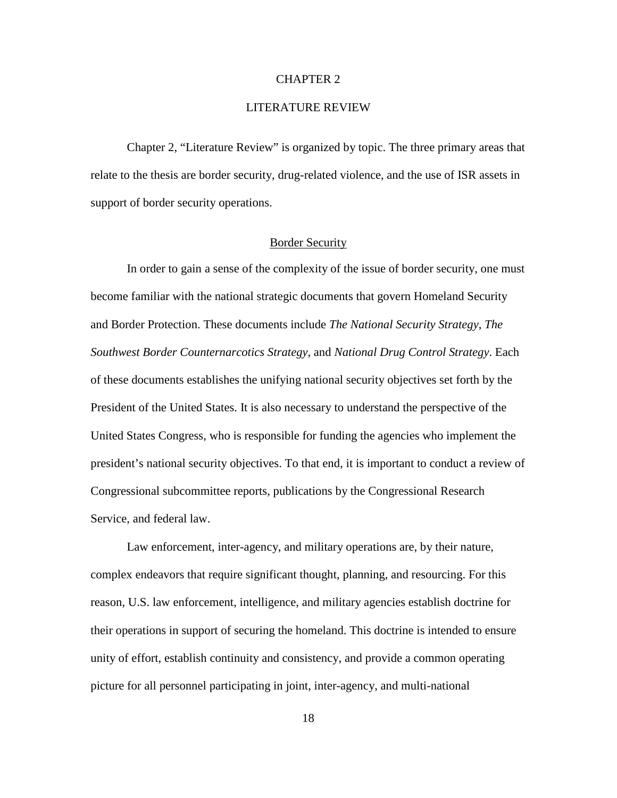## CHAPTER 2

## LITERATURE REVIEW

<span id="page-26-2"></span><span id="page-26-1"></span><span id="page-26-0"></span>Chapter 2, "Literature Review" is organized by topic. The three primary areas that relate to the thesis are border security, drug-related violence, and the use of ISR assets in support of border security operations.

#### Border Security

<span id="page-26-4"></span><span id="page-26-3"></span>In order to gain a sense of the complexity of the issue of border security, one must become familiar with the national strategic documents that govern Homeland Security and Border Protection. These documents include *The National Security Strategy*, *The Southwest Border Counternarcotics Strategy*, and *National Drug Control Strategy*. Each of these documents establishes the unifying national security objectives set forth by the President of the United States. It is also necessary to understand the perspective of the United States Congress, who is responsible for funding the agencies who implement the president's national security objectives. To that end, it is important to conduct a review of Congressional subcommittee reports, publications by the Congressional Research Service, and federal law.

Law enforcement, inter-agency, and military operations are, by their nature, complex endeavors that require significant thought, planning, and resourcing. For this reason, U.S. law enforcement, intelligence, and military agencies establish doctrine for their operations in support of securing the homeland. This doctrine is intended to ensure unity of effort, establish continuity and consistency, and provide a common operating picture for all personnel participating in joint, inter-agency, and multi-national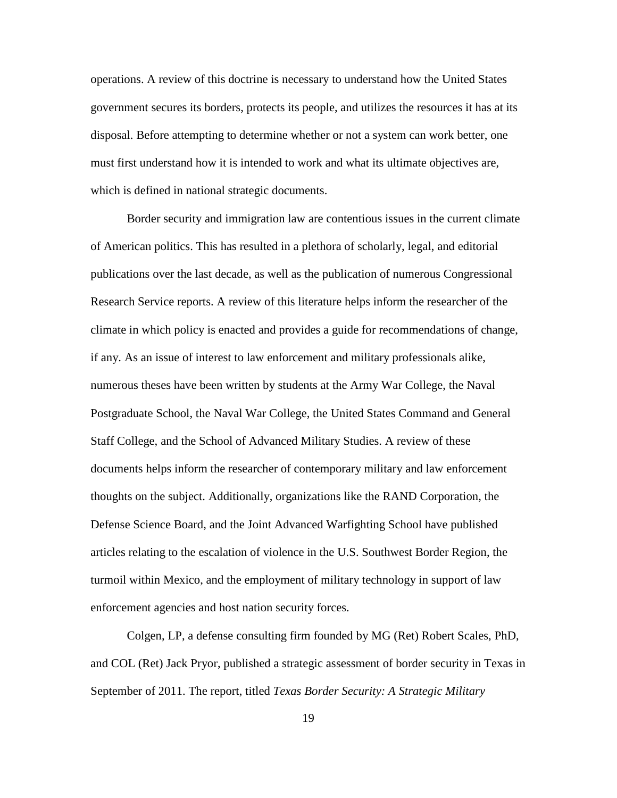operations. A review of this doctrine is necessary to understand how the United States government secures its borders, protects its people, and utilizes the resources it has at its disposal. Before attempting to determine whether or not a system can work better, one must first understand how it is intended to work and what its ultimate objectives are, which is defined in national strategic documents.

<span id="page-27-3"></span><span id="page-27-2"></span><span id="page-27-1"></span><span id="page-27-0"></span>Border security and immigration law are contentious issues in the current climate of American politics. This has resulted in a plethora of scholarly, legal, and editorial publications over the last decade, as well as the publication of numerous Congressional Research Service reports. A review of this literature helps inform the researcher of the climate in which policy is enacted and provides a guide for recommendations of change, if any. As an issue of interest to law enforcement and military professionals alike, numerous theses have been written by students at the Army War College, the Naval Postgraduate School, the Naval War College, the United States Command and General Staff College, and the School of Advanced Military Studies. A review of these documents helps inform the researcher of contemporary military and law enforcement thoughts on the subject. Additionally, organizations like the RAND Corporation, the Defense Science Board, and the Joint Advanced Warfighting School have published articles relating to the escalation of violence in the U.S. Southwest Border Region, the turmoil within Mexico, and the employment of military technology in support of law enforcement agencies and host nation security forces.

Colgen, LP, a defense consulting firm founded by MG (Ret) Robert Scales, PhD, and COL (Ret) Jack Pryor, published a strategic assessment of border security in Texas in September of 2011. The report, titled *Texas Border Security: A Strategic Military*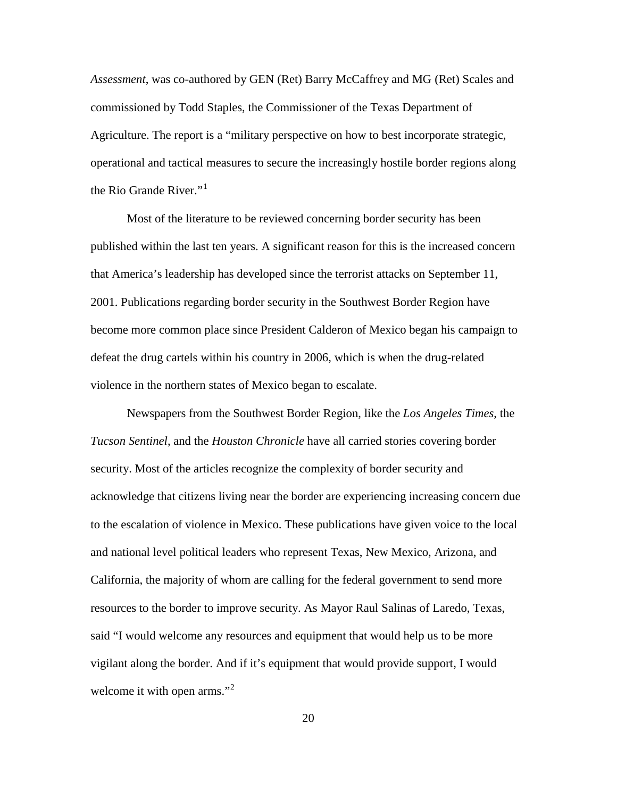*Assessment*, was co-authored by GEN (Ret) Barry McCaffrey and MG (Ret) Scales and commissioned by Todd Staples, the Commissioner of the Texas Department of Agriculture. The report is a "military perspective on how to best incorporate strategic, operational and tactical measures to secure the increasingly hostile border regions along the Rio Grande River."<sup>[1](#page-32-1)</sup>

Most of the literature to be reviewed concerning border security has been published within the last ten years. A significant reason for this is the increased concern that America's leadership has developed since the terrorist attacks on September 11, 2001. Publications regarding border security in the Southwest Border Region have become more common place since President Calderon of Mexico began his campaign to defeat the drug cartels within his country in 2006, which is when the drug-related violence in the northern states of Mexico began to escalate.

<span id="page-28-3"></span><span id="page-28-2"></span><span id="page-28-1"></span><span id="page-28-0"></span>Newspapers from the Southwest Border Region, like the *Los Angeles Times*, the *Tucson Sentinel*, and the *Houston Chronicle* have all carried stories covering border security. Most of the articles recognize the complexity of border security and acknowledge that citizens living near the border are experiencing increasing concern due to the escalation of violence in Mexico. These publications have given voice to the local and national level political leaders who represent Texas, New Mexico, Arizona, and California, the majority of whom are calling for the federal government to send more resources to the border to improve security. As Mayor Raul Salinas of Laredo, Texas, said "I would welcome any resources and equipment that would help us to be more vigilant along the border. And if it's equipment that would provide support, I would welcome it with open arms."<sup>[2](#page-32-2)</sup>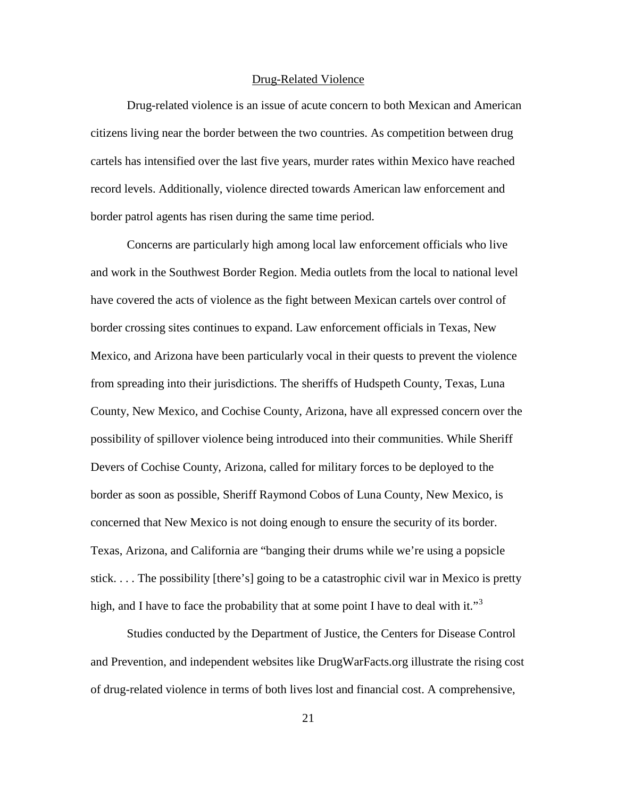#### Drug-Related Violence

Drug-related violence is an issue of acute concern to both Mexican and American citizens living near the border between the two countries. As competition between drug cartels has intensified over the last five years, murder rates within Mexico have reached record levels. Additionally, violence directed towards American law enforcement and border patrol agents has risen during the same time period.

Concerns are particularly high among local law enforcement officials who live and work in the Southwest Border Region. Media outlets from the local to national level have covered the acts of violence as the fight between Mexican cartels over control of border crossing sites continues to expand. Law enforcement officials in Texas, New Mexico, and Arizona have been particularly vocal in their quests to prevent the violence from spreading into their jurisdictions. The sheriffs of Hudspeth County, Texas, Luna County, New Mexico, and Cochise County, Arizona, have all expressed concern over the possibility of spillover violence being introduced into their communities. While Sheriff Devers of Cochise County, Arizona, called for military forces to be deployed to the border as soon as possible, Sheriff Raymond Cobos of Luna County, New Mexico, is concerned that New Mexico is not doing enough to ensure the security of its border. Texas, Arizona, and California are "banging their drums while we're using a popsicle stick. . . . The possibility [there's] going to be a catastrophic civil war in Mexico is pretty high, and I have to face the probability that at some point I have to deal with it."<sup>[3](#page-32-3)</sup>

<span id="page-29-1"></span><span id="page-29-0"></span>Studies conducted by the Department of Justice, the Centers for Disease Control and Prevention, and independent websites like DrugWarFacts.org illustrate the rising cost of drug-related violence in terms of both lives lost and financial cost. A comprehensive,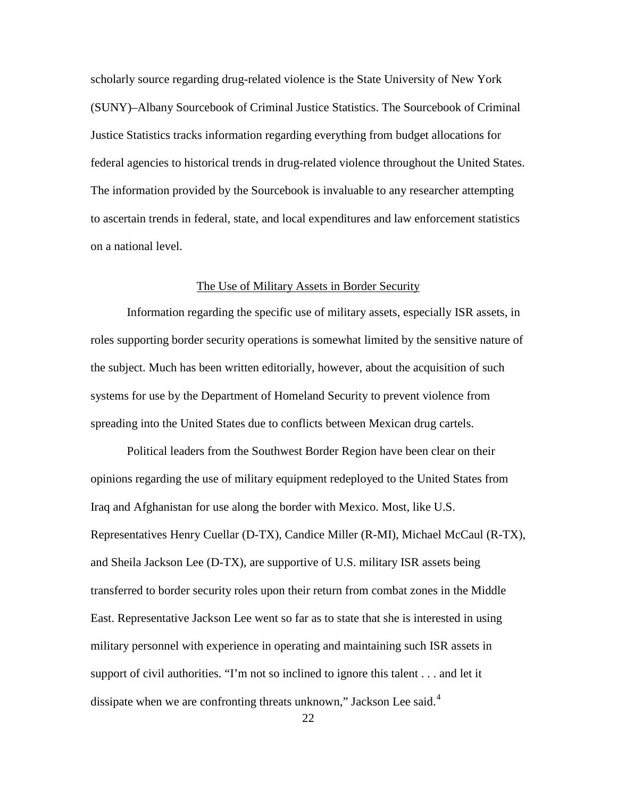<span id="page-30-0"></span>scholarly source regarding drug-related violence is the State University of New York (SUNY)–Albany Sourcebook of Criminal Justice Statistics. The Sourcebook of Criminal Justice Statistics tracks information regarding everything from budget allocations for federal agencies to historical trends in drug-related violence throughout the United States. The information provided by the Sourcebook is invaluable to any researcher attempting to ascertain trends in federal, state, and local expenditures and law enforcement statistics on a national level.

#### The Use of Military Assets in Border Security

Information regarding the specific use of military assets, especially ISR assets, in roles supporting border security operations is somewhat limited by the sensitive nature of the subject. Much has been written editorially, however, about the acquisition of such systems for use by the Department of Homeland Security to prevent violence from spreading into the United States due to conflicts between Mexican drug cartels.

Political leaders from the Southwest Border Region have been clear on their opinions regarding the use of military equipment redeployed to the United States from Iraq and Afghanistan for use along the border with Mexico. Most, like U.S. Representatives Henry Cuellar (D-TX), Candice Miller (R-MI), Michael McCaul (R-TX), and Sheila Jackson Lee (D-TX), are supportive of U.S. military ISR assets being transferred to border security roles upon their return from combat zones in the Middle East. Representative Jackson Lee went so far as to state that she is interested in using military personnel with experience in operating and maintaining such ISR assets in support of civil authorities. "I'm not so inclined to ignore this talent . . . and let it dissipate when we are confronting threats unknown," Jackson Lee said.<sup>[4](#page-32-4)</sup>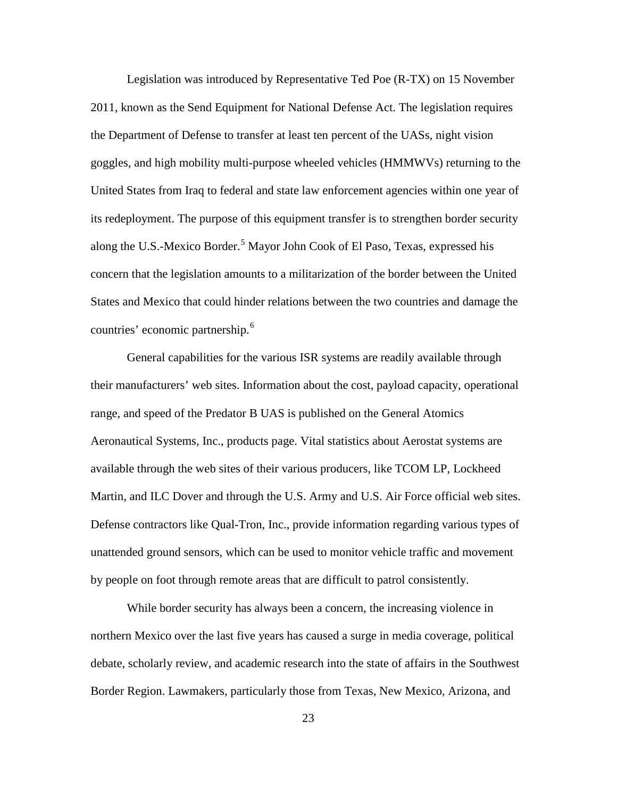<span id="page-31-0"></span>Legislation was introduced by Representative Ted Poe (R-TX) on 15 November 2011, known as the Send Equipment for National Defense Act. The legislation requires the Department of Defense to transfer at least ten percent of the UASs, night vision goggles, and high mobility multi-purpose wheeled vehicles (HMMWVs) returning to the United States from Iraq to federal and state law enforcement agencies within one year of its redeployment. The purpose of this equipment transfer is to strengthen border security along the U.S.-Mexico Border.<sup>[5](#page-32-5)</sup> Mayor John Cook of El Paso, Texas, expressed his concern that the legislation amounts to a militarization of the border between the United States and Mexico that could hinder relations between the two countries and damage the countries' economic partnership. [6](#page-32-6)

General capabilities for the various ISR systems are readily available through their manufacturers' web sites. Information about the cost, payload capacity, operational range, and speed of the Predator B UAS is published on the General Atomics Aeronautical Systems, Inc., products page. Vital statistics about Aerostat systems are available through the web sites of their various producers, like TCOM LP, Lockheed Martin, and ILC Dover and through the U.S. Army and U.S. Air Force official web sites. Defense contractors like Qual-Tron, Inc., provide information regarding various types of unattended ground sensors, which can be used to monitor vehicle traffic and movement by people on foot through remote areas that are difficult to patrol consistently.

While border security has always been a concern, the increasing violence in northern Mexico over the last five years has caused a surge in media coverage, political debate, scholarly review, and academic research into the state of affairs in the Southwest Border Region. Lawmakers, particularly those from Texas, New Mexico, Arizona, and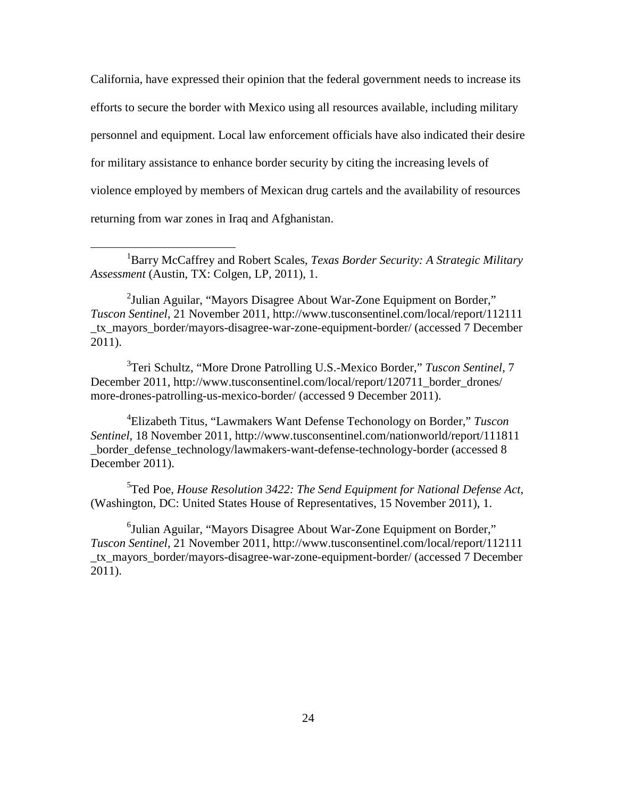California, have expressed their opinion that the federal government needs to increase its efforts to secure the border with Mexico using all resources available, including military personnel and equipment. Local law enforcement officials have also indicated their desire for military assistance to enhance border security by citing the increasing levels of violence employed by members of Mexican drug cartels and the availability of resources returning from war zones in Iraq and Afghanistan.

<span id="page-32-2"></span><sup>2</sup>Julian Aguilar, "Mayors Disagree About War-Zone Equipment on Border," *Tuscon Sentinel*, 21 November 2011, http://www.tusconsentinel.com/local/report/112111 \_tx\_mayors\_border/mayors-disagree-war-zone-equipment-border/ (accessed 7 December 2011).

<span id="page-32-3"></span>3 Teri Schultz, "More Drone Patrolling U.S.-Mexico Border," *Tuscon Sentinel*, 7 December 2011, http://www.tusconsentinel.com/local/report/120711\_border\_drones/ more-drones-patrolling-us-mexico-border/ (accessed 9 December 2011).

<span id="page-32-4"></span>4 Elizabeth Titus, "Lawmakers Want Defense Techonology on Border," *Tuscon Sentinel*, 18 November 2011, http://www.tusconsentinel.com/nationworld/report/111811 \_border\_defense\_technology/lawmakers-want-defense-technology-border (accessed 8 December 2011).

<span id="page-32-5"></span>5 Ted Poe, *House Resolution 3422: The Send Equipment for National Defense Act*, (Washington, DC: United States House of Representatives, 15 November 2011), 1.

<span id="page-32-6"></span><sup>6</sup>Julian Aguilar, "Mayors Disagree About War-Zone Equipment on Border," *Tuscon Sentinel*, 21 November 2011, http://www.tusconsentinel.com/local/report/112111 \_tx\_mayors\_border/mayors-disagree-war-zone-equipment-border/ (accessed 7 December 2011).

<span id="page-32-1"></span><span id="page-32-0"></span><sup>&</sup>lt;u>1</u> Barry McCaffrey and Robert Scales, *Texas Border Security: A Strategic Military Assessment* (Austin, TX: Colgen, LP, 2011), 1.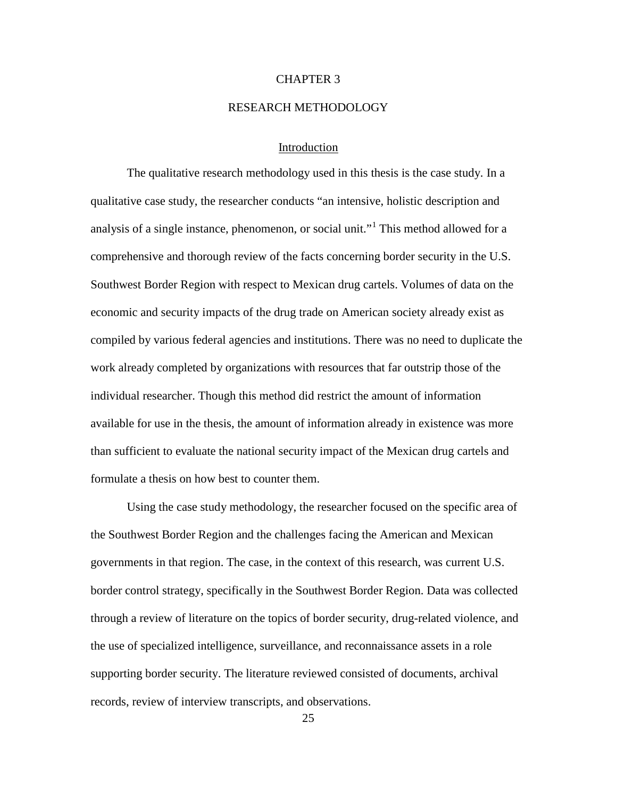## CHAPTER 3

#### RESEARCH METHODOLOGY

## Introduction

The qualitative research methodology used in this thesis is the case study. In a qualitative case study, the researcher conducts "an intensive, holistic description and analysis of a single instance, phenomenon, or social unit."<sup>[1](#page-37-0)</sup> This method allowed for a comprehensive and thorough review of the facts concerning border security in the U.S. Southwest Border Region with respect to Mexican drug cartels. Volumes of data on the economic and security impacts of the drug trade on American society already exist as compiled by various federal agencies and institutions. There was no need to duplicate the work already completed by organizations with resources that far outstrip those of the individual researcher. Though this method did restrict the amount of information available for use in the thesis, the amount of information already in existence was more than sufficient to evaluate the national security impact of the Mexican drug cartels and formulate a thesis on how best to counter them.

Using the case study methodology, the researcher focused on the specific area of the Southwest Border Region and the challenges facing the American and Mexican governments in that region. The case, in the context of this research, was current U.S. border control strategy, specifically in the Southwest Border Region. Data was collected through a review of literature on the topics of border security, drug-related violence, and the use of specialized intelligence, surveillance, and reconnaissance assets in a role supporting border security. The literature reviewed consisted of documents, archival records, review of interview transcripts, and observations.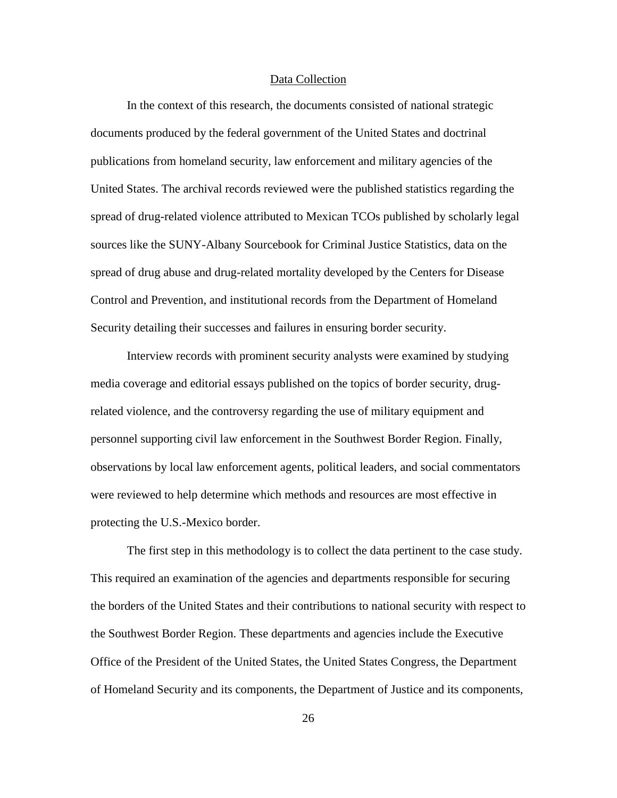#### Data Collection

In the context of this research, the documents consisted of national strategic documents produced by the federal government of the United States and doctrinal publications from homeland security, law enforcement and military agencies of the United States. The archival records reviewed were the published statistics regarding the spread of drug-related violence attributed to Mexican TCOs published by scholarly legal sources like the SUNY-Albany Sourcebook for Criminal Justice Statistics, data on the spread of drug abuse and drug-related mortality developed by the Centers for Disease Control and Prevention, and institutional records from the Department of Homeland Security detailing their successes and failures in ensuring border security.

Interview records with prominent security analysts were examined by studying media coverage and editorial essays published on the topics of border security, drugrelated violence, and the controversy regarding the use of military equipment and personnel supporting civil law enforcement in the Southwest Border Region. Finally, observations by local law enforcement agents, political leaders, and social commentators were reviewed to help determine which methods and resources are most effective in protecting the U.S.-Mexico border.

The first step in this methodology is to collect the data pertinent to the case study. This required an examination of the agencies and departments responsible for securing the borders of the United States and their contributions to national security with respect to the Southwest Border Region. These departments and agencies include the Executive Office of the President of the United States, the United States Congress, the Department of Homeland Security and its components, the Department of Justice and its components,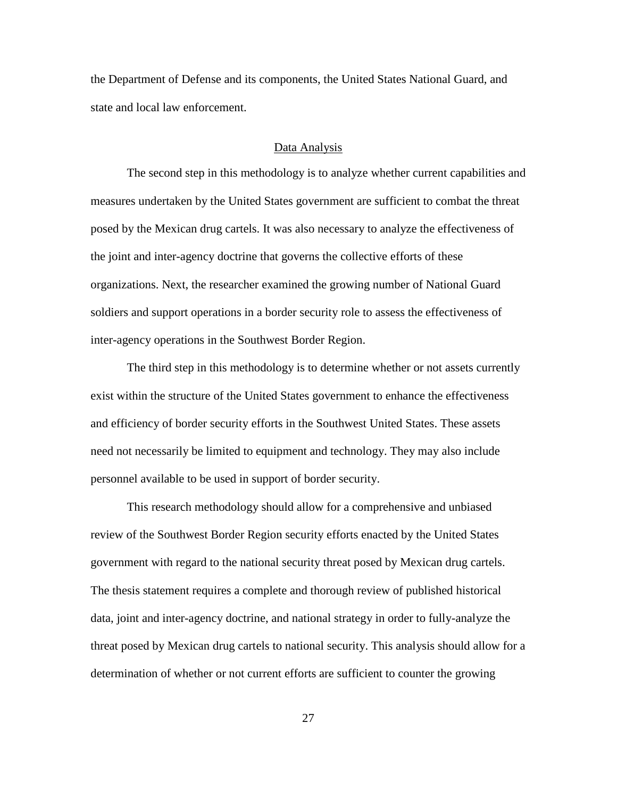the Department of Defense and its components, the United States National Guard, and state and local law enforcement.

#### Data Analysis

The second step in this methodology is to analyze whether current capabilities and measures undertaken by the United States government are sufficient to combat the threat posed by the Mexican drug cartels. It was also necessary to analyze the effectiveness of the joint and inter-agency doctrine that governs the collective efforts of these organizations. Next, the researcher examined the growing number of National Guard soldiers and support operations in a border security role to assess the effectiveness of inter-agency operations in the Southwest Border Region.

The third step in this methodology is to determine whether or not assets currently exist within the structure of the United States government to enhance the effectiveness and efficiency of border security efforts in the Southwest United States. These assets need not necessarily be limited to equipment and technology. They may also include personnel available to be used in support of border security.

This research methodology should allow for a comprehensive and unbiased review of the Southwest Border Region security efforts enacted by the United States government with regard to the national security threat posed by Mexican drug cartels. The thesis statement requires a complete and thorough review of published historical data, joint and inter-agency doctrine, and national strategy in order to fully-analyze the threat posed by Mexican drug cartels to national security. This analysis should allow for a determination of whether or not current efforts are sufficient to counter the growing

27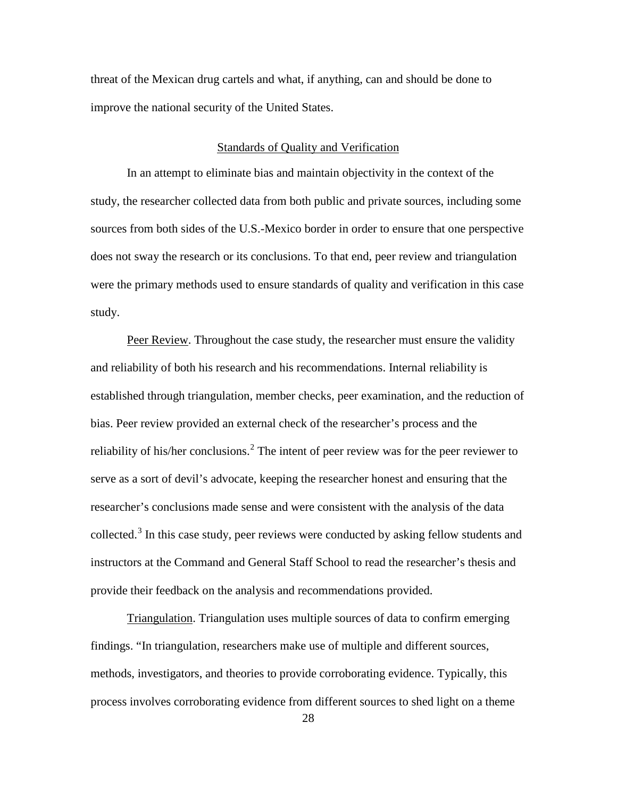threat of the Mexican drug cartels and what, if anything, can and should be done to improve the national security of the United States.

#### Standards of Quality and Verification

In an attempt to eliminate bias and maintain objectivity in the context of the study, the researcher collected data from both public and private sources, including some sources from both sides of the U.S.-Mexico border in order to ensure that one perspective does not sway the research or its conclusions. To that end, peer review and triangulation were the primary methods used to ensure standards of quality and verification in this case study.

Peer Review. Throughout the case study, the researcher must ensure the validity and reliability of both his research and his recommendations. Internal reliability is established through triangulation, member checks, peer examination, and the reduction of bias. Peer review provided an external check of the researcher's process and the reliability of his/her conclusions.<sup>[2](#page-37-1)</sup> The intent of peer review was for the peer reviewer to serve as a sort of devil's advocate, keeping the researcher honest and ensuring that the researcher's conclusions made sense and were consistent with the analysis of the data collected.<sup>[3](#page-37-2)</sup> In this case study, peer reviews were conducted by asking fellow students and instructors at the Command and General Staff School to read the researcher's thesis and provide their feedback on the analysis and recommendations provided.

Triangulation. Triangulation uses multiple sources of data to confirm emerging findings. "In triangulation, researchers make use of multiple and different sources, methods, investigators, and theories to provide corroborating evidence. Typically, this process involves corroborating evidence from different sources to shed light on a theme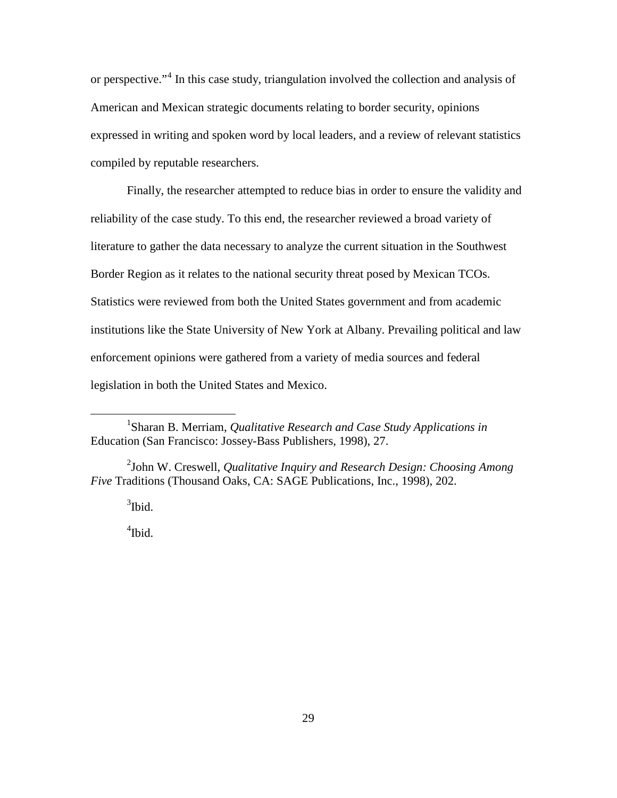or perspective."[4](#page-37-3) In this case study, triangulation involved the collection and analysis of American and Mexican strategic documents relating to border security, opinions expressed in writing and spoken word by local leaders, and a review of relevant statistics compiled by reputable researchers.

Finally, the researcher attempted to reduce bias in order to ensure the validity and reliability of the case study. To this end, the researcher reviewed a broad variety of literature to gather the data necessary to analyze the current situation in the Southwest Border Region as it relates to the national security threat posed by Mexican TCOs. Statistics were reviewed from both the United States government and from academic institutions like the State University of New York at Albany. Prevailing political and law enforcement opinions were gathered from a variety of media sources and federal legislation in both the United States and Mexico.

<span id="page-37-3"></span><span id="page-37-2"></span><span id="page-37-1"></span>2 John W. Creswell, *Qualitative Inquiry and Research Design: Choosing Among Five* Traditions (Thousand Oaks, CA: SAGE Publications, Inc., 1998), 202.

 $3$ Ibid.

4 Ibid.

<span id="page-37-0"></span><sup>1&</sup>lt;sup>1</sup> Sharan B. Merriam, *Qualitative Research and Case Study Applications in*  Education (San Francisco: Jossey-Bass Publishers, 1998), 27.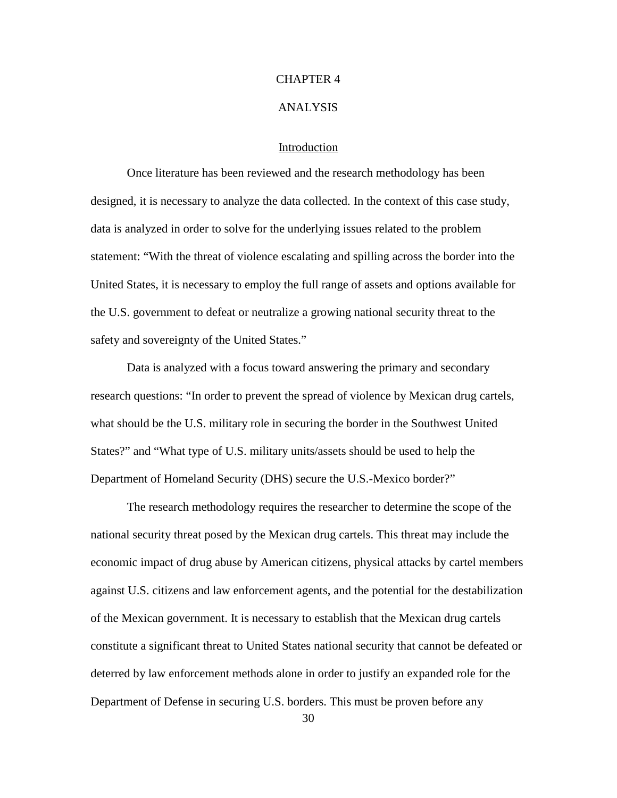## CHAPTER 4

#### ANALYSIS

## Introduction

Once literature has been reviewed and the research methodology has been designed, it is necessary to analyze the data collected. In the context of this case study, data is analyzed in order to solve for the underlying issues related to the problem statement: "With the threat of violence escalating and spilling across the border into the United States, it is necessary to employ the full range of assets and options available for the U.S. government to defeat or neutralize a growing national security threat to the safety and sovereignty of the United States."

Data is analyzed with a focus toward answering the primary and secondary research questions: "In order to prevent the spread of violence by Mexican drug cartels, what should be the U.S. military role in securing the border in the Southwest United States?" and "What type of U.S. military units/assets should be used to help the Department of Homeland Security (DHS) secure the U.S.-Mexico border?"

The research methodology requires the researcher to determine the scope of the national security threat posed by the Mexican drug cartels. This threat may include the economic impact of drug abuse by American citizens, physical attacks by cartel members against U.S. citizens and law enforcement agents, and the potential for the destabilization of the Mexican government. It is necessary to establish that the Mexican drug cartels constitute a significant threat to United States national security that cannot be defeated or deterred by law enforcement methods alone in order to justify an expanded role for the Department of Defense in securing U.S. borders. This must be proven before any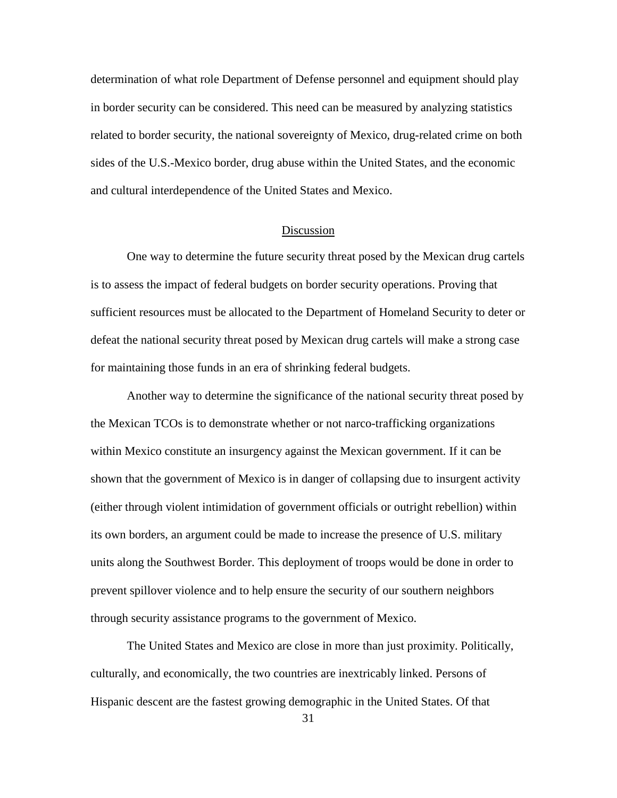determination of what role Department of Defense personnel and equipment should play in border security can be considered. This need can be measured by analyzing statistics related to border security, the national sovereignty of Mexico, drug-related crime on both sides of the U.S.-Mexico border, drug abuse within the United States, and the economic and cultural interdependence of the United States and Mexico.

#### Discussion

One way to determine the future security threat posed by the Mexican drug cartels is to assess the impact of federal budgets on border security operations. Proving that sufficient resources must be allocated to the Department of Homeland Security to deter or defeat the national security threat posed by Mexican drug cartels will make a strong case for maintaining those funds in an era of shrinking federal budgets.

Another way to determine the significance of the national security threat posed by the Mexican TCOs is to demonstrate whether or not narco-trafficking organizations within Mexico constitute an insurgency against the Mexican government. If it can be shown that the government of Mexico is in danger of collapsing due to insurgent activity (either through violent intimidation of government officials or outright rebellion) within its own borders, an argument could be made to increase the presence of U.S. military units along the Southwest Border. This deployment of troops would be done in order to prevent spillover violence and to help ensure the security of our southern neighbors through security assistance programs to the government of Mexico.

The United States and Mexico are close in more than just proximity. Politically, culturally, and economically, the two countries are inextricably linked. Persons of Hispanic descent are the fastest growing demographic in the United States. Of that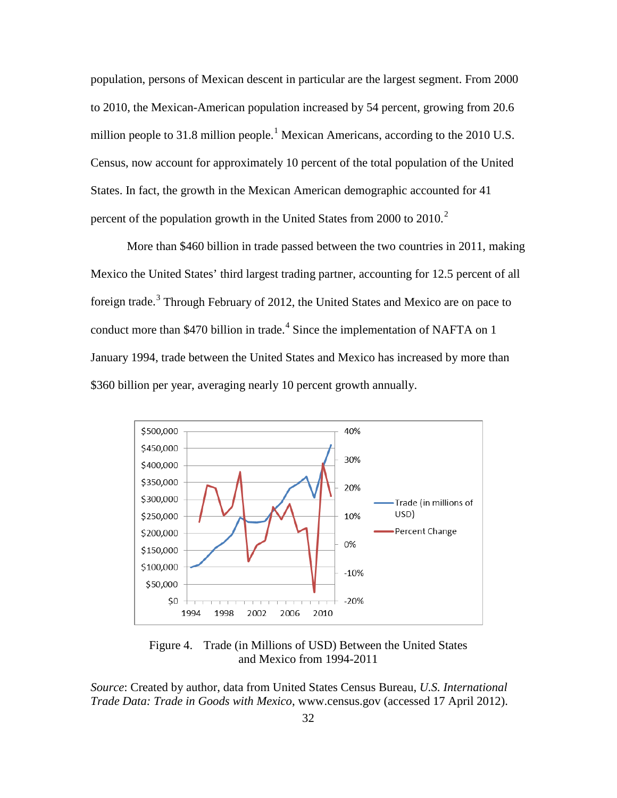population, persons of Mexican descent in particular are the largest segment. From 2000 to 2010, the Mexican-American population increased by 54 percent, growing from 20.6 million people to 3[1](#page-60-0).8 million people.<sup>1</sup> Mexican Americans, according to the 2010 U.S. Census, now account for approximately 10 percent of the total population of the United States. In fact, the growth in the Mexican American demographic accounted for 41 percent of the population growth in the United States from [2](#page-60-1)000 to  $2010$ .

More than \$460 billion in trade passed between the two countries in 2011, making Mexico the United States' third largest trading partner, accounting for 12.5 percent of all foreign trade.<sup>[3](#page-60-2)</sup> Through February of 2012, the United States and Mexico are on pace to conduct more than \$470 billion in trade. [4](#page-60-3) Since the implementation of NAFTA on 1 January 1994, trade between the United States and Mexico has increased by more than \$360 billion per year, averaging nearly 10 percent growth annually.



Figure 4. Trade (in Millions of USD) Between the United States and Mexico from 1994-2011

*Source*: Created by author, data from United States Census Bureau, *U.S. International Trade Data: Trade in Goods with Mexico*, www.census.gov (accessed 17 April 2012).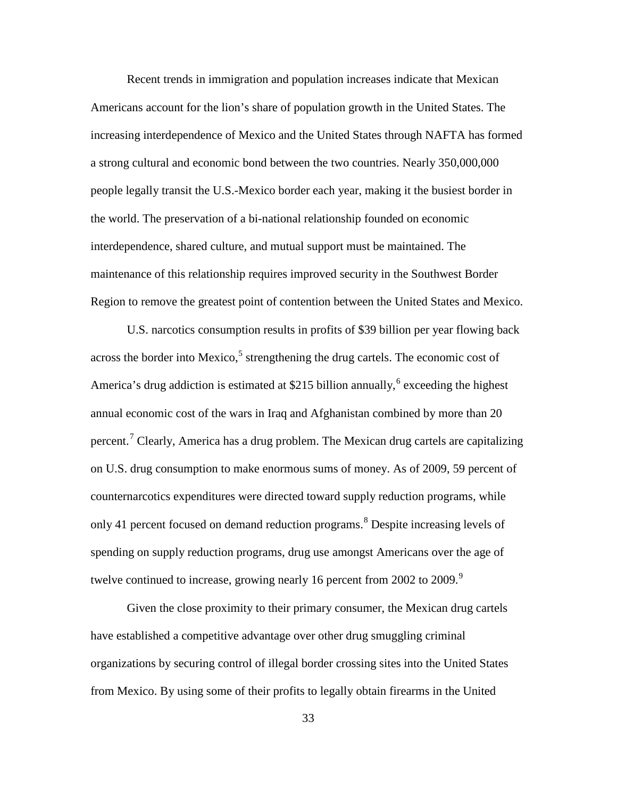Recent trends in immigration and population increases indicate that Mexican Americans account for the lion's share of population growth in the United States. The increasing interdependence of Mexico and the United States through NAFTA has formed a strong cultural and economic bond between the two countries. Nearly 350,000,000 people legally transit the U.S.-Mexico border each year, making it the busiest border in the world. The preservation of a bi-national relationship founded on economic interdependence, shared culture, and mutual support must be maintained. The maintenance of this relationship requires improved security in the Southwest Border Region to remove the greatest point of contention between the United States and Mexico.

U.S. narcotics consumption results in profits of \$39 billion per year flowing back across the border into Mexico,<sup>[5](#page-60-4)</sup> strengthening the drug cartels. The economic cost of America's drug addiction is estimated at \$215 billion annually,<sup>[6](#page-60-5)</sup> exceeding the highest annual economic cost of the wars in Iraq and Afghanistan combined by more than 20 percent.<sup>[7](#page-60-6)</sup> Clearly, America has a drug problem. The Mexican drug cartels are capitalizing on U.S. drug consumption to make enormous sums of money. As of 2009, 59 percent of counternarcotics expenditures were directed toward supply reduction programs, while only 41 percent focused on demand reduction programs. [8](#page-60-7) Despite increasing levels of spending on supply reduction programs, drug use amongst Americans over the age of twelve continued to increase, growing nearly 16 percent from 2002 to 200[9](#page-60-8).<sup>9</sup>

Given the close proximity to their primary consumer, the Mexican drug cartels have established a competitive advantage over other drug smuggling criminal organizations by securing control of illegal border crossing sites into the United States from Mexico. By using some of their profits to legally obtain firearms in the United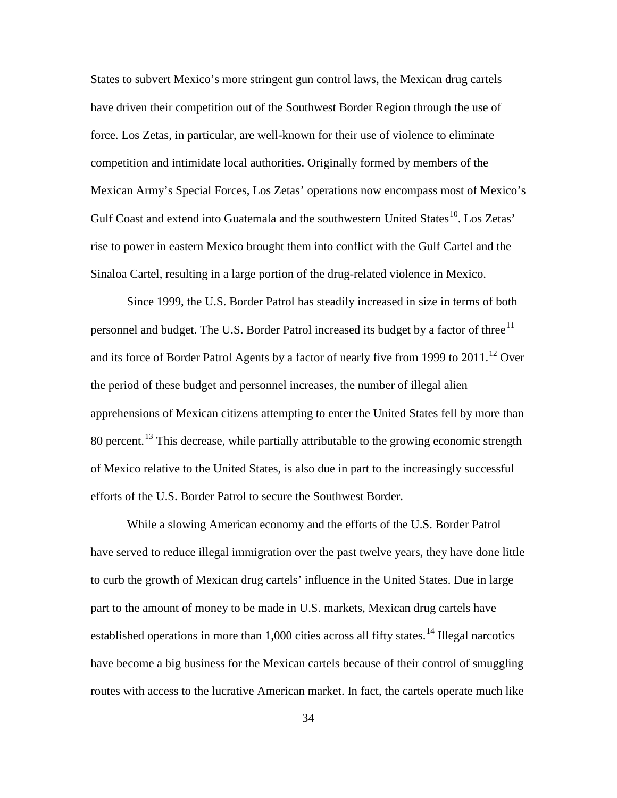States to subvert Mexico's more stringent gun control laws, the Mexican drug cartels have driven their competition out of the Southwest Border Region through the use of force. Los Zetas, in particular, are well-known for their use of violence to eliminate competition and intimidate local authorities. Originally formed by members of the Mexican Army's Special Forces, Los Zetas' operations now encompass most of Mexico's Gulf Coast and extend into Guatemala and the southwestern United States<sup>10</sup>. Los Zetas' rise to power in eastern Mexico brought them into conflict with the Gulf Cartel and the Sinaloa Cartel, resulting in a large portion of the drug-related violence in Mexico.

Since 1999, the U.S. Border Patrol has steadily increased in size in terms of both personnel and budget. The U.S. Border Patrol increased its budget by a factor of three<sup>[11](#page-61-1)</sup> and its force of Border Patrol Agents by a factor of nearly five from 1999 to  $2011.^{12}$  $2011.^{12}$  $2011.^{12}$  Over the period of these budget and personnel increases, the number of illegal alien apprehensions of Mexican citizens attempting to enter the United States fell by more than 80 percent.<sup>[13](#page-61-3)</sup> This decrease, while partially attributable to the growing economic strength of Mexico relative to the United States, is also due in part to the increasingly successful efforts of the U.S. Border Patrol to secure the Southwest Border.

While a slowing American economy and the efforts of the U.S. Border Patrol have served to reduce illegal immigration over the past twelve years, they have done little to curb the growth of Mexican drug cartels' influence in the United States. Due in large part to the amount of money to be made in U.S. markets, Mexican drug cartels have established operations in more than 1,000 cities across all fifty states.<sup>[14](#page-61-4)</sup> Illegal narcotics have become a big business for the Mexican cartels because of their control of smuggling routes with access to the lucrative American market. In fact, the cartels operate much like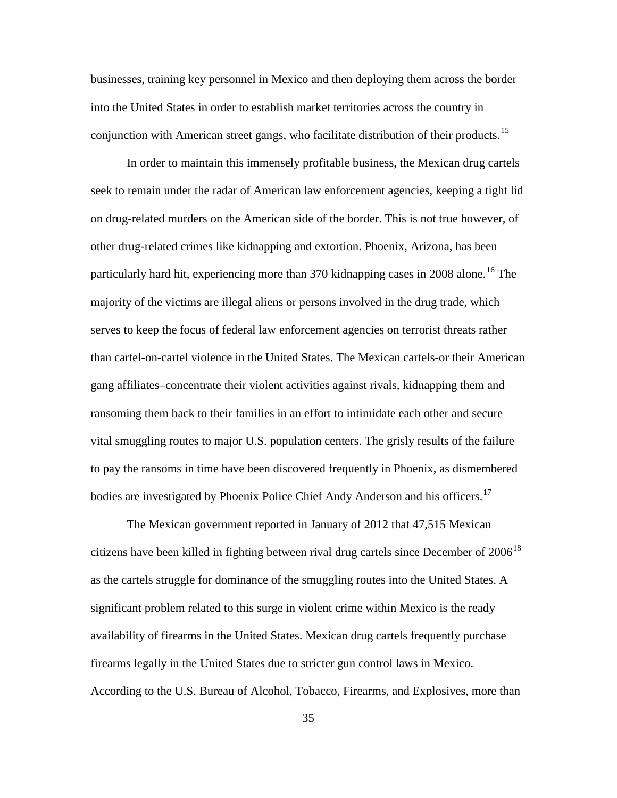businesses, training key personnel in Mexico and then deploying them across the border into the United States in order to establish market territories across the country in conjunction with American street gangs, who facilitate distribution of their products.<sup>[15](#page-62-0)</sup>

In order to maintain this immensely profitable business, the Mexican drug cartels seek to remain under the radar of American law enforcement agencies, keeping a tight lid on drug-related murders on the American side of the border. This is not true however, of other drug-related crimes like kidnapping and extortion. Phoenix, Arizona, has been particularly hard hit, experiencing more than 370 kidnapping cases in 2008 alone. [16](#page-62-1) The majority of the victims are illegal aliens or persons involved in the drug trade, which serves to keep the focus of federal law enforcement agencies on terrorist threats rather than cartel-on-cartel violence in the United States. The Mexican cartels-or their American gang affiliates–concentrate their violent activities against rivals, kidnapping them and ransoming them back to their families in an effort to intimidate each other and secure vital smuggling routes to major U.S. population centers. The grisly results of the failure to pay the ransoms in time have been discovered frequently in Phoenix, as dismembered bodies are investigated by Phoenix Police Chief Andy Anderson and his officers.<sup>[17](#page-62-2)</sup>

The Mexican government reported in January of 2012 that 47,515 Mexican citizens have been killed in fighting between rival drug cartels since December of 2006<sup>[18](#page-62-3)</sup> as the cartels struggle for dominance of the smuggling routes into the United States. A significant problem related to this surge in violent crime within Mexico is the ready availability of firearms in the United States. Mexican drug cartels frequently purchase firearms legally in the United States due to stricter gun control laws in Mexico. According to the U.S. Bureau of Alcohol, Tobacco, Firearms, and Explosives, more than

35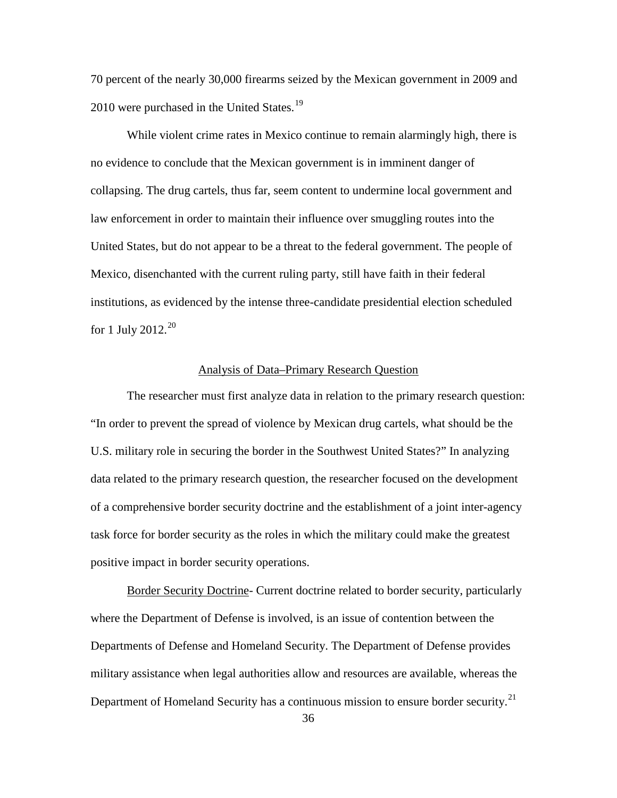70 percent of the nearly 30,000 firearms seized by the Mexican government in 2009 and 2010 were purchased in the United States.<sup>[19](#page-63-0)</sup>

While violent crime rates in Mexico continue to remain alarmingly high, there is no evidence to conclude that the Mexican government is in imminent danger of collapsing. The drug cartels, thus far, seem content to undermine local government and law enforcement in order to maintain their influence over smuggling routes into the United States, but do not appear to be a threat to the federal government. The people of Mexico, disenchanted with the current ruling party, still have faith in their federal institutions, as evidenced by the intense three-candidate presidential election scheduled for 1 July [20](#page-63-1)12. $^{20}$ 

#### Analysis of Data–Primary Research Question

The researcher must first analyze data in relation to the primary research question: "In order to prevent the spread of violence by Mexican drug cartels, what should be the U.S. military role in securing the border in the Southwest United States?" In analyzing data related to the primary research question, the researcher focused on the development of a comprehensive border security doctrine and the establishment of a joint inter-agency task force for border security as the roles in which the military could make the greatest positive impact in border security operations.

Border Security Doctrine- Current doctrine related to border security, particularly where the Department of Defense is involved, is an issue of contention between the Departments of Defense and Homeland Security. The Department of Defense provides military assistance when legal authorities allow and resources are available, whereas the Department of Homeland Security has a continuous mission to ensure border security.<sup>[21](#page-63-2)</sup>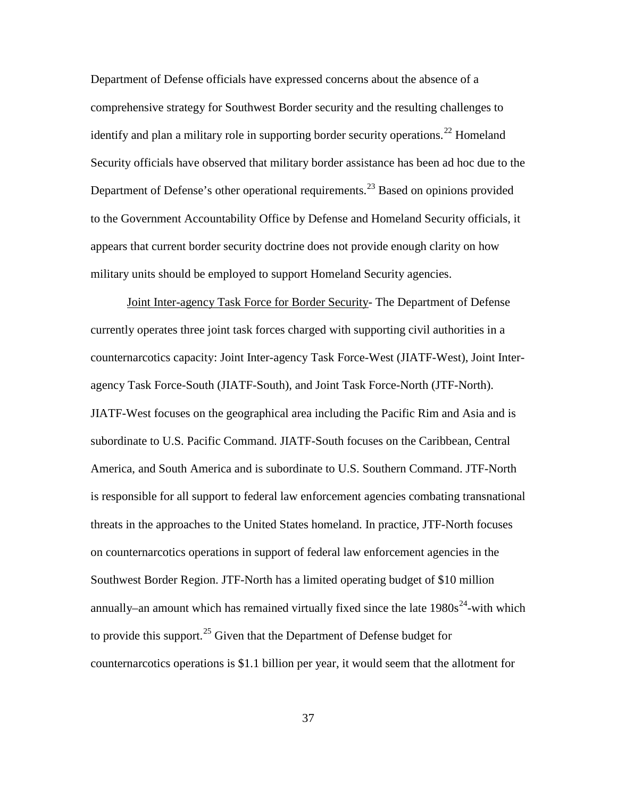Department of Defense officials have expressed concerns about the absence of a comprehensive strategy for Southwest Border security and the resulting challenges to identify and plan a military role in supporting border security operations.<sup>[22](#page-64-0)</sup> Homeland Security officials have observed that military border assistance has been ad hoc due to the Department of Defense's other operational requirements.<sup>[23](#page-64-1)</sup> Based on opinions provided to the Government Accountability Office by Defense and Homeland Security officials, it appears that current border security doctrine does not provide enough clarity on how military units should be employed to support Homeland Security agencies.

Joint Inter-agency Task Force for Border Security- The Department of Defense currently operates three joint task forces charged with supporting civil authorities in a counternarcotics capacity: Joint Inter-agency Task Force-West (JIATF-West), Joint Interagency Task Force-South (JIATF-South), and Joint Task Force-North (JTF-North). JIATF-West focuses on the geographical area including the Pacific Rim and Asia and is subordinate to U.S. Pacific Command. JIATF-South focuses on the Caribbean, Central America, and South America and is subordinate to U.S. Southern Command. JTF-North is responsible for all support to federal law enforcement agencies combating transnational threats in the approaches to the United States homeland. In practice, JTF-North focuses on counternarcotics operations in support of federal law enforcement agencies in the Southwest Border Region. JTF-North has a limited operating budget of \$10 million annually–an amount which has remained virtually fixed since the late  $1980s^{24}$  $1980s^{24}$  $1980s^{24}$ -with which to provide this support.<sup>[25](#page-64-3)</sup> Given that the Department of Defense budget for counternarcotics operations is \$1.1 billion per year, it would seem that the allotment for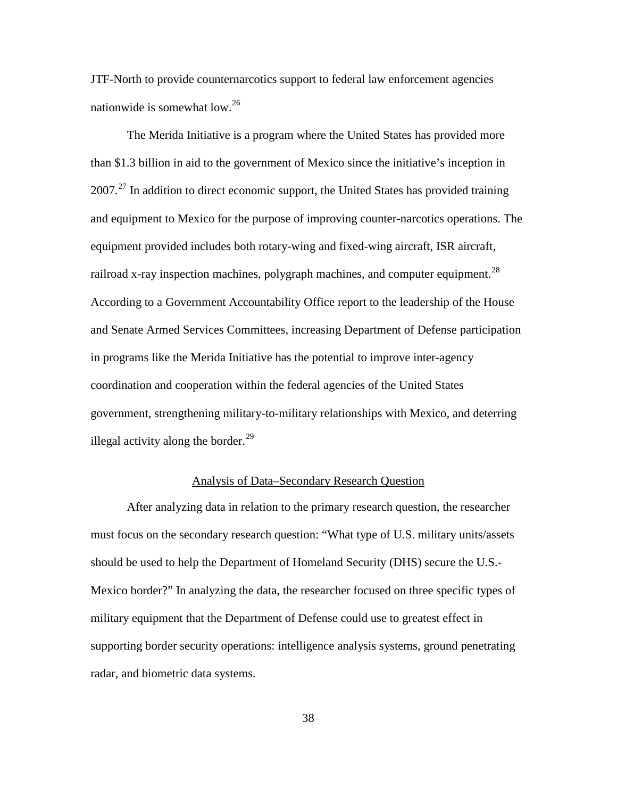JTF-North to provide counternarcotics support to federal law enforcement agencies nationwide is somewhat low.<sup>[26](#page-65-0)</sup>

The Merida Initiative is a program where the United States has provided more than \$1.3 billion in aid to the government of Mexico since the initiative's inception in  $2007<sup>27</sup>$  $2007<sup>27</sup>$  $2007<sup>27</sup>$  In addition to direct economic support, the United States has provided training and equipment to Mexico for the purpose of improving counter-narcotics operations. The equipment provided includes both rotary-wing and fixed-wing aircraft, ISR aircraft, railroad x-ray inspection machines, polygraph machines, and computer equipment. $^{28}$  $^{28}$  $^{28}$ According to a Government Accountability Office report to the leadership of the House and Senate Armed Services Committees, increasing Department of Defense participation in programs like the Merida Initiative has the potential to improve inter-agency coordination and cooperation within the federal agencies of the United States government, strengthening military-to-military relationships with Mexico, and deterring illegal activity along the border.<sup>[29](#page-65-3)</sup>

## Analysis of Data–Secondary Research Question

After analyzing data in relation to the primary research question, the researcher must focus on the secondary research question: "What type of U.S. military units/assets should be used to help the Department of Homeland Security (DHS) secure the U.S.- Mexico border?" In analyzing the data, the researcher focused on three specific types of military equipment that the Department of Defense could use to greatest effect in supporting border security operations: intelligence analysis systems, ground penetrating radar, and biometric data systems.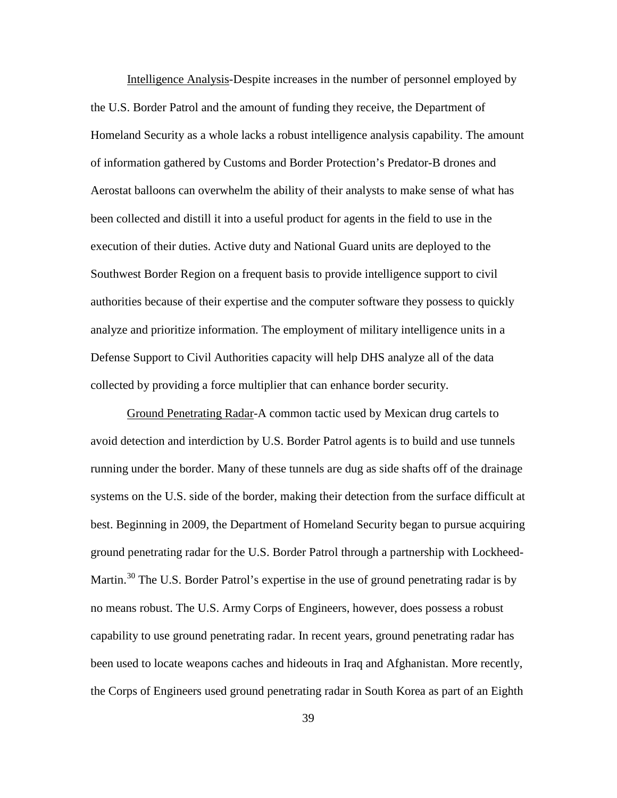Intelligence Analysis-Despite increases in the number of personnel employed by the U.S. Border Patrol and the amount of funding they receive, the Department of Homeland Security as a whole lacks a robust intelligence analysis capability. The amount of information gathered by Customs and Border Protection's Predator-B drones and Aerostat balloons can overwhelm the ability of their analysts to make sense of what has been collected and distill it into a useful product for agents in the field to use in the execution of their duties. Active duty and National Guard units are deployed to the Southwest Border Region on a frequent basis to provide intelligence support to civil authorities because of their expertise and the computer software they possess to quickly analyze and prioritize information. The employment of military intelligence units in a Defense Support to Civil Authorities capacity will help DHS analyze all of the data collected by providing a force multiplier that can enhance border security.

Ground Penetrating Radar-A common tactic used by Mexican drug cartels to avoid detection and interdiction by U.S. Border Patrol agents is to build and use tunnels running under the border. Many of these tunnels are dug as side shafts off of the drainage systems on the U.S. side of the border, making their detection from the surface difficult at best. Beginning in 2009, the Department of Homeland Security began to pursue acquiring ground penetrating radar for the U.S. Border Patrol through a partnership with Lockheed-Martin.<sup>[30](#page-65-4)</sup> The U.S. Border Patrol's expertise in the use of ground penetrating radar is by no means robust. The U.S. Army Corps of Engineers, however, does possess a robust capability to use ground penetrating radar. In recent years, ground penetrating radar has been used to locate weapons caches and hideouts in Iraq and Afghanistan. More recently, the Corps of Engineers used ground penetrating radar in South Korea as part of an Eighth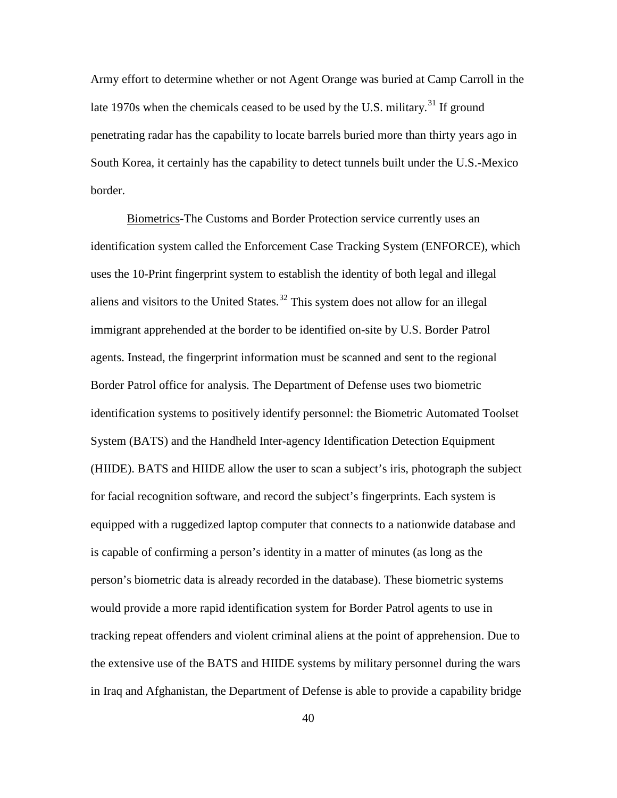Army effort to determine whether or not Agent Orange was buried at Camp Carroll in the late 1970s when the chemicals ceased to be used by the U.S. military.<sup>[31](#page-66-0)</sup> If ground penetrating radar has the capability to locate barrels buried more than thirty years ago in South Korea, it certainly has the capability to detect tunnels built under the U.S.-Mexico border.

Biometrics-The Customs and Border Protection service currently uses an identification system called the Enforcement Case Tracking System (ENFORCE), which uses the 10-Print fingerprint system to establish the identity of both legal and illegal aliens and visitors to the United States.<sup>[32](#page-66-1)</sup> This system does not allow for an illegal immigrant apprehended at the border to be identified on-site by U.S. Border Patrol agents. Instead, the fingerprint information must be scanned and sent to the regional Border Patrol office for analysis. The Department of Defense uses two biometric identification systems to positively identify personnel: the Biometric Automated Toolset System (BATS) and the Handheld Inter-agency Identification Detection Equipment (HIIDE). BATS and HIIDE allow the user to scan a subject's iris, photograph the subject for facial recognition software, and record the subject's fingerprints. Each system is equipped with a ruggedized laptop computer that connects to a nationwide database and is capable of confirming a person's identity in a matter of minutes (as long as the person's biometric data is already recorded in the database). These biometric systems would provide a more rapid identification system for Border Patrol agents to use in tracking repeat offenders and violent criminal aliens at the point of apprehension. Due to the extensive use of the BATS and HIIDE systems by military personnel during the wars in Iraq and Afghanistan, the Department of Defense is able to provide a capability bridge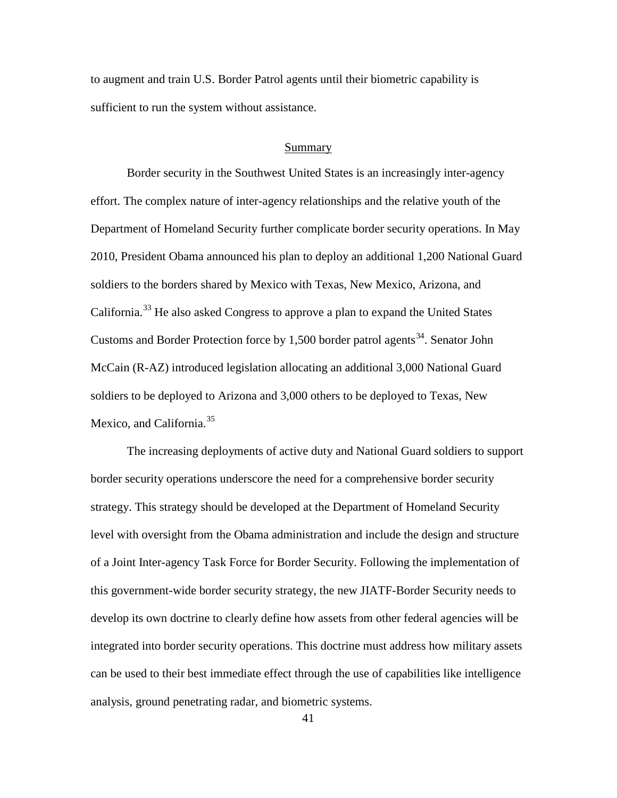to augment and train U.S. Border Patrol agents until their biometric capability is sufficient to run the system without assistance.

#### Summary

Border security in the Southwest United States is an increasingly inter-agency effort. The complex nature of inter-agency relationships and the relative youth of the Department of Homeland Security further complicate border security operations. In May 2010, President Obama announced his plan to deploy an additional 1,200 National Guard soldiers to the borders shared by Mexico with Texas, New Mexico, Arizona, and California.<sup>[33](#page-66-2)</sup> He also asked Congress to approve a plan to expand the United States Customs and Border Protection force by 1,500 border patrol agents<sup>[34](#page-66-3)</sup>. Senator John McCain (R-AZ) introduced legislation allocating an additional 3,000 National Guard soldiers to be deployed to Arizona and 3,000 others to be deployed to Texas, New Mexico, and California.<sup>[35](#page-66-4)</sup>

The increasing deployments of active duty and National Guard soldiers to support border security operations underscore the need for a comprehensive border security strategy. This strategy should be developed at the Department of Homeland Security level with oversight from the Obama administration and include the design and structure of a Joint Inter-agency Task Force for Border Security. Following the implementation of this government-wide border security strategy, the new JIATF-Border Security needs to develop its own doctrine to clearly define how assets from other federal agencies will be integrated into border security operations. This doctrine must address how military assets can be used to their best immediate effect through the use of capabilities like intelligence analysis, ground penetrating radar, and biometric systems.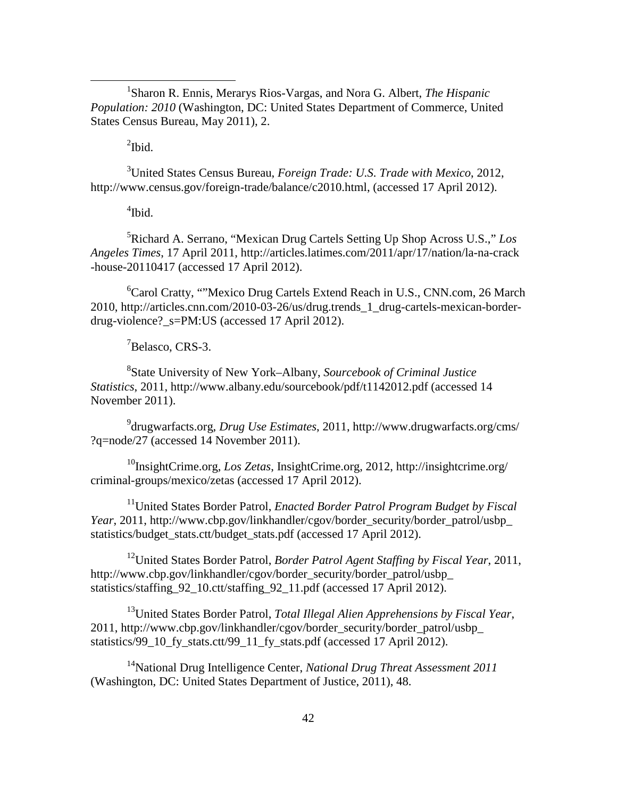<u>1</u> Sharon R. Ennis, Merarys Rios-Vargas, and Nora G. Albert, *The Hispanic Population: 2010* (Washington, DC: United States Department of Commerce, United States Census Bureau, May 2011), 2.

 $\mathrm{^{2}Ibid.}$ 

3 United States Census Bureau, *Foreign Trade: U.S. Trade with Mexico*, 2012, http://www.census.gov/foreign-trade/balance/c2010.html, (accessed 17 April 2012).

4 Ibid.

5 Richard A. Serrano, "Mexican Drug Cartels Setting Up Shop Across U.S.," *Los Angeles Times*, 17 April 2011, http://articles.latimes.com/2011/apr/17/nation/la-na-crack -house-20110417 (accessed 17 April 2012).

6 Carol Cratty, ""Mexico Drug Cartels Extend Reach in U.S., CNN.com, 26 March 2010, http://articles.cnn.com/2010-03-26/us/drug.trends\_1\_drug-cartels-mexican-borderdrug-violence?\_s=PM:US (accessed 17 April 2012).

<sup>7</sup>Belasco, CRS-3.

8 State University of New York–Albany, *Sourcebook of Criminal Justice Statistics*, 2011, http://www.albany.edu/sourcebook/pdf/t1142012.pdf (accessed 14 November 2011).

9 drugwarfacts.org, *Drug Use Estimates*, 2011, http://www.drugwarfacts.org/cms/ ?q=node/27 (accessed 14 November 2011).

10InsightCrime.org, *Los Zetas*, InsightCrime.org, 2012, http://insightcrime.org/ criminal-groups/mexico/zetas (accessed 17 April 2012).

11United States Border Patrol, *Enacted Border Patrol Program Budget by Fiscal Year*, 2011, http://www.cbp.gov/linkhandler/cgov/border\_security/border\_patrol/usbp\_ statistics/budget\_stats.ctt/budget\_stats.pdf (accessed 17 April 2012).

12United States Border Patrol, *Border Patrol Agent Staffing by Fiscal Year*, 2011, http://www.cbp.gov/linkhandler/cgov/border\_security/border\_patrol/usbp statistics/staffing 92 10.ctt/staffing 92 11.pdf (accessed 17 April 2012).

13United States Border Patrol, *Total Illegal Alien Apprehensions by Fiscal Year*, 2011, http://www.cbp.gov/linkhandler/cgov/border\_security/border\_patrol/usbp\_ statistics/99\_10\_fy\_stats.ctt/99\_11\_fy\_stats.pdf (accessed 17 April 2012).

14National Drug Intelligence Center, *National Drug Threat Assessment 2011* (Washington, DC: United States Department of Justice, 2011), 48.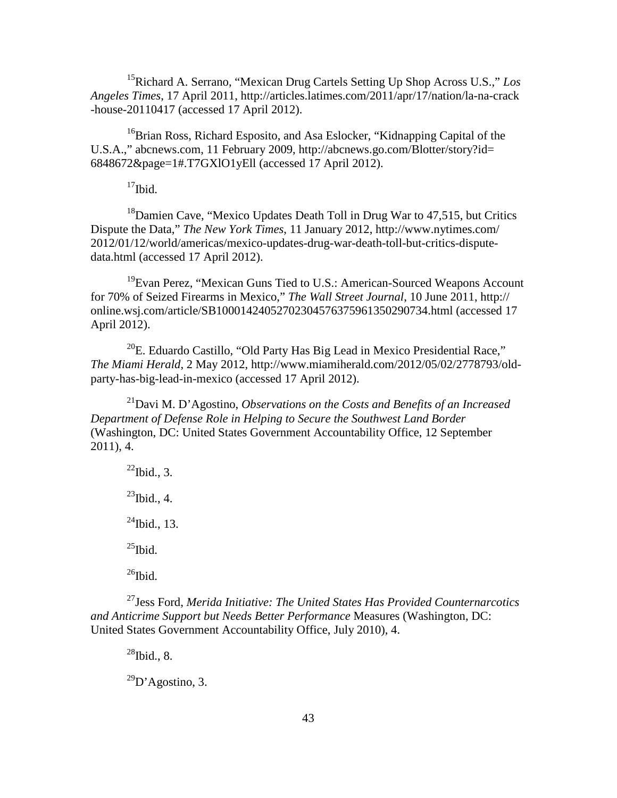15Richard A. Serrano, "Mexican Drug Cartels Setting Up Shop Across U.S.," *Los Angeles Times*, 17 April 2011, http://articles.latimes.com/2011/apr/17/nation/la-na-crack -house-20110417 (accessed 17 April 2012).

<sup>16</sup>Brian Ross, Richard Esposito, and Asa Eslocker, "Kidnapping Capital of the U.S.A.," abcnews.com, 11 February 2009, http://abcnews.go.com/Blotter/story?id= 6848672&page=1#.T7GXlO1yEll (accessed 17 April 2012).

 $17$ Ibid.

18Damien Cave, "Mexico Updates Death Toll in Drug War to 47,515, but Critics Dispute the Data," *The New York Times*, 11 January 2012, http://www.nytimes.com/ 2012/01/12/world/americas/mexico-updates-drug-war-death-toll-but-critics-disputedata.html (accessed 17 April 2012).

<sup>19</sup>Evan Perez, "Mexican Guns Tied to U.S.: American-Sourced Weapons Account for 70% of Seized Firearms in Mexico," *The Wall Street Journal*, 10 June 2011, http:// online.wsj.com/article/SB10001424052702304576375961350290734.html (accessed 17 April 2012).

 $^{20}$ E. Eduardo Castillo, "Old Party Has Big Lead in Mexico Presidential Race," *The Miami Herald*, 2 May 2012, http://www.miamiherald.com/2012/05/02/2778793/oldparty-has-big-lead-in-mexico (accessed 17 April 2012).

21Davi M. D'Agostino, *Observations on the Costs and Benefits of an Increased Department of Defense Role in Helping to Secure the Southwest Land Border*  (Washington, DC: United States Government Accountability Office, 12 September 2011), 4.

 $^{22}$ Ibid., 3.  $^{23}$ Ibid., 4.  $^{24}$ Ibid., 13.  $^{25}$ Ibid.  $^{26}$ Ibid.

27Jess Ford, *Merida Initiative: The United States Has Provided Counternarcotics and Anticrime Support but Needs Better Performance* Measures (Washington, DC: United States Government Accountability Office, July 2010), 4.

 $^{28}$ Ibid., 8.

 $^{29}D'$ Agostino, 3.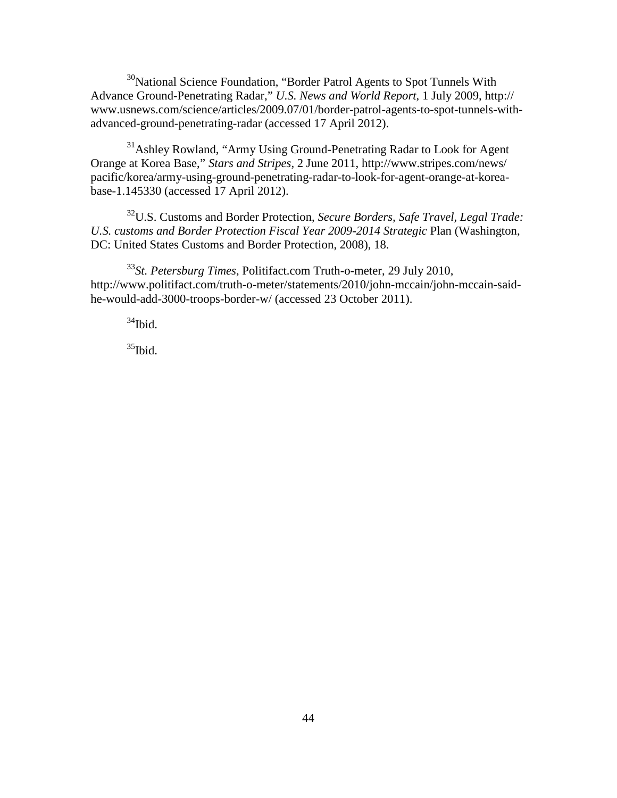<sup>30</sup>National Science Foundation, "Border Patrol Agents to Spot Tunnels With Advance Ground-Penetrating Radar," *U.S. News and World Report*, 1 July 2009, http:// www.usnews.com/science/articles/2009.07/01/border-patrol-agents-to-spot-tunnels-withadvanced-ground-penetrating-radar (accessed 17 April 2012).

<sup>31</sup>Ashley Rowland, "Army Using Ground-Penetrating Radar to Look for Agent Orange at Korea Base," *Stars and Stripes*, 2 June 2011, http://www.stripes.com/news/ pacific/korea/army-using-ground-penetrating-radar-to-look-for-agent-orange-at-koreabase-1.145330 (accessed 17 April 2012).

32U.S. Customs and Border Protection, *Secure Borders, Safe Travel, Legal Trade: U.S. customs and Border Protection Fiscal Year 2009-2014 Strategic* Plan (Washington, DC: United States Customs and Border Protection, 2008), 18.

<sup>33</sup>*St. Petersburg Times*, Politifact.com Truth-o-meter, 29 July 2010, http://www.politifact.com/truth-o-meter/statements/2010/john-mccain/john-mccain-saidhe-would-add-3000-troops-border-w/ (accessed 23 October 2011).

 $34$ Ibid.

 $35$ Ibid.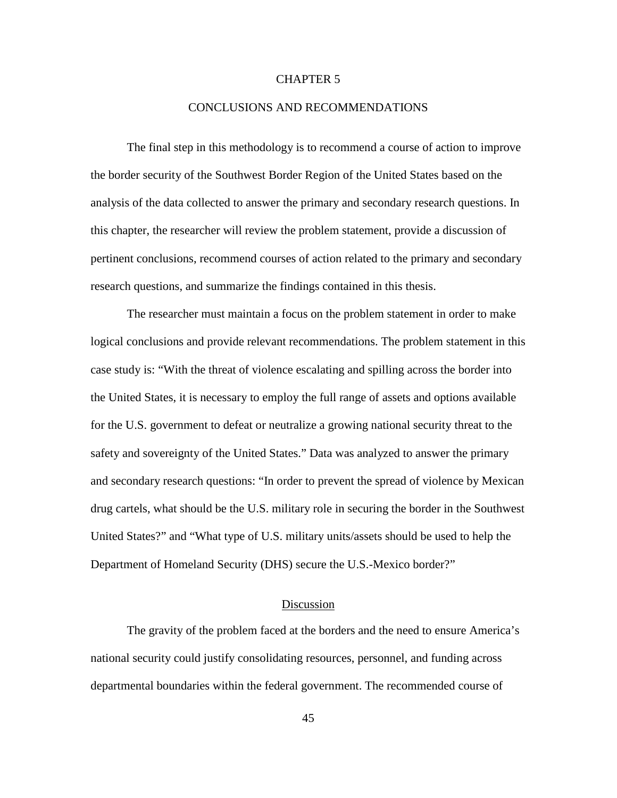## CHAPTER 5

## CONCLUSIONS AND RECOMMENDATIONS

The final step in this methodology is to recommend a course of action to improve the border security of the Southwest Border Region of the United States based on the analysis of the data collected to answer the primary and secondary research questions. In this chapter, the researcher will review the problem statement, provide a discussion of pertinent conclusions, recommend courses of action related to the primary and secondary research questions, and summarize the findings contained in this thesis.

The researcher must maintain a focus on the problem statement in order to make logical conclusions and provide relevant recommendations. The problem statement in this case study is: "With the threat of violence escalating and spilling across the border into the United States, it is necessary to employ the full range of assets and options available for the U.S. government to defeat or neutralize a growing national security threat to the safety and sovereignty of the United States." Data was analyzed to answer the primary and secondary research questions: "In order to prevent the spread of violence by Mexican drug cartels, what should be the U.S. military role in securing the border in the Southwest United States?" and "What type of U.S. military units/assets should be used to help the Department of Homeland Security (DHS) secure the U.S.-Mexico border?"

#### Discussion

The gravity of the problem faced at the borders and the need to ensure America's national security could justify consolidating resources, personnel, and funding across departmental boundaries within the federal government. The recommended course of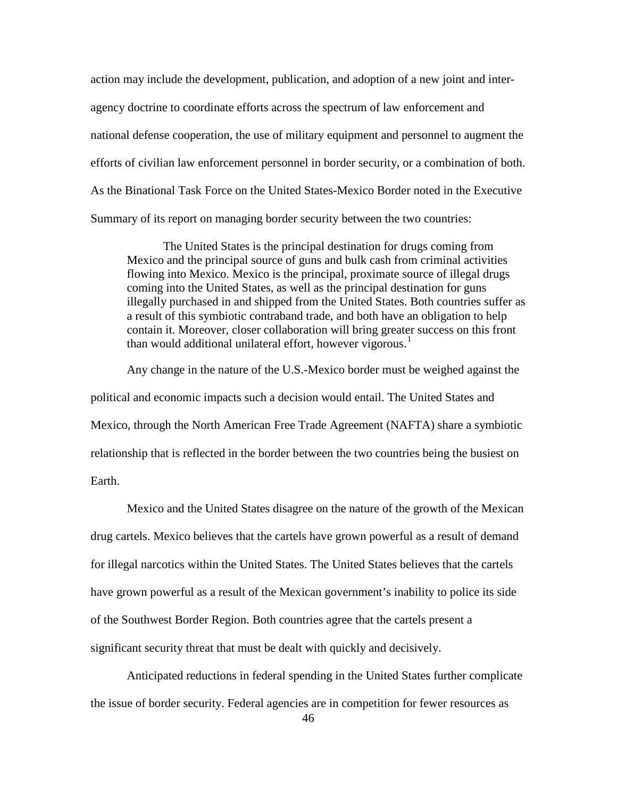action may include the development, publication, and adoption of a new joint and interagency doctrine to coordinate efforts across the spectrum of law enforcement and national defense cooperation, the use of military equipment and personnel to augment the efforts of civilian law enforcement personnel in border security, or a combination of both. As the Binational Task Force on the United States-Mexico Border noted in the Executive Summary of its report on managing border security between the two countries:

The United States is the principal destination for drugs coming from Mexico and the principal source of guns and bulk cash from criminal activities flowing into Mexico. Mexico is the principal, proximate source of illegal drugs coming into the United States, as well as the principal destination for guns illegally purchased in and shipped from the United States. Both countries suffer as a result of this symbiotic contraband trade, and both have an obligation to help contain it. Moreover, closer collaboration will bring greater success on this front than would additional unilateral effort, however vigorous.<sup>[1](#page-68-0)</sup>

Any change in the nature of the U.S.-Mexico border must be weighed against the political and economic impacts such a decision would entail. The United States and Mexico, through the North American Free Trade Agreement (NAFTA) share a symbiotic relationship that is reflected in the border between the two countries being the busiest on Earth.

Mexico and the United States disagree on the nature of the growth of the Mexican drug cartels. Mexico believes that the cartels have grown powerful as a result of demand for illegal narcotics within the United States. The United States believes that the cartels have grown powerful as a result of the Mexican government's inability to police its side of the Southwest Border Region. Both countries agree that the cartels present a significant security threat that must be dealt with quickly and decisively.

Anticipated reductions in federal spending in the United States further complicate the issue of border security. Federal agencies are in competition for fewer resources as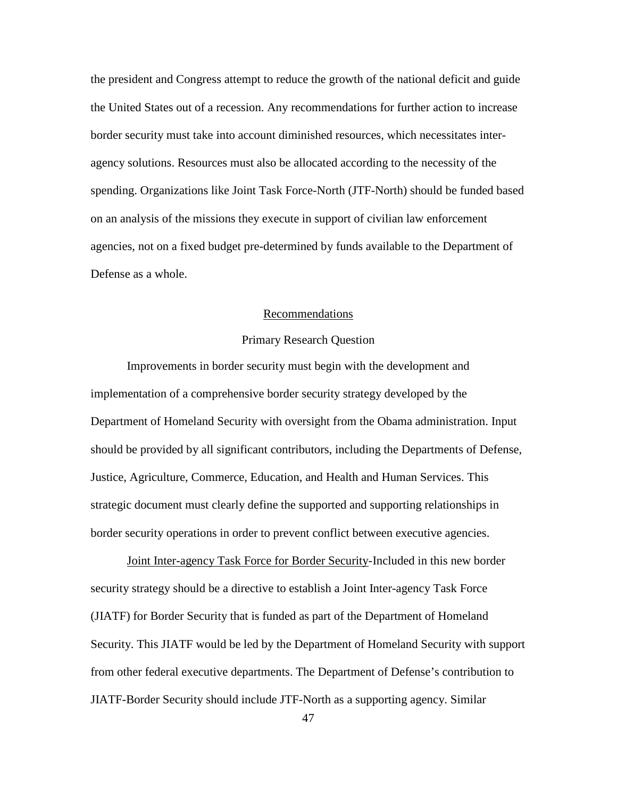the president and Congress attempt to reduce the growth of the national deficit and guide the United States out of a recession. Any recommendations for further action to increase border security must take into account diminished resources, which necessitates interagency solutions. Resources must also be allocated according to the necessity of the spending. Organizations like Joint Task Force-North (JTF-North) should be funded based on an analysis of the missions they execute in support of civilian law enforcement agencies, not on a fixed budget pre-determined by funds available to the Department of Defense as a whole.

## Recommendations

## Primary Research Question

Improvements in border security must begin with the development and implementation of a comprehensive border security strategy developed by the Department of Homeland Security with oversight from the Obama administration. Input should be provided by all significant contributors, including the Departments of Defense, Justice, Agriculture, Commerce, Education, and Health and Human Services. This strategic document must clearly define the supported and supporting relationships in border security operations in order to prevent conflict between executive agencies.

Joint Inter-agency Task Force for Border Security-Included in this new border security strategy should be a directive to establish a Joint Inter-agency Task Force (JIATF) for Border Security that is funded as part of the Department of Homeland Security. This JIATF would be led by the Department of Homeland Security with support from other federal executive departments. The Department of Defense's contribution to JIATF-Border Security should include JTF-North as a supporting agency. Similar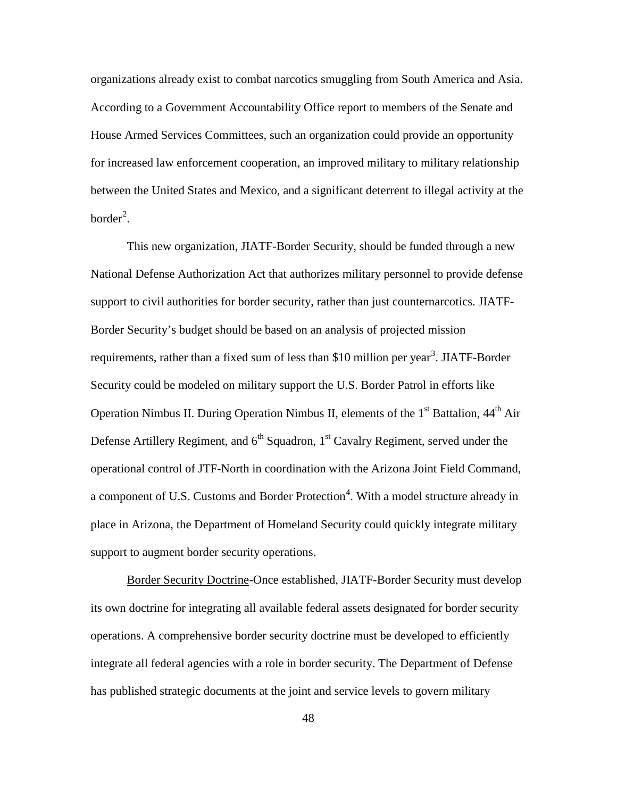organizations already exist to combat narcotics smuggling from South America and Asia. According to a Government Accountability Office report to members of the Senate and House Armed Services Committees, such an organization could provide an opportunity for increased law enforcement cooperation, an improved military to military relationship between the United States and Mexico, and a significant deterrent to illegal activity at the  $border<sup>2</sup>$  $border<sup>2</sup>$  $border<sup>2</sup>$ .

This new organization, JIATF-Border Security, should be funded through a new National Defense Authorization Act that authorizes military personnel to provide defense support to civil authorities for border security, rather than just counternarcotics. JIATF-Border Security's budget should be based on an analysis of projected mission requirements, rather than a fixed sum of less than \$10 million per year<sup>[3](#page-68-2)</sup>. JIATF-Border Security could be modeled on military support the U.S. Border Patrol in efforts like Operation Nimbus II. During Operation Nimbus II, elements of the 1<sup>st</sup> Battalion, 44<sup>th</sup> Air Defense Artillery Regiment, and  $6<sup>th</sup>$  Squadron,  $1<sup>st</sup>$  Cavalry Regiment, served under the operational control of JTF-North in coordination with the Arizona Joint Field Command, a component of U.S. Customs and Border Protection<sup>[4](#page-68-3)</sup>. With a model structure already in place in Arizona, the Department of Homeland Security could quickly integrate military support to augment border security operations.

Border Security Doctrine-Once established, JIATF-Border Security must develop its own doctrine for integrating all available federal assets designated for border security operations. A comprehensive border security doctrine must be developed to efficiently integrate all federal agencies with a role in border security. The Department of Defense has published strategic documents at the joint and service levels to govern military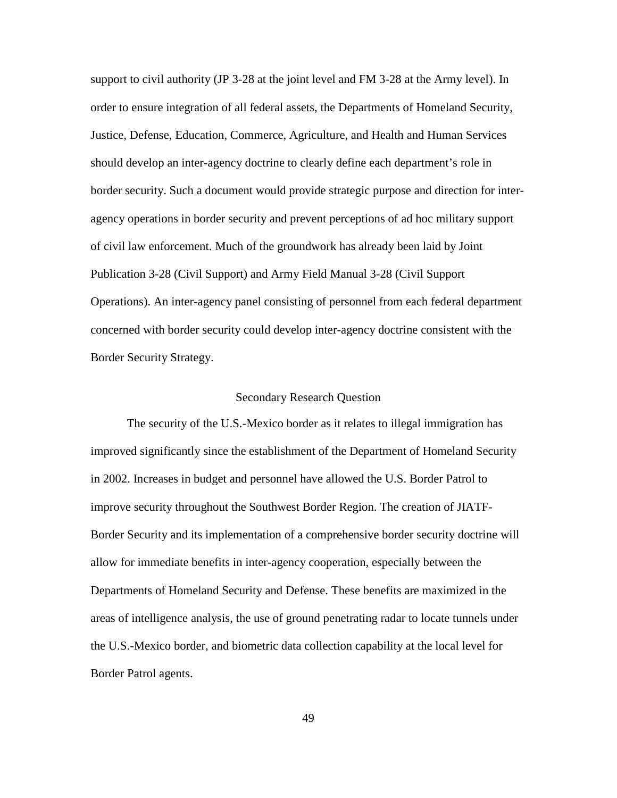support to civil authority (JP 3-28 at the joint level and FM 3-28 at the Army level). In order to ensure integration of all federal assets, the Departments of Homeland Security, Justice, Defense, Education, Commerce, Agriculture, and Health and Human Services should develop an inter-agency doctrine to clearly define each department's role in border security. Such a document would provide strategic purpose and direction for interagency operations in border security and prevent perceptions of ad hoc military support of civil law enforcement. Much of the groundwork has already been laid by Joint Publication 3-28 (Civil Support) and Army Field Manual 3-28 (Civil Support Operations). An inter-agency panel consisting of personnel from each federal department concerned with border security could develop inter-agency doctrine consistent with the Border Security Strategy.

#### Secondary Research Question

The security of the U.S.-Mexico border as it relates to illegal immigration has improved significantly since the establishment of the Department of Homeland Security in 2002. Increases in budget and personnel have allowed the U.S. Border Patrol to improve security throughout the Southwest Border Region. The creation of JIATF-Border Security and its implementation of a comprehensive border security doctrine will allow for immediate benefits in inter-agency cooperation, especially between the Departments of Homeland Security and Defense. These benefits are maximized in the areas of intelligence analysis, the use of ground penetrating radar to locate tunnels under the U.S.-Mexico border, and biometric data collection capability at the local level for Border Patrol agents.

49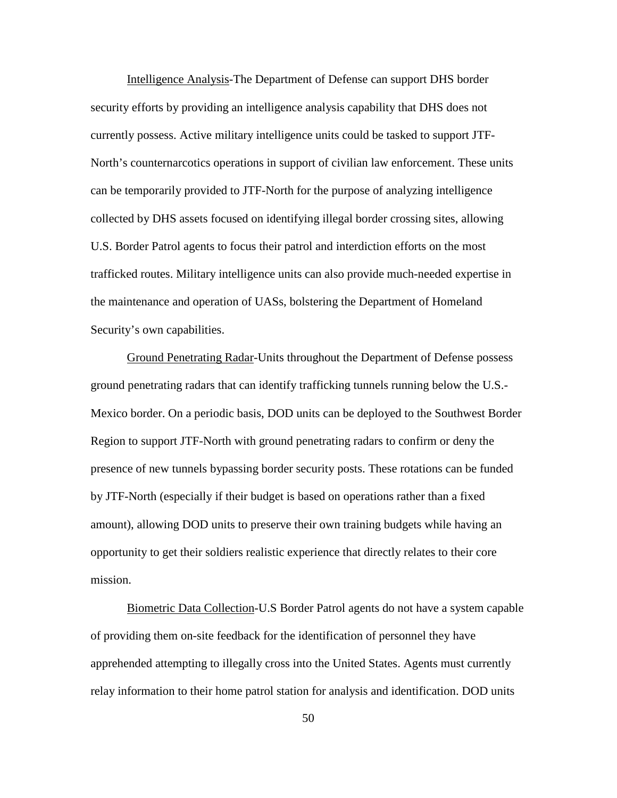Intelligence Analysis-The Department of Defense can support DHS border security efforts by providing an intelligence analysis capability that DHS does not currently possess. Active military intelligence units could be tasked to support JTF-North's counternarcotics operations in support of civilian law enforcement. These units can be temporarily provided to JTF-North for the purpose of analyzing intelligence collected by DHS assets focused on identifying illegal border crossing sites, allowing U.S. Border Patrol agents to focus their patrol and interdiction efforts on the most trafficked routes. Military intelligence units can also provide much-needed expertise in the maintenance and operation of UASs, bolstering the Department of Homeland Security's own capabilities.

Ground Penetrating Radar-Units throughout the Department of Defense possess ground penetrating radars that can identify trafficking tunnels running below the U.S.- Mexico border. On a periodic basis, DOD units can be deployed to the Southwest Border Region to support JTF-North with ground penetrating radars to confirm or deny the presence of new tunnels bypassing border security posts. These rotations can be funded by JTF-North (especially if their budget is based on operations rather than a fixed amount), allowing DOD units to preserve their own training budgets while having an opportunity to get their soldiers realistic experience that directly relates to their core mission.

Biometric Data Collection-U.S Border Patrol agents do not have a system capable of providing them on-site feedback for the identification of personnel they have apprehended attempting to illegally cross into the United States. Agents must currently relay information to their home patrol station for analysis and identification. DOD units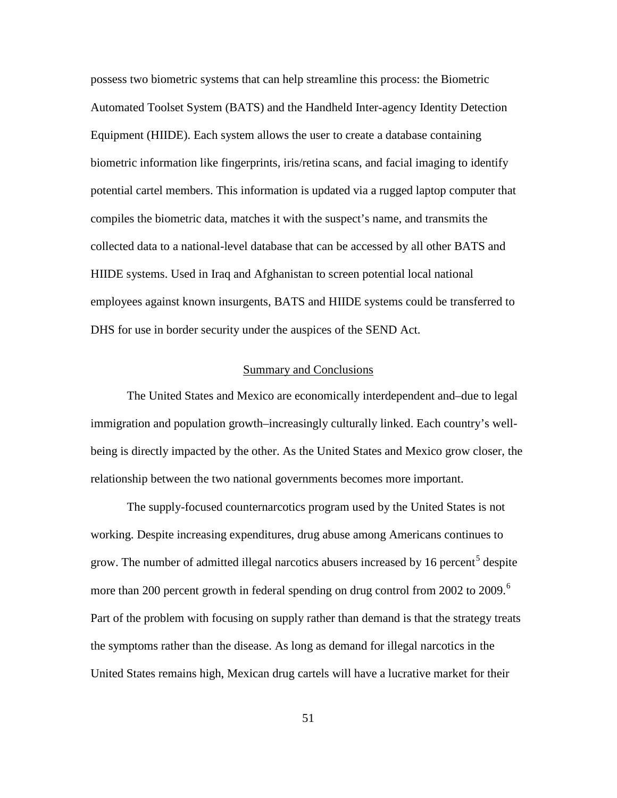possess two biometric systems that can help streamline this process: the Biometric Automated Toolset System (BATS) and the Handheld Inter-agency Identity Detection Equipment (HIIDE). Each system allows the user to create a database containing biometric information like fingerprints, iris/retina scans, and facial imaging to identify potential cartel members. This information is updated via a rugged laptop computer that compiles the biometric data, matches it with the suspect's name, and transmits the collected data to a national-level database that can be accessed by all other BATS and HIIDE systems. Used in Iraq and Afghanistan to screen potential local national employees against known insurgents, BATS and HIIDE systems could be transferred to DHS for use in border security under the auspices of the SEND Act.

#### Summary and Conclusions

The United States and Mexico are economically interdependent and–due to legal immigration and population growth–increasingly culturally linked. Each country's wellbeing is directly impacted by the other. As the United States and Mexico grow closer, the relationship between the two national governments becomes more important.

The supply-focused counternarcotics program used by the United States is not working. Despite increasing expenditures, drug abuse among Americans continues to grow. The number of admitted illegal narcotics abusers increased by 16 percent<sup>[5](#page-68-4)</sup> despite more than 200 percent growth in federal spending on drug control from 2002 to 2009.<sup>[6](#page-68-5)</sup> Part of the problem with focusing on supply rather than demand is that the strategy treats the symptoms rather than the disease. As long as demand for illegal narcotics in the United States remains high, Mexican drug cartels will have a lucrative market for their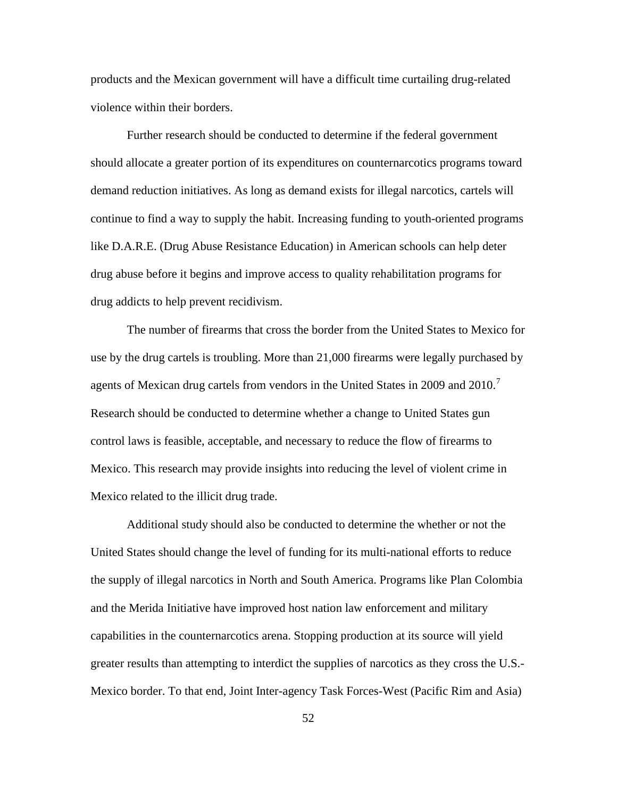<span id="page-60-0"></span>products and the Mexican government will have a difficult time curtailing drug-related violence within their borders.

<span id="page-60-3"></span><span id="page-60-2"></span><span id="page-60-1"></span>Further research should be conducted to determine if the federal government should allocate a greater portion of its expenditures on counternarcotics programs toward demand reduction initiatives. As long as demand exists for illegal narcotics, cartels will continue to find a way to supply the habit. Increasing funding to youth-oriented programs like D.A.R.E. (Drug Abuse Resistance Education) in American schools can help deter drug abuse before it begins and improve access to quality rehabilitation programs for drug addicts to help prevent recidivism.

<span id="page-60-8"></span><span id="page-60-7"></span><span id="page-60-6"></span><span id="page-60-5"></span><span id="page-60-4"></span>The number of firearms that cross the border from the United States to Mexico for use by the drug cartels is troubling. More than 21,000 firearms were legally purchased by agents of Mexican drug cartels from vendors in the United States in 2009 and 2010.<sup>[7](#page-68-6)</sup> Research should be conducted to determine whether a change to United States gun control laws is feasible, acceptable, and necessary to reduce the flow of firearms to Mexico. This research may provide insights into reducing the level of violent crime in Mexico related to the illicit drug trade.

Additional study should also be conducted to determine the whether or not the United States should change the level of funding for its multi-national efforts to reduce the supply of illegal narcotics in North and South America. Programs like Plan Colombia and the Merida Initiative have improved host nation law enforcement and military capabilities in the counternarcotics arena. Stopping production at its source will yield greater results than attempting to interdict the supplies of narcotics as they cross the U.S.- Mexico border. To that end, Joint Inter-agency Task Forces-West (Pacific Rim and Asia)

52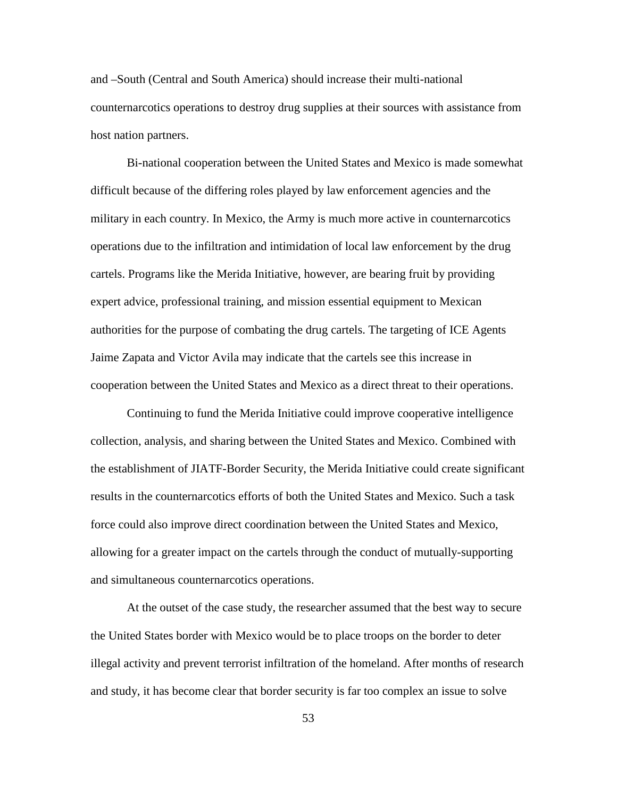and –South (Central and South America) should increase their multi-national counternarcotics operations to destroy drug supplies at their sources with assistance from host nation partners.

Bi-national cooperation between the United States and Mexico is made somewhat difficult because of the differing roles played by law enforcement agencies and the military in each country. In Mexico, the Army is much more active in counternarcotics operations due to the infiltration and intimidation of local law enforcement by the drug cartels. Programs like the Merida Initiative, however, are bearing fruit by providing expert advice, professional training, and mission essential equipment to Mexican authorities for the purpose of combating the drug cartels. The targeting of ICE Agents Jaime Zapata and Victor Avila may indicate that the cartels see this increase in cooperation between the United States and Mexico as a direct threat to their operations.

<span id="page-61-1"></span><span id="page-61-0"></span>Continuing to fund the Merida Initiative could improve cooperative intelligence collection, analysis, and sharing between the United States and Mexico. Combined with the establishment of JIATF-Border Security, the Merida Initiative could create significant results in the counternarcotics efforts of both the United States and Mexico. Such a task force could also improve direct coordination between the United States and Mexico, allowing for a greater impact on the cartels through the conduct of mutually-supporting and simultaneous counternarcotics operations.

<span id="page-61-4"></span><span id="page-61-3"></span><span id="page-61-2"></span>At the outset of the case study, the researcher assumed that the best way to secure the United States border with Mexico would be to place troops on the border to deter illegal activity and prevent terrorist infiltration of the homeland. After months of research and study, it has become clear that border security is far too complex an issue to solve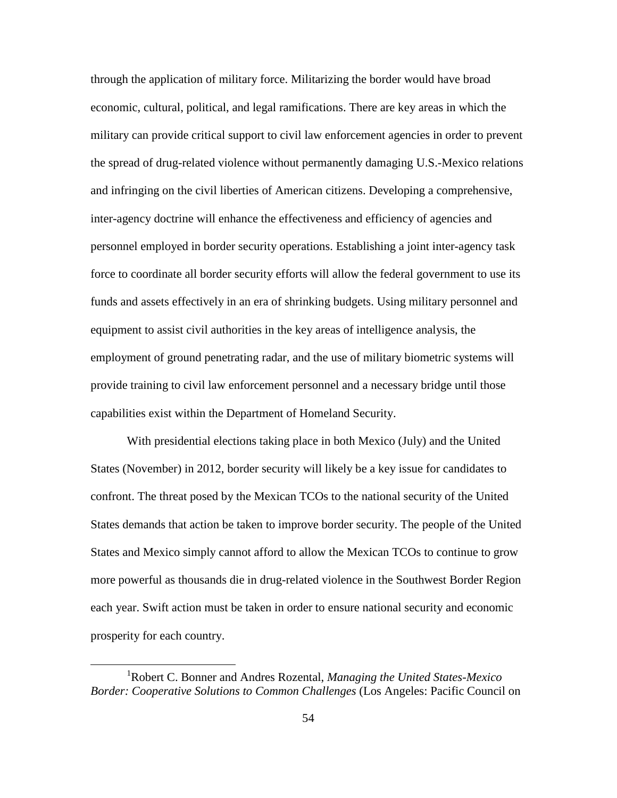<span id="page-62-3"></span><span id="page-62-2"></span><span id="page-62-1"></span><span id="page-62-0"></span>through the application of military force. Militarizing the border would have broad economic, cultural, political, and legal ramifications. There are key areas in which the military can provide critical support to civil law enforcement agencies in order to prevent the spread of drug-related violence without permanently damaging U.S.-Mexico relations and infringing on the civil liberties of American citizens. Developing a comprehensive, inter-agency doctrine will enhance the effectiveness and efficiency of agencies and personnel employed in border security operations. Establishing a joint inter-agency task force to coordinate all border security efforts will allow the federal government to use its funds and assets effectively in an era of shrinking budgets. Using military personnel and equipment to assist civil authorities in the key areas of intelligence analysis, the employment of ground penetrating radar, and the use of military biometric systems will provide training to civil law enforcement personnel and a necessary bridge until those capabilities exist within the Department of Homeland Security.

With presidential elections taking place in both Mexico (July) and the United States (November) in 2012, border security will likely be a key issue for candidates to confront. The threat posed by the Mexican TCOs to the national security of the United States demands that action be taken to improve border security. The people of the United States and Mexico simply cannot afford to allow the Mexican TCOs to continue to grow more powerful as thousands die in drug-related violence in the Southwest Border Region each year. Swift action must be taken in order to ensure national security and economic prosperity for each country.

<sup>&</sup>lt;u>1</u> Robert C. Bonner and Andres Rozental, *Managing the United States-Mexico Border: Cooperative Solutions to Common Challenges* (Los Angeles: Pacific Council on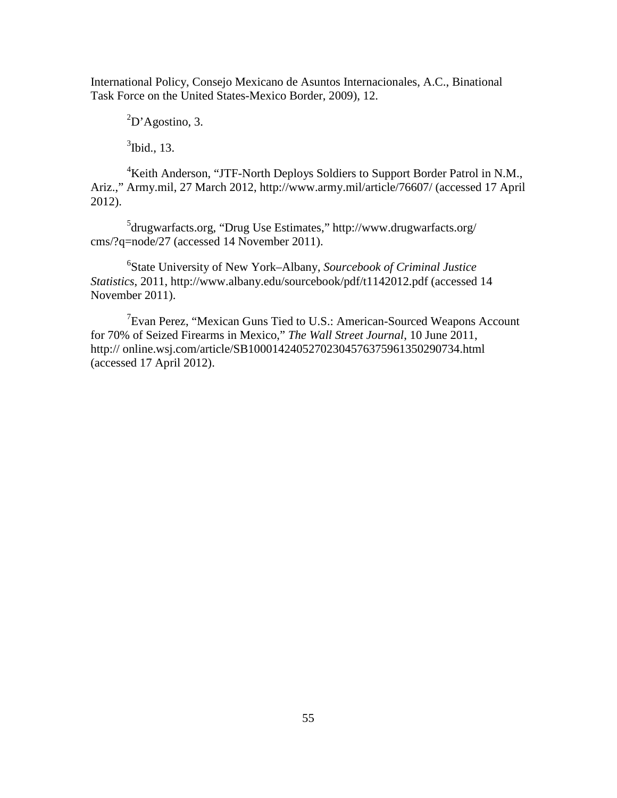International Policy, Consejo Mexicano de Asuntos Internacionales, A.C., Binational Task Force on the United States-Mexico Border, 2009), 12.

 ${}^{2}D$ 'Agostino, 3.

 $3$ Ibid., 13.

<sup>4</sup>Keith Anderson, "JTF-North Deploys Soldiers to Support Border Patrol in N.M., Ariz.," Army.mil, 27 March 2012, http://www.army.mil/article/76607/ (accessed 17 April 2012).

<sup>5</sup>drugwarfacts.org, "Drug Use Estimates," http://www.drugwarfacts.org/ cms/?q=node/27 (accessed 14 November 2011).

<span id="page-63-0"></span>6 State University of New York–Albany, *Sourcebook of Criminal Justice Statistics*, 2011, http://www.albany.edu/sourcebook/pdf/t1142012.pdf (accessed 14 November 2011).

<span id="page-63-2"></span><span id="page-63-1"></span><sup>7</sup> Evan Perez, "Mexican Guns Tied to U.S.: American-Sourced Weapons Account for 70% of Seized Firearms in Mexico," *The Wall Street Journal*, 10 June 2011, http:// online.wsj.com/article/SB10001424052702304576375961350290734.html (accessed 17 April 2012).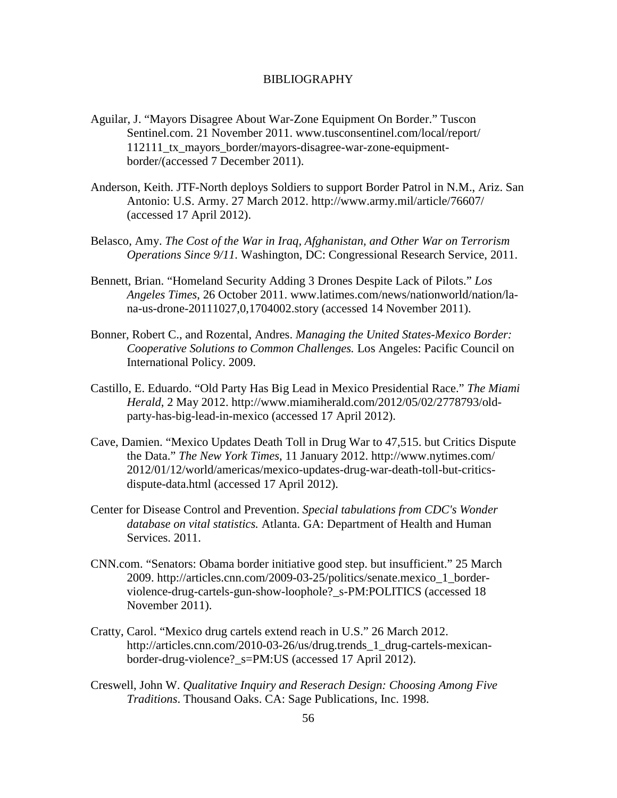#### BIBLIOGRAPHY

- Aguilar, J. "Mayors Disagree About War-Zone Equipment On Border." Tuscon Sentinel.com. 21 November 2011. www.tusconsentinel.com/local/report/ 112111\_tx\_mayors\_border/mayors-disagree-war-zone-equipmentborder/(accessed 7 December 2011).
- Anderson, Keith. JTF-North deploys Soldiers to support Border Patrol in N.M., Ariz. San Antonio: U.S. Army. 27 March 2012. http://www.army.mil/article/76607/ (accessed 17 April 2012).
- Belasco, Amy. *The Cost of the War in Iraq, Afghanistan, and Other War on Terrorism Operations Since 9/11.* Washington, DC: Congressional Research Service, 2011.
- Bennett, Brian. "Homeland Security Adding 3 Drones Despite Lack of Pilots." *Los Angeles Times*, 26 October 2011. www.latimes.com/news/nationworld/nation/lana-us-drone-20111027,0,1704002.story (accessed 14 November 2011).
- Bonner, Robert C., and Rozental, Andres. *Managing the United States-Mexico Border: Cooperative Solutions to Common Challenges.* Los Angeles: Pacific Council on International Policy. 2009.
- Castillo, E. Eduardo. "Old Party Has Big Lead in Mexico Presidential Race." *The Miami Herald*, 2 May 2012. http://www.miamiherald.com/2012/05/02/2778793/oldparty-has-big-lead-in-mexico (accessed 17 April 2012).
- <span id="page-64-0"></span>Cave, Damien. "Mexico Updates Death Toll in Drug War to 47,515. but Critics Dispute the Data." *The New York Times*, 11 January 2012. http://www.nytimes.com/ 2012/01/12/world/americas/mexico-updates-drug-war-death-toll-but-criticsdispute-data.html (accessed 17 April 2012).
- <span id="page-64-2"></span><span id="page-64-1"></span>Center for Disease Control and Prevention. *Special tabulations from CDC's Wonder database on vital statistics.* Atlanta. GA: Department of Health and Human Services. 2011.
- <span id="page-64-3"></span>CNN.com. "Senators: Obama border initiative good step. but insufficient." 25 March 2009. http://articles.cnn.com/2009-03-25/politics/senate.mexico\_1\_borderviolence-drug-cartels-gun-show-loophole?\_s-PM:POLITICS (accessed 18 November 2011).
- Cratty, Carol. "Mexico drug cartels extend reach in U.S." 26 March 2012. http://articles.cnn.com/2010-03-26/us/drug.trends 1 drug-cartels-mexicanborder-drug-violence?\_s=PM:US (accessed 17 April 2012).
- Creswell, John W. *Qualitative Inquiry and Reserach Design: Choosing Among Five Traditions*. Thousand Oaks. CA: Sage Publications, Inc. 1998.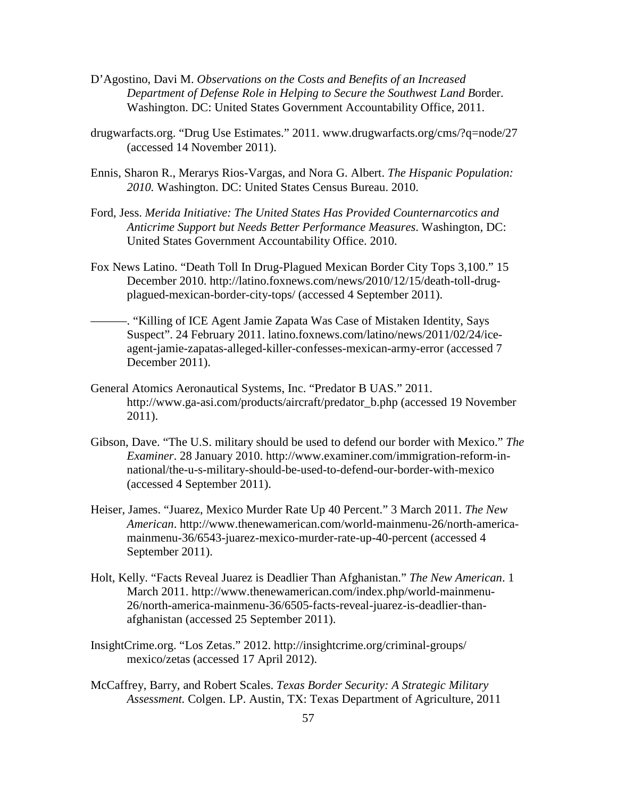- <span id="page-65-4"></span>D'Agostino, Davi M. *Observations on the Costs and Benefits of an Increased Department of Defense Role in Helping to Secure the Southwest Land B*order. Washington. DC: United States Government Accountability Office, 2011.
- drugwarfacts.org. "Drug Use Estimates." 2011. www.drugwarfacts.org/cms/?q=node/27 (accessed 14 November 2011).
- Ennis, Sharon R., Merarys Rios-Vargas, and Nora G. Albert. *The Hispanic Population: 2010.* Washington. DC: United States Census Bureau. 2010.
- Ford, Jess. *Merida Initiative: The United States Has Provided Counternarcotics and Anticrime Support but Needs Better Performance Measures*. Washington, DC: United States Government Accountability Office. 2010.
- Fox News Latino. "Death Toll In Drug-Plagued Mexican Border City Tops 3,100." 15 December 2010. http://latino.foxnews.com/news/2010/12/15/death-toll-drugplagued-mexican-border-city-tops/ (accessed 4 September 2011).
- ———. "Killing of ICE Agent Jamie Zapata Was Case of Mistaken Identity, Says Suspect". 24 February 2011. latino.foxnews.com/latino/news/2011/02/24/iceagent-jamie-zapatas-alleged-killer-confesses-mexican-army-error (accessed 7 December 2011).
- General Atomics Aeronautical Systems, Inc. "Predator B UAS." 2011. http://www.ga-asi.com/products/aircraft/predator\_b.php (accessed 19 November 2011).
- Gibson, Dave. "The U.S. military should be used to defend our border with Mexico." *The Examiner*. 28 January 2010. http://www.examiner.com/immigration-reform-innational/the-u-s-military-should-be-used-to-defend-our-border-with-mexico (accessed 4 September 2011).
- Heiser, James. "Juarez, Mexico Murder Rate Up 40 Percent." 3 March 2011. *The New American*. http://www.thenewamerican.com/world-mainmenu-26/north-americamainmenu-36/6543-juarez-mexico-murder-rate-up-40-percent (accessed 4 September 2011).
- <span id="page-65-1"></span><span id="page-65-0"></span>Holt, Kelly. "Facts Reveal Juarez is Deadlier Than Afghanistan." *The New American*. 1 March 2011. http://www.thenewamerican.com/index.php/world-mainmenu-26/north-america-mainmenu-36/6505-facts-reveal-juarez-is-deadlier-thanafghanistan (accessed 25 September 2011).
- <span id="page-65-2"></span>InsightCrime.org. "Los Zetas." 2012. http://insightcrime.org/criminal-groups/ mexico/zetas (accessed 17 April 2012).
- <span id="page-65-3"></span>McCaffrey, Barry, and Robert Scales. *Texas Border Security: A Strategic Military Assessment.* Colgen. LP. Austin, TX: Texas Department of Agriculture, 2011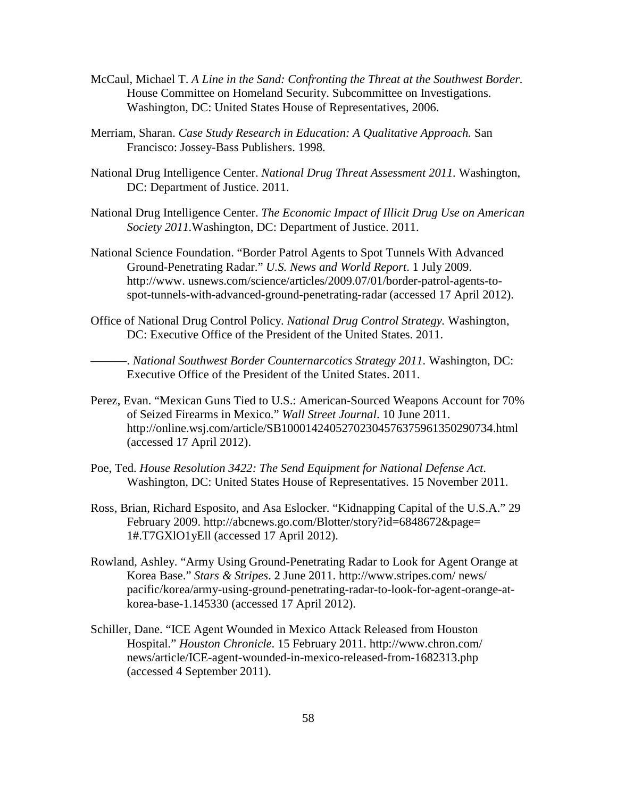- McCaul, Michael T. *A Line in the Sand: Confronting the Threat at the Southwest Border.* House Committee on Homeland Security. Subcommittee on Investigations. Washington, DC: United States House of Representatives, 2006.
- <span id="page-66-0"></span>Merriam, Sharan. *Case Study Research in Education: A Qualitative Approach.* San Francisco: Jossey-Bass Publishers. 1998.
- National Drug Intelligence Center. *National Drug Threat Assessment 2011.* Washington, DC: Department of Justice. 2011.
- <span id="page-66-1"></span>National Drug Intelligence Center. *The Economic Impact of Illicit Drug Use on American Society 2011.*Washington, DC: Department of Justice. 2011.
- <span id="page-66-2"></span>National Science Foundation. "Border Patrol Agents to Spot Tunnels With Advanced Ground-Penetrating Radar." *U.S. News and World Report*. 1 July 2009. http://www. usnews.com/science/articles/2009.07/01/border-patrol-agents-tospot-tunnels-with-advanced-ground-penetrating-radar (accessed 17 April 2012).
- <span id="page-66-4"></span><span id="page-66-3"></span>Office of National Drug Control Policy. *National Drug Control Strategy.* Washington, DC: Executive Office of the President of the United States. 2011.

———. *National Southwest Border Counternarcotics Strategy 2011.* Washington, DC: Executive Office of the President of the United States. 2011.

- Perez, Evan. "Mexican Guns Tied to U.S.: American-Sourced Weapons Account for 70% of Seized Firearms in Mexico." *Wall Street Journal*. 10 June 2011. http://online.wsj.com/article/SB10001424052702304576375961350290734.html (accessed 17 April 2012).
- Poe, Ted. *House Resolution 3422: The Send Equipment for National Defense Act*. Washington, DC: United States House of Representatives. 15 November 2011.
- Ross, Brian, Richard Esposito, and Asa Eslocker. "Kidnapping Capital of the U.S.A." 29 February 2009. http://abcnews.go.com/Blotter/story?id=6848672&page= 1#.T7GXlO1yEll (accessed 17 April 2012).
- Rowland, Ashley. "Army Using Ground-Penetrating Radar to Look for Agent Orange at Korea Base." *Stars & Stripes*. 2 June 2011. http://www.stripes.com/ news/ pacific/korea/army-using-ground-penetrating-radar-to-look-for-agent-orange-atkorea-base-1.145330 (accessed 17 April 2012).
- Schiller, Dane. "ICE Agent Wounded in Mexico Attack Released from Houston Hospital." *Houston Chronicle*. 15 February 2011. http://www.chron.com/ news/article/ICE-agent-wounded-in-mexico-released-from-1682313.php (accessed 4 September 2011).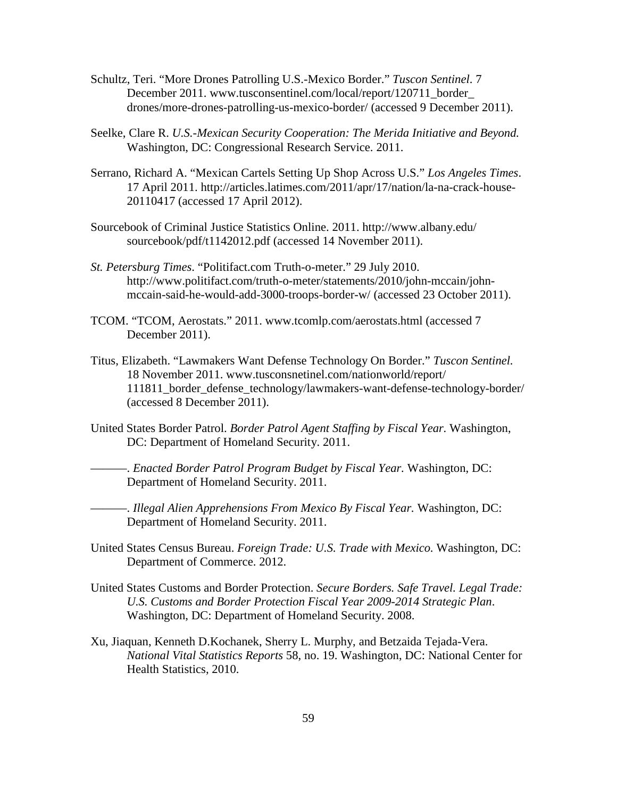- Schultz, Teri. "More Drones Patrolling U.S.-Mexico Border." *Tuscon Sentinel*. 7 December 2011. www.tusconsentinel.com/local/report/120711\_border\_ drones/more-drones-patrolling-us-mexico-border/ (accessed 9 December 2011).
- Seelke, Clare R. *U.S.-Mexican Security Cooperation: The Merida Initiative and Beyond.* Washington, DC: Congressional Research Service. 2011.
- Serrano, Richard A. "Mexican Cartels Setting Up Shop Across U.S." *Los Angeles Times*. 17 April 2011. http://articles.latimes.com/2011/apr/17/nation/la-na-crack-house-20110417 (accessed 17 April 2012).
- Sourcebook of Criminal Justice Statistics Online. 2011. http://www.albany.edu/ sourcebook/pdf/t1142012.pdf (accessed 14 November 2011).
- *St. Petersburg Times*. "Politifact.com Truth-o-meter." 29 July 2010. http://www.politifact.com/truth-o-meter/statements/2010/john-mccain/johnmccain-said-he-would-add-3000-troops-border-w/ (accessed 23 October 2011).
- TCOM. "TCOM, Aerostats." 2011. www.tcomlp.com/aerostats.html (accessed 7 December 2011).
- Titus, Elizabeth. "Lawmakers Want Defense Technology On Border." *Tuscon Sentinel.* 18 November 2011. www.tusconsnetinel.com/nationworld/report/ 111811 border defense technology/lawmakers-want-defense-technology-border/ (accessed 8 December 2011).
- United States Border Patrol. *Border Patrol Agent Staffing by Fiscal Year.* Washington, DC: Department of Homeland Security. 2011.

———. *Enacted Border Patrol Program Budget by Fiscal Year.* Washington, DC: Department of Homeland Security. 2011.

———. *Illegal Alien Apprehensions From Mexico By Fiscal Year.* Washington, DC: Department of Homeland Security. 2011.

- United States Census Bureau. *Foreign Trade: U.S. Trade with Mexico.* Washington, DC: Department of Commerce. 2012.
- United States Customs and Border Protection. *Secure Borders. Safe Travel. Legal Trade: U.S. Customs and Border Protection Fiscal Year 2009-2014 Strategic Plan*. Washington, DC: Department of Homeland Security. 2008.
- Xu, Jiaquan, Kenneth D.Kochanek, Sherry L. Murphy, and Betzaida Tejada-Vera. *National Vital Statistics Reports* 58, no. 19. Washington, DC: National Center for Health Statistics, 2010.